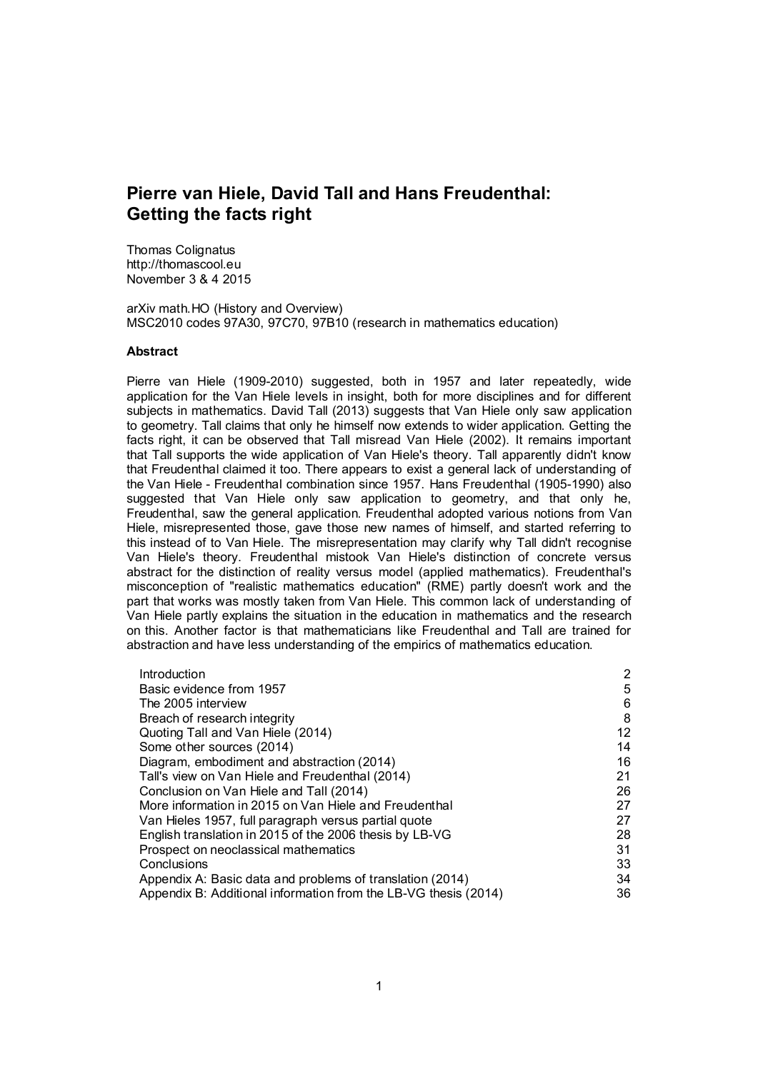# Pierre van Hiele, David Tall and Hans Freudenthal: Getting the facts right

Thomas Colignatus http://thomascool.eu November 3 & 4 2015

arXiv math.HO (History and Overview) MSC2010 codes 97A30, 97C70, 97B10 (research in mathematics education)

#### **Abstract**

Pierre van Hiele (1909-2010) suggested, both in 1957 and later repeatedly, wide application for the Van Hiele levels in insight, both for more disciplines and for different subjects in mathematics. David Tall (2013) suggests that Van Hiele only saw application to geometry. Tall claims that only he himself now extends to wider application. Getting the facts right, it can be observed that Tall misread Van Hiele (2002). It remains important that Tall supports the wide application of Van Hiele's theory. Tall apparently didn't know that Freudenthal claimed it too. There appears to exist a general lack of understanding of the Van Hiele - Freudenthal combination since 1957. Hans Freudenthal (1905-1990) also suggested that Van Hiele only saw application to geometry, and that only he, Freudenthal, saw the general application. Freudenthal adopted various notions from Van Hiele, misrepresented those, gave those new names of himself, and started referring to this instead of to Van Hiele. The misrepresentation may clarify why Tall didn't recognise Van Hiele's theory. Freudenthal mistook Van Hiele's distinction of concrete versus abstract for the distinction of reality versus model (applied mathematics). Freudenthal's misconception of "realistic mathematics education" (RME) partly doesn't work and the part that works was mostly taken from Van Hiele. This common lack of understanding of Van Hiele partly explains the situation in the education in mathematics and the research on this. Another factor is that mathematicians like Freudenthal and Tall are trained for abstraction and have less understanding of the empirics of mathematics education.

| Introduction                                                    | 2  |
|-----------------------------------------------------------------|----|
| Basic evidence from 1957                                        | 5  |
| The 2005 interview                                              | 6  |
| Breach of research integrity                                    | 8  |
| Quoting Tall and Van Hiele (2014)                               | 12 |
| Some other sources (2014)                                       | 14 |
| Diagram, embodiment and abstraction (2014)                      | 16 |
| Tall's view on Van Hiele and Freudenthal (2014)                 | 21 |
| Conclusion on Van Hiele and Tall (2014)                         | 26 |
| More information in 2015 on Van Hiele and Freudenthal           | 27 |
| Van Hieles 1957, full paragraph versus partial quote            | 27 |
| English translation in 2015 of the 2006 thesis by LB-VG         | 28 |
| Prospect on neoclassical mathematics                            | 31 |
| Conclusions                                                     | 33 |
| Appendix A: Basic data and problems of translation (2014)       | 34 |
| Appendix B: Additional information from the LB-VG thesis (2014) | 36 |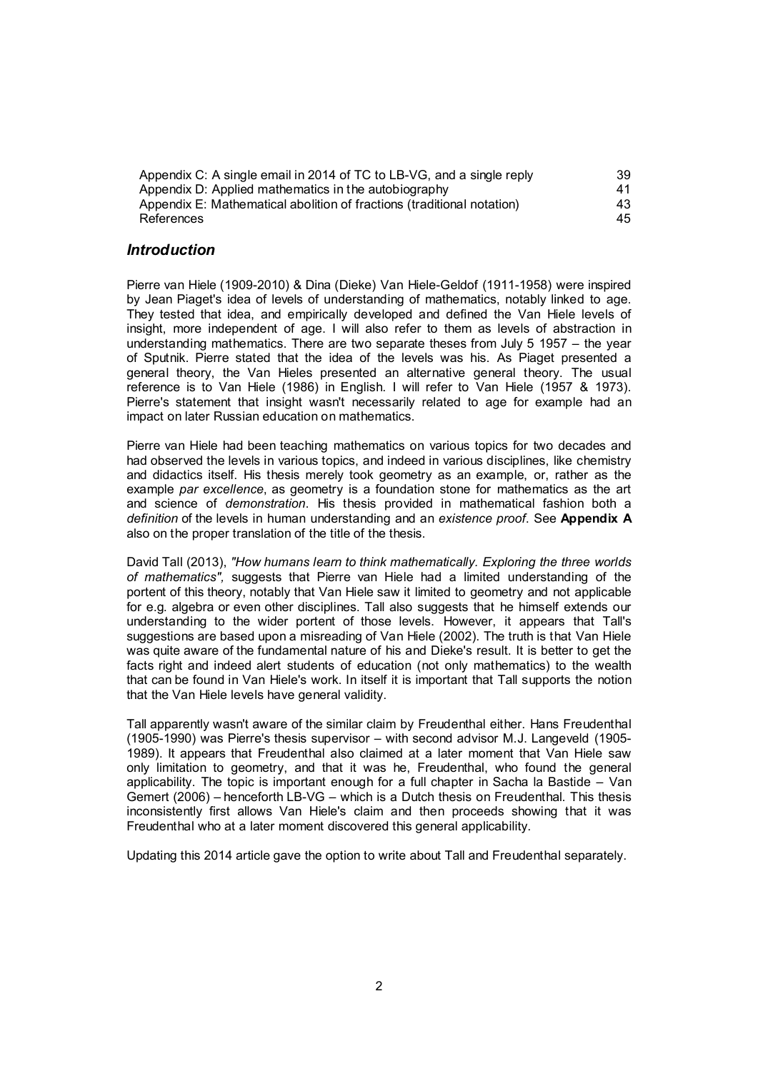| Appendix C: A single email in 2014 of TC to LB-VG, and a single reply  | 39 |
|------------------------------------------------------------------------|----|
| Appendix D: Applied mathematics in the autobiography                   | 41 |
| Appendix E: Mathematical abolition of fractions (traditional notation) | 43 |
| References                                                             | 45 |

#### *Introduction*

Pierre van Hiele (1909-2010) & Dina (Dieke) Van Hiele-Geldof (1911-1958) were inspired by Jean Piaget's idea of levels of understanding of mathematics, notably linked to age. They tested that idea, and empirically developed and defined the Van Hiele levels of insight, more independent of age. I will also refer to them as levels of abstraction in understanding mathematics. There are two separate theses from July 5 1957 – the year of Sputnik. Pierre stated that the idea of the levels was his. As Piaget presented a general theory, the Van Hieles presented an alternative general theory. The usual reference is to Van Hiele (1986) in English. I will refer to Van Hiele (1957 & 1973). Pierre's statement that insight wasn't necessarily related to age for example had an impact on later Russian education on mathematics.

Pierre van Hiele had been teaching mathematics on various topics for two decades and had observed the levels in various topics, and indeed in various disciplines, like chemistry and didactics itself. His thesis merely took geometry as an example, or, rather as the example *par excellence*, as geometry is a foundation stone for mathematics as the art and science of *demonstration*. His thesis provided in mathematical fashion both a *definition* of the levels in human understanding and an *existence proof*. See Appendix A also on the proper translation of the title of the thesis.

David Tall (2013), *"How humans learn to think mathematically. Exploring the three worlds of mathematics",* suggests that Pierre van Hiele had a limited understanding of the portent of this theory, notably that Van Hiele saw it limited to geometry and not applicable for e.g. algebra or even other disciplines. Tall also suggests that he himself extends our understanding to the wider portent of those levels. However, it appears that Tall's suggestions are based upon a misreading of Van Hiele (2002). The truth is that Van Hiele was quite aware of the fundamental nature of his and Dieke's result. It is better to get the facts right and indeed alert students of education (not only mathematics) to the wealth that can be found in Van Hiele's work. In itself it is important that Tall supports the notion that the Van Hiele levels have general validity.

Tall apparently wasn't aware of the similar claim by Freudenthal either. Hans Freudenthal (1905-1990) was Pierre's thesis supervisor – with second advisor M.J. Langeveld (1905- 1989). It appears that Freudenthal also claimed at a later moment that Van Hiele saw only limitation to geometry, and that it was he, Freudenthal, who found the general applicability. The topic is important enough for a full chapter in Sacha la Bastide – Van Gemert (2006) – henceforth LB-VG – which is a Dutch thesis on Freudenthal. This thesis inconsistently first allows Van Hiele's claim and then proceeds showing that it was Freudenthal who at a later moment discovered this general applicability.

Updating this 2014 article gave the option to write about Tall and Freudenthal separately.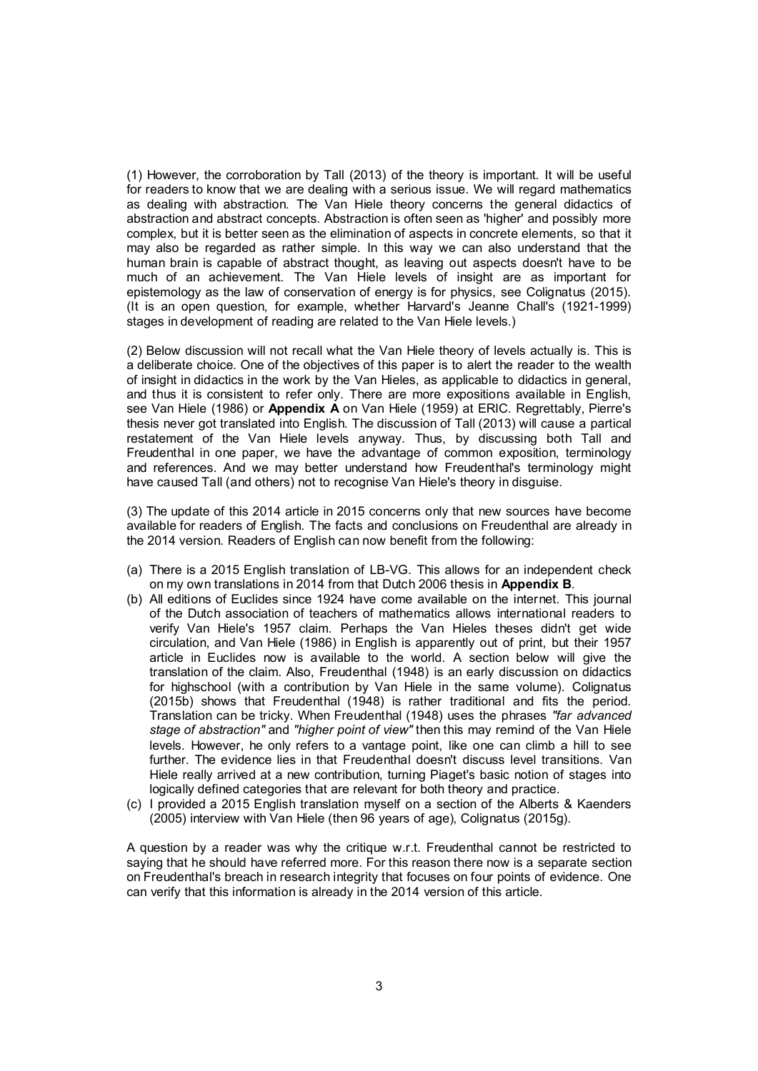(1) However, the corroboration by Tall (2013) of the theory is important. It will be useful for readers to know that we are dealing with a serious issue. We will regard mathematics as dealing with abstraction. The Van Hiele theory concerns the general didactics of abstraction and abstract concepts. Abstraction is often seen as 'higher' and possibly more complex, but it is better seen as the elimination of aspects in concrete elements, so that it may also be regarded as rather simple. In this way we can also understand that the human brain is capable of abstract thought, as leaving out aspects doesn't have to be much of an achievement. The Van Hiele levels of insight are as important for epistemology as the law of conservation of energy is for physics, see Colignatus (2015). (It is an open question, for example, whether Harvard's Jeanne Chall's (1921-1999) stages in development of reading are related to the Van Hiele levels.)

(2) Below discussion will not recall what the Van Hiele theory of levels actually is. This is a deliberate choice. One of the objectives of this paper is to alert the reader to the wealth of insight in didactics in the work by the Van Hieles, as applicable to didactics in general, and thus it is consistent to refer only. There are more expositions available in English, see Van Hiele (1986) or Appendix A on Van Hiele (1959) at ERIC. Regrettably, Pierre's thesis never got translated into English. The discussion of Tall (2013) will cause a partical restatement of the Van Hiele levels anyway. Thus, by discussing both Tall and Freudenthal in one paper, we have the advantage of common exposition, terminology and references. And we may better understand how Freudenthal's terminology might have caused Tall (and others) not to recognise Van Hiele's theory in disguise.

(3) The update of this 2014 article in 2015 concerns only that new sources have become available for readers of English. The facts and conclusions on Freudenthal are already in the 2014 version. Readers of English can now benefit from the following:

- (a) There is a 2015 English translation of LB-VG. This allows for an independent check on my own translations in 2014 from that Dutch 2006 thesis in Appendix B.
- (b) All editions of Euclides since 1924 have come available on the internet. This journal of the Dutch association of teachers of mathematics allows international readers to verify Van Hiele's 1957 claim. Perhaps the Van Hieles theses didn't get wide circulation, and Van Hiele (1986) in English is apparently out of print, but their 1957 article in Euclides now is available to the world. A section below will give the translation of the claim. Also, Freudenthal (1948) is an early discussion on didactics for highschool (with a contribution by Van Hiele in the same volume). Colignatus (2015b) shows that Freudenthal (1948) is rather traditional and fits the period. Translation can be tricky. When Freudenthal (1948) uses the phrases *"far advanced stage of abstraction"* and *"higher point of view"* then this may remind of the Van Hiele levels. However, he only refers to a vantage point, like one can climb a hill to see further. The evidence lies in that Freudenthal doesn't discuss level transitions. Van Hiele really arrived at a new contribution, turning Piaget's basic notion of stages into logically defined categories that are relevant for both theory and practice.
- (c) I provided a 2015 English translation myself on a section of the Alberts & Kaenders (2005) interview with Van Hiele (then 96 years of age), Colignatus (2015g).

A question by a reader was why the critique w.r.t. Freudenthal cannot be restricted to saying that he should have referred more. For this reason there now is a separate section on Freudenthal's breach in research integrity that focuses on four points of evidence. One can verify that this information is already in the 2014 version of this article.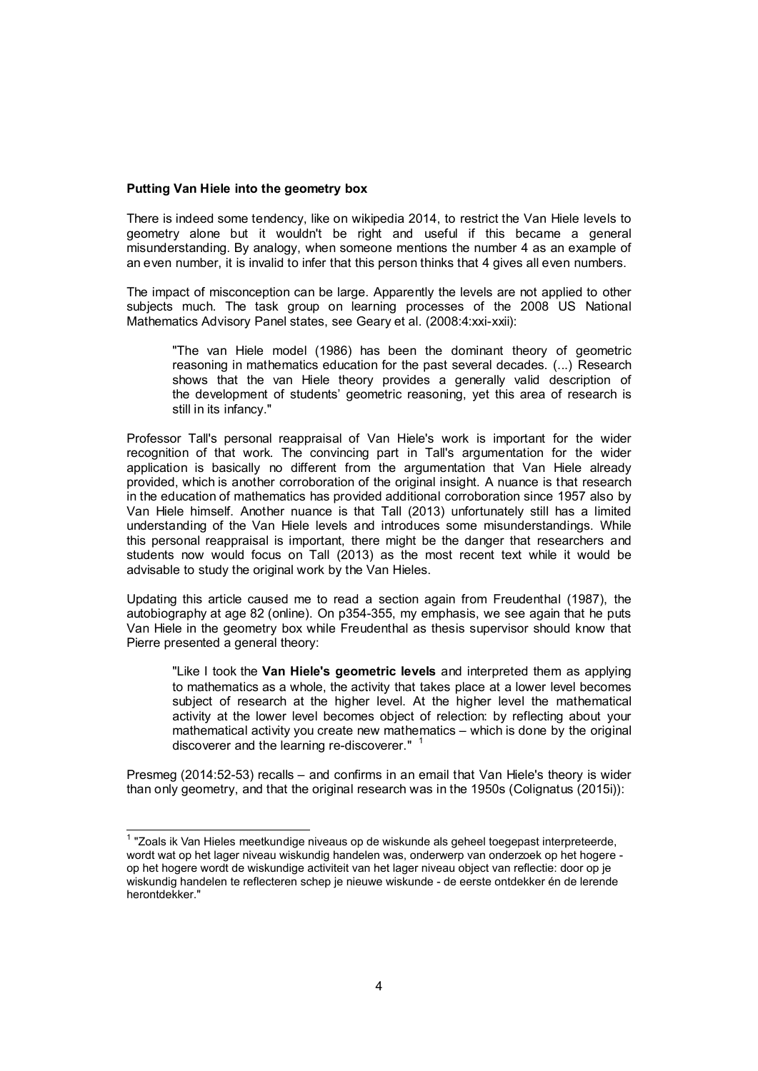#### Putting Van Hiele into the geometry box

There is indeed some tendency, like on wikipedia 2014, to restrict the Van Hiele levels to geometry alone but it wouldn't be right and useful if this became a general misunderstanding. By analogy, when someone mentions the number 4 as an example of an even number, it is invalid to infer that this person thinks that 4 gives all even numbers.

The impact of misconception can be large. Apparently the levels are not applied to other subjects much. The task group on learning processes of the 2008 US National Mathematics Advisory Panel states, see Geary et al. (2008:4:xxi-xxii):

"The van Hiele model (1986) has been the dominant theory of geometric reasoning in mathematics education for the past several decades. (...) Research shows that the van Hiele theory provides a generally valid description of the development of students' geometric reasoning, yet this area of research is still in its infancy."

Professor Tall's personal reappraisal of Van Hiele's work is important for the wider recognition of that work. The convincing part in Tall's argumentation for the wider application is basically no different from the argumentation that Van Hiele already provided, which is another corroboration of the original insight. A nuance is that research in the education of mathematics has provided additional corroboration since 1957 also by Van Hiele himself. Another nuance is that Tall (2013) unfortunately still has a limited understanding of the Van Hiele levels and introduces some misunderstandings. While this personal reappraisal is important, there might be the danger that researchers and students now would focus on Tall (2013) as the most recent text while it would be advisable to study the original work by the Van Hieles.

Updating this article caused me to read a section again from Freudenthal (1987), the autobiography at age 82 (online). On p354-355, my emphasis, we see again that he puts Van Hiele in the geometry box while Freudenthal as thesis supervisor should know that Pierre presented a general theory:

"Like I took the Van Hiele's geometric levels and interpreted them as applying to mathematics as a whole, the activity that takes place at a lower level becomes subject of research at the higher level. At the higher level the mathematical activity at the lower level becomes object of relection: by reflecting about your mathematical activity you create new mathematics – which is done by the original discoverer and the learning re-discoverer." <sup>1</sup>

Presmeg (2014:52-53) recalls – and confirms in an email that Van Hiele's theory is wider than only geometry, and that the original research was in the 1950s (Colignatus (2015i)):

 <sup>1</sup> "Zoals ik Van Hieles meetkundige niveaus op de wiskunde als geheel toegepast interpreteerde, wordt wat op het lager niveau wiskundig handelen was, onderwerp van onderzoek op het hogere op het hogere wordt de wiskundige activiteit van het lager niveau object van reflectie: door op je wiskundig handelen te reflecteren schep je nieuwe wiskunde - de eerste ontdekker én de lerende herontdekker."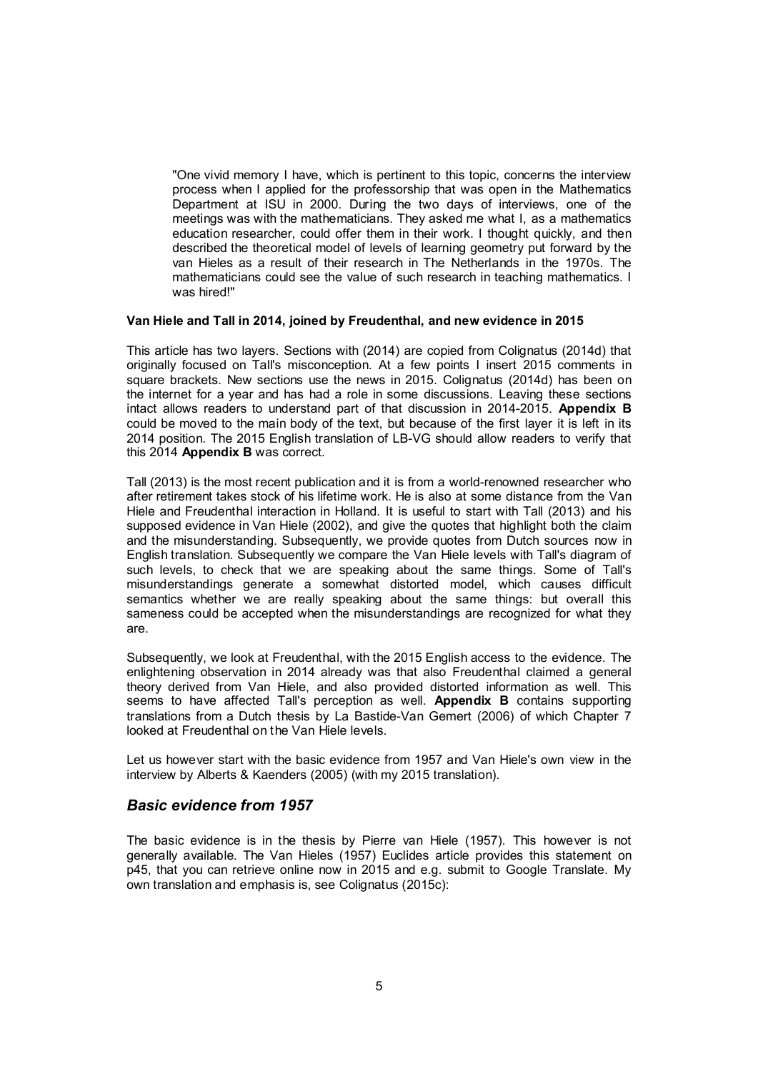"One vivid memory I have, which is pertinent to this topic, concerns the interview process when I applied for the professorship that was open in the Mathematics Department at ISU in 2000. During the two days of interviews, one of the meetings was with the mathematicians. They asked me what I, as a mathematics education researcher, could offer them in their work. I thought quickly, and then described the theoretical model of levels of learning geometry put forward by the van Hieles as a result of their research in The Netherlands in the 1970s. The mathematicians could see the value of such research in teaching mathematics. I was hired!"

#### Van Hiele and Tall in 2014, joined by Freudenthal, and new evidence in 2015

This article has two layers. Sections with (2014) are copied from Colignatus (2014d) that originally focused on Tall's misconception. At a few points I insert 2015 comments in square brackets. New sections use the news in 2015. Colignatus (2014d) has been on the internet for a year and has had a role in some discussions. Leaving these sections intact allows readers to understand part of that discussion in 2014-2015. Appendix B could be moved to the main body of the text, but because of the first layer it is left in its 2014 position. The 2015 English translation of LB-VG should allow readers to verify that this 2014 Appendix B was correct.

Tall (2013) is the most recent publication and it is from a world-renowned researcher who after retirement takes stock of his lifetime work. He is also at some distance from the Van Hiele and Freudenthal interaction in Holland. It is useful to start with Tall (2013) and his supposed evidence in Van Hiele (2002), and give the quotes that highlight both the claim and the misunderstanding. Subsequently, we provide quotes from Dutch sources now in English translation. Subsequently we compare the Van Hiele levels with Tall's diagram of such levels, to check that we are speaking about the same things. Some of Tall's misunderstandings generate a somewhat distorted model, which causes difficult semantics whether we are really speaking about the same things: but overall this sameness could be accepted when the misunderstandings are recognized for what they are.

Subsequently, we look at Freudenthal, with the 2015 English access to the evidence. The enlightening observation in 2014 already was that also Freudenthal claimed a general theory derived from Van Hiele, and also provided distorted information as well. This seems to have affected Tall's perception as well. Appendix B contains supporting translations from a Dutch thesis by La Bastide-Van Gemert (2006) of which Chapter 7 looked at Freudenthal on the Van Hiele levels.

Let us however start with the basic evidence from 1957 and Van Hiele's own view in the interview by Alberts & Kaenders (2005) (with my 2015 translation).

### *Basic evidence from 1957*

The basic evidence is in the thesis by Pierre van Hiele (1957). This however is not generally available. The Van Hieles (1957) Euclides article provides this statement on p45, that you can retrieve online now in 2015 and e.g. submit to Google Translate. My own translation and emphasis is, see Colignatus (2015c):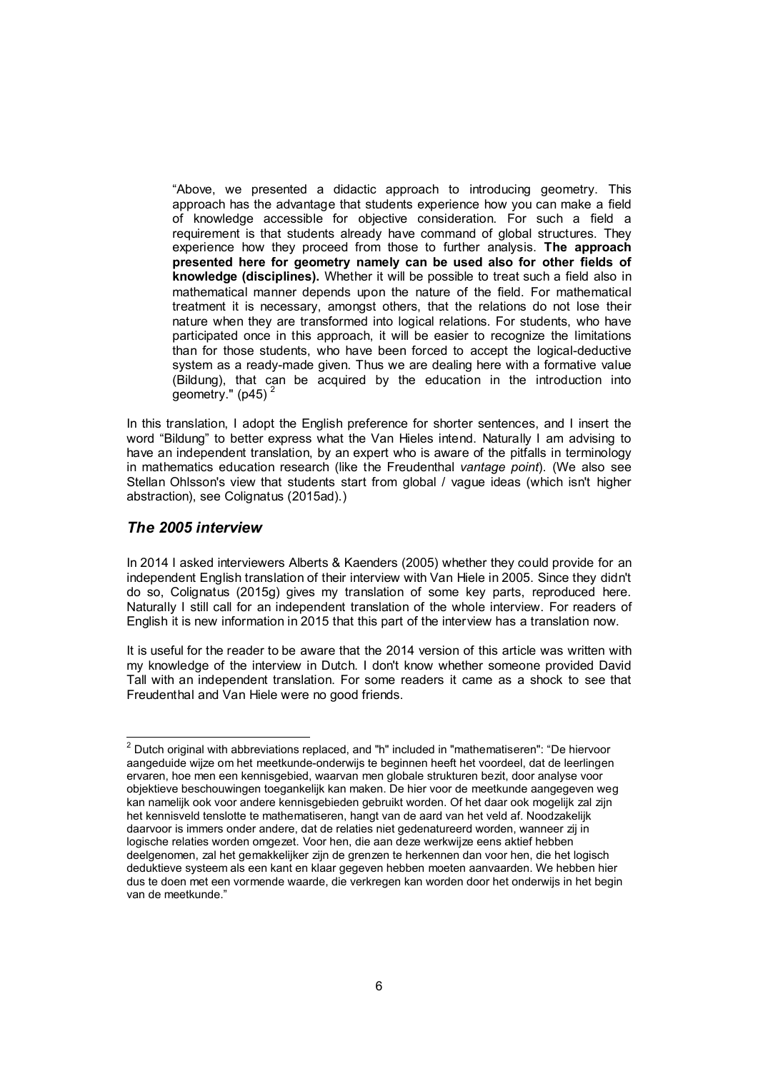"Above, we presented a didactic approach to introducing geometry. This approach has the advantage that students experience how you can make a field of knowledge accessible for objective consideration. For such a field a requirement is that students already have command of global structures. They experience how they proceed from those to further analysis. The approach presented here for geometry namely can be used also for other fields of knowledge (disciplines). Whether it will be possible to treat such a field also in mathematical manner depends upon the nature of the field. For mathematical treatment it is necessary, amongst others, that the relations do not lose their nature when they are transformed into logical relations. For students, who have participated once in this approach, it will be easier to recognize the limitations than for those students, who have been forced to accept the logical-deductive system as a ready-made given. Thus we are dealing here with a formative value (Bildung), that can be acquired by the education in the introduction into geometry."  $(p45)^2$ 

In this translation, I adopt the English preference for shorter sentences, and I insert the word "Bildung" to better express what the Van Hieles intend. Naturally I am advising to have an independent translation, by an expert who is aware of the pitfalls in terminology in mathematics education research (like the Freudenthal *vantage point*). (We also see Stellan Ohlsson's view that students start from global / vague ideas (which isn't higher abstraction), see Colignatus (2015ad).)

### *The 2005 interview*

In 2014 I asked interviewers Alberts & Kaenders (2005) whether they could provide for an independent English translation of their interview with Van Hiele in 2005. Since they didn't do so, Colignatus (2015g) gives my translation of some key parts, reproduced here. Naturally I still call for an independent translation of the whole interview. For readers of English it is new information in 2015 that this part of the interview has a translation now.

It is useful for the reader to be aware that the 2014 version of this article was written with my knowledge of the interview in Dutch. I don't know whether someone provided David Tall with an independent translation. For some readers it came as a shock to see that Freudenthal and Van Hiele were no good friends.

 <sup>2</sup> Dutch original with abbreviations replaced, and "h" included in "mathematiseren": "De hiervoor aangeduide wijze om het meetkunde-onderwijs te beginnen heeft het voordeel, dat de leerlingen ervaren, hoe men een kennisgebied, waarvan men globale strukturen bezit, door analyse voor objektieve beschouwingen toegankelijk kan maken. De hier voor de meetkunde aangegeven weg kan namelijk ook voor andere kennisgebieden gebruikt worden. Of het daar ook mogelijk zal zijn het kennisveld tenslotte te mathematiseren, hangt van de aard van het veld af. Noodzakelijk daarvoor is immers onder andere, dat de relaties niet gedenatureerd worden, wanneer zij in logische relaties worden omgezet. Voor hen, die aan deze werkwijze eens aktief hebben deelgenomen, zal het gemakkelijker zijn de grenzen te herkennen dan voor hen, die het logisch deduktieve systeem als een kant en klaar gegeven hebben moeten aanvaarden. We hebben hier dus te doen met een vormende waarde, die verkregen kan worden door het onderwijs in het begin van de meetkunde."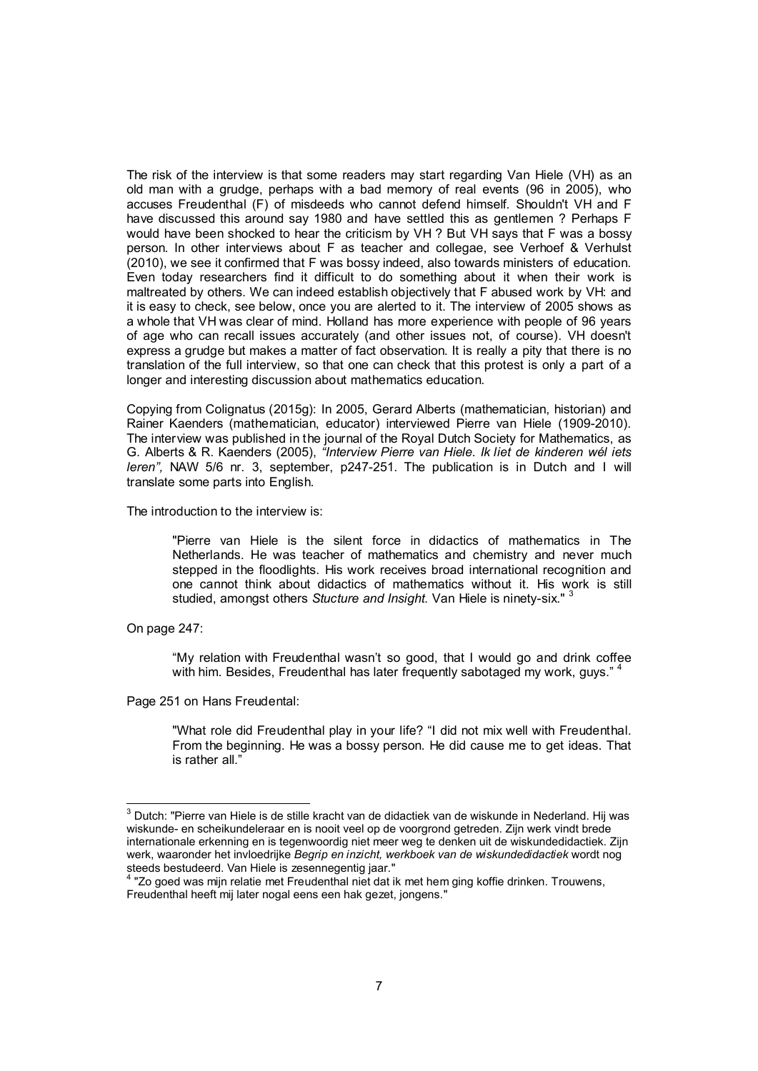The risk of the interview is that some readers may start regarding Van Hiele (VH) as an old man with a grudge, perhaps with a bad memory of real events (96 in 2005), who accuses Freudenthal (F) of misdeeds who cannot defend himself. Shouldn't VH and F have discussed this around say 1980 and have settled this as gentlemen ? Perhaps F would have been shocked to hear the criticism by VH ? But VH says that F was a bossy person. In other interviews about F as teacher and collegae, see Verhoef & Verhulst (2010), we see it confirmed that F was bossy indeed, also towards ministers of education. Even today researchers find it difficult to do something about it when their work is maltreated by others. We can indeed establish objectively that F abused work by VH: and it is easy to check, see below, once you are alerted to it. The interview of 2005 shows as a whole that VH was clear of mind. Holland has more experience with people of 96 years of age who can recall issues accurately (and other issues not, of course). VH doesn't express a grudge but makes a matter of fact observation. It is really a pity that there is no translation of the full interview, so that one can check that this protest is only a part of a longer and interesting discussion about mathematics education.

Copying from Colignatus (2015g): In 2005, Gerard Alberts (mathematician, historian) and Rainer Kaenders (mathematician, educator) interviewed Pierre van Hiele (1909-2010). The interview was published in the journal of the Royal Dutch Society for Mathematics, as G. Alberts & R. Kaenders (2005), *"Interview Pierre van Hiele. Ik liet de kinderen wél iets leren",* NAW 5/6 nr. 3, september, p247-251. The publication is in Dutch and I will translate some parts into English.

The introduction to the interview is:

"Pierre van Hiele is the silent force in didactics of mathematics in The Netherlands. He was teacher of mathematics and chemistry and never much stepped in the floodlights. His work receives broad international recognition and one cannot think about didactics of mathematics without it. His work is still studied, amongst others *Stucture and Insight*. Van Hiele is ninety-six."

On page 247:

"My relation with Freudenthal wasn't so good, that I would go and drink coffee with him. Besides, Freudenthal has later frequently sabotaged my work, guys."<sup>4</sup>

Page 251 on Hans Freudental:

"What role did Freudenthal play in your life? "I did not mix well with Freudenthal. From the beginning. He was a bossy person. He did cause me to get ideas. That is rather all."

 <sup>3</sup> Dutch: "Pierre van Hiele is de stille kracht van de didactiek van de wiskunde in Nederland. Hij was wiskunde- en scheikundeleraar en is nooit veel op de voorgrond getreden. Zijn werk vindt brede internationale erkenning en is tegenwoordig niet meer weg te denken uit de wiskundedidactiek. Zijn werk, waaronder het invloedrijke *Begrip en inzicht, werkboek van de wiskundedidactiek* wordt nog

steeds bestudeerd. Van Hiele is zesennegentig jaar." 4 "Zo goed was mijn relatie met Freudenthal niet dat ik met hem ging koffie drinken. Trouwens, Freudenthal heeft mij later nogal eens een hak gezet, jongens."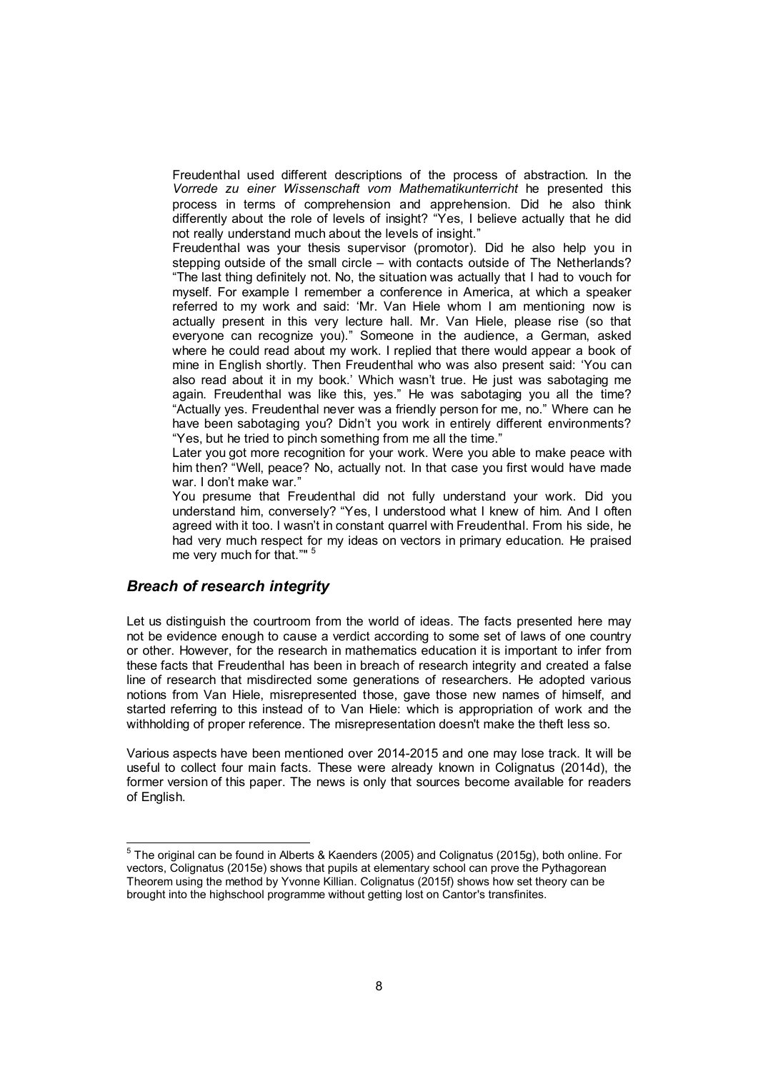Freudenthal used different descriptions of the process of abstraction. In the *Vorrede zu einer Wissenschaft vom Mathematikunterricht* he presented this process in terms of comprehension and apprehension. Did he also think differently about the role of levels of insight? "Yes, I believe actually that he did not really understand much about the levels of insight."

Freudenthal was your thesis supervisor (promotor). Did he also help you in stepping outside of the small circle – with contacts outside of The Netherlands? "The last thing definitely not. No, the situation was actually that I had to vouch for myself. For example I remember a conference in America, at which a speaker referred to my work and said: 'Mr. Van Hiele whom I am mentioning now is actually present in this very lecture hall. Mr. Van Hiele, please rise (so that everyone can recognize you)." Someone in the audience, a German, asked where he could read about my work. I replied that there would appear a book of mine in English shortly. Then Freudenthal who was also present said: 'You can also read about it in my book.' Which wasn't true. He just was sabotaging me again. Freudenthal was like this, yes." He was sabotaging you all the time? "Actually yes. Freudenthal never was a friendly person for me, no." Where can he have been sabotaging you? Didn't you work in entirely different environments? "Yes, but he tried to pinch something from me all the time."

Later you got more recognition for your work. Were you able to make peace with him then? "Well, peace? No, actually not. In that case you first would have made war. I don't make war."

You presume that Freudenthal did not fully understand your work. Did you understand him, conversely? "Yes, I understood what I knew of him. And I often agreed with it too. I wasn't in constant quarrel with Freudenthal. From his side, he had very much respect for my ideas on vectors in primary education. He praised me very much for that.""

### *Breach of research integrity*

Let us distinguish the courtroom from the world of ideas. The facts presented here may not be evidence enough to cause a verdict according to some set of laws of one country or other. However, for the research in mathematics education it is important to infer from these facts that Freudenthal has been in breach of research integrity and created a false line of research that misdirected some generations of researchers. He adopted various notions from Van Hiele, misrepresented those, gave those new names of himself, and started referring to this instead of to Van Hiele: which is appropriation of work and the withholding of proper reference. The misrepresentation doesn't make the theft less so.

Various aspects have been mentioned over 2014-2015 and one may lose track. It will be useful to collect four main facts. These were already known in Colignatus (2014d), the former version of this paper. The news is only that sources become available for readers of English.

 <sup>5</sup> The original can be found in Alberts & Kaenders (2005) and Colignatus (2015g), both online. For vectors, Colignatus (2015e) shows that pupils at elementary school can prove the Pythagorean Theorem using the method by Yvonne Killian. Colignatus (2015f) shows how set theory can be brought into the highschool programme without getting lost on Cantor's transfinites.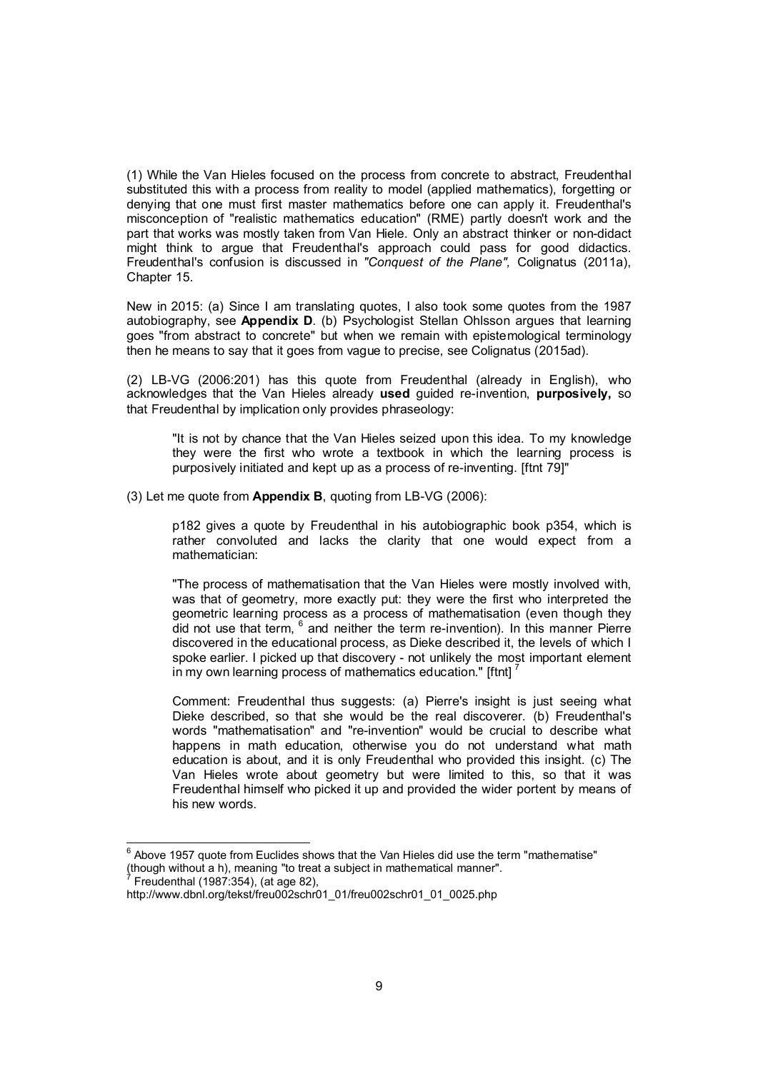(1) While the Van Hieles focused on the process from concrete to abstract, Freudenthal substituted this with a process from reality to model (applied mathematics), forgetting or denying that one must first master mathematics before one can apply it. Freudenthal's misconception of "realistic mathematics education" (RME) partly doesn't work and the part that works was mostly taken from Van Hiele. Only an abstract thinker or non-didact might think to argue that Freudenthal's approach could pass for good didactics. Freudenthal's confusion is discussed in *"Conquest of the Plane",* Colignatus (2011a), Chapter 15.

New in 2015: (a) Since I am translating quotes, I also took some quotes from the 1987 autobiography, see Appendix D. (b) Psychologist Stellan Ohlsson argues that learning goes "from abstract to concrete" but when we remain with epistemological terminology then he means to say that it goes from vague to precise, see Colignatus (2015ad).

(2) LB-VG (2006:201) has this quote from Freudenthal (already in English), who acknowledges that the Van Hieles already used guided re-invention, purposively, so that Freudenthal by implication only provides phraseology:

"It is not by chance that the Van Hieles seized upon this idea. To my knowledge they were the first who wrote a textbook in which the learning process is purposively initiated and kept up as a process of re-inventing. [ftnt 79]"

(3) Let me quote from Appendix B, quoting from LB-VG (2006):

p182 gives a quote by Freudenthal in his autobiographic book p354, which is rather convoluted and lacks the clarity that one would expect from a mathematician:

"The process of mathematisation that the Van Hieles were mostly involved with, was that of geometry, more exactly put: they were the first who interpreted the geometric learning process as a process of mathematisation (even though they did not use that term, <sup>6</sup> and neither the term re-invention). In this manner Pierre discovered in the educational process, as Dieke described it, the levels of which I spoke earlier. I picked up that discovery - not unlikely the most important element in my own learning process of mathematics education." [ftnt]  $<sup>7</sup>$ </sup>

Comment: Freudenthal thus suggests: (a) Pierre's insight is just seeing what Dieke described, so that she would be the real discoverer. (b) Freudenthal's words "mathematisation" and "re-invention" would be crucial to describe what happens in math education, otherwise you do not understand what math education is about, and it is only Freudenthal who provided this insight. (c) The Van Hieles wrote about geometry but were limited to this, so that it was Freudenthal himself who picked it up and provided the wider portent by means of his new words.

 <sup>6</sup> Above 1957 quote from Euclides shows that the Van Hieles did use the term "mathematise" (though without a h), meaning "to treat a subject in mathematical manner". 7

Freudenthal (1987:354), (at age 82),

http://www.dbnl.org/tekst/freu002schr01\_01/freu002schr01\_01\_0025.php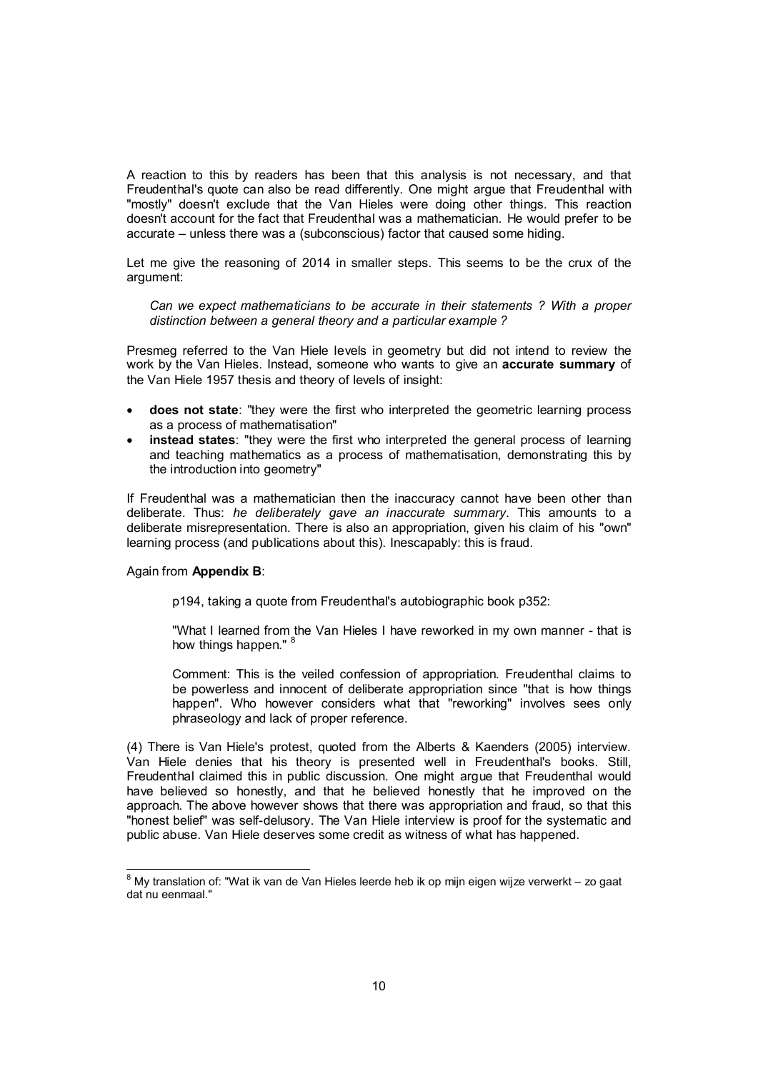A reaction to this by readers has been that this analysis is not necessary, and that Freudenthal's quote can also be read differently. One might argue that Freudenthal with "mostly" doesn't exclude that the Van Hieles were doing other things. This reaction doesn't account for the fact that Freudenthal was a mathematician. He would prefer to be accurate – unless there was a (subconscious) factor that caused some hiding.

Let me give the reasoning of 2014 in smaller steps. This seems to be the crux of the argument:

*Can we expect mathematicians to be accurate in their statements ? With a proper distinction between a general theory and a particular example ?*

Presmeg referred to the Van Hiele levels in geometry but did not intend to review the work by the Van Hieles. Instead, someone who wants to give an accurate summary of the Van Hiele 1957 thesis and theory of levels of insight:

- does not state: "they were the first who interpreted the geometric learning process as a process of mathematisation"
- instead states: "they were the first who interpreted the general process of learning and teaching mathematics as a process of mathematisation, demonstrating this by the introduction into geometry"

If Freudenthal was a mathematician then the inaccuracy cannot have been other than deliberate. Thus: *he deliberately gave an inaccurate summary*. This amounts to a deliberate misrepresentation. There is also an appropriation, given his claim of his "own" learning process (and publications about this). Inescapably: this is fraud.

#### Again from Appendix B:

p194, taking a quote from Freudenthal's autobiographic book p352:

"What I learned from the Van Hieles I have reworked in my own manner - that is how things happen."

Comment: This is the veiled confession of appropriation. Freudenthal claims to be powerless and innocent of deliberate appropriation since "that is how things happen". Who however considers what that "reworking" involves sees only phraseology and lack of proper reference.

(4) There is Van Hiele's protest, quoted from the Alberts & Kaenders (2005) interview. Van Hiele denies that his theory is presented well in Freudenthal's books. Still, Freudenthal claimed this in public discussion. One might argue that Freudenthal would have believed so honestly, and that he believed honestly that he improved on the approach. The above however shows that there was appropriation and fraud, so that this "honest belief" was self-delusory. The Van Hiele interview is proof for the systematic and public abuse. Van Hiele deserves some credit as witness of what has happened.

 <sup>8</sup> My translation of: "Wat ik van de Van Hieles leerde heb ik op mijn eigen wijze verwerkt – zo gaat dat nu eenmaal."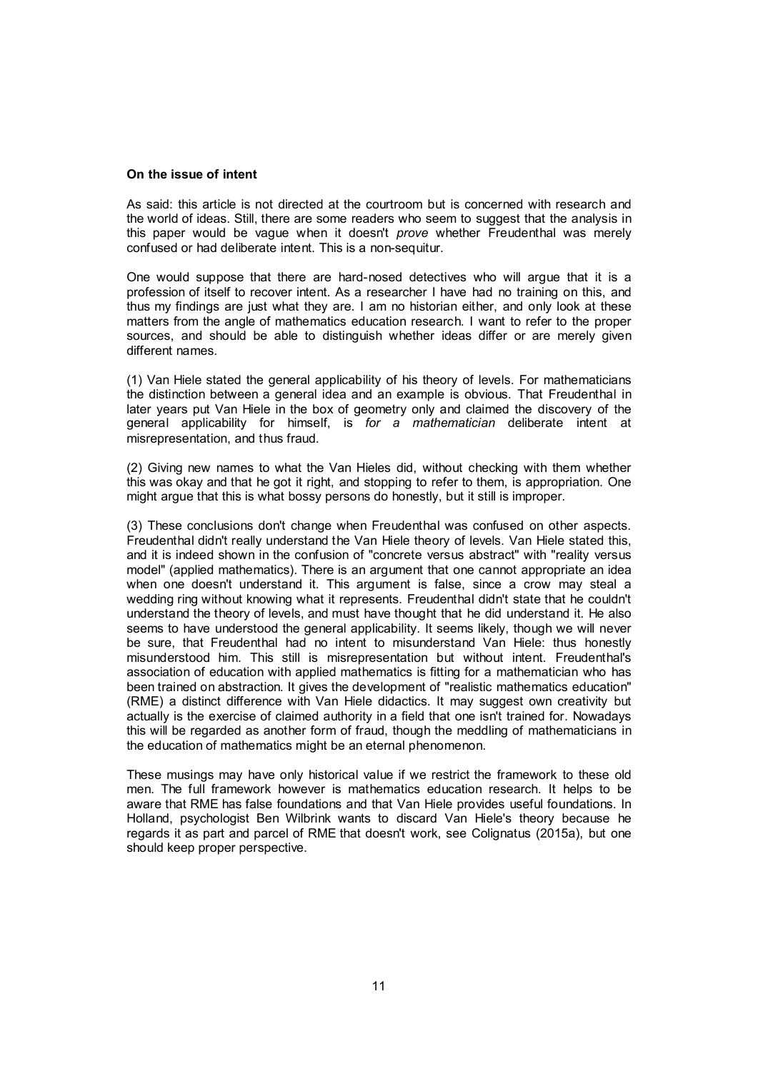#### On the issue of intent

As said: this article is not directed at the courtroom but is concerned with research and the world of ideas. Still, there are some readers who seem to suggest that the analysis in this paper would be vague when it doesn't *prove* whether Freudenthal was merely confused or had deliberate intent. This is a non-sequitur.

One would suppose that there are hard-nosed detectives who will argue that it is a profession of itself to recover intent. As a researcher I have had no training on this, and thus my findings are just what they are. I am no historian either, and only look at these matters from the angle of mathematics education research. I want to refer to the proper sources, and should be able to distinguish whether ideas differ or are merely given different names.

(1) Van Hiele stated the general applicability of his theory of levels. For mathematicians the distinction between a general idea and an example is obvious. That Freudenthal in later years put Van Hiele in the box of geometry only and claimed the discovery of the general applicability for himself, is *for a mathematician* deliberate intent at misrepresentation, and thus fraud.

(2) Giving new names to what the Van Hieles did, without checking with them whether this was okay and that he got it right, and stopping to refer to them, is appropriation. One might argue that this is what bossy persons do honestly, but it still is improper.

(3) These conclusions don't change when Freudenthal was confused on other aspects. Freudenthal didn't really understand the Van Hiele theory of levels. Van Hiele stated this, and it is indeed shown in the confusion of "concrete versus abstract" with "reality versus model" (applied mathematics). There is an argument that one cannot appropriate an idea when one doesn't understand it. This argument is false, since a crow may steal a wedding ring without knowing what it represents. Freudenthal didn't state that he couldn't understand the theory of levels, and must have thought that he did understand it. He also seems to have understood the general applicability. It seems likely, though we will never be sure, that Freudenthal had no intent to misunderstand Van Hiele: thus honestly misunderstood him. This still is misrepresentation but without intent. Freudenthal's association of education with applied mathematics is fitting for a mathematician who has been trained on abstraction. It gives the development of "realistic mathematics education" (RME) a distinct difference with Van Hiele didactics. It may suggest own creativity but actually is the exercise of claimed authority in a field that one isn't trained for. Nowadays this will be regarded as another form of fraud, though the meddling of mathematicians in the education of mathematics might be an eternal phenomenon.

These musings may have only historical value if we restrict the framework to these old men. The full framework however is mathematics education research. It helps to be aware that RME has false foundations and that Van Hiele provides useful foundations. In Holland, psychologist Ben Wilbrink wants to discard Van Hiele's theory because he regards it as part and parcel of RME that doesn't work, see Colignatus (2015a), but one should keep proper perspective.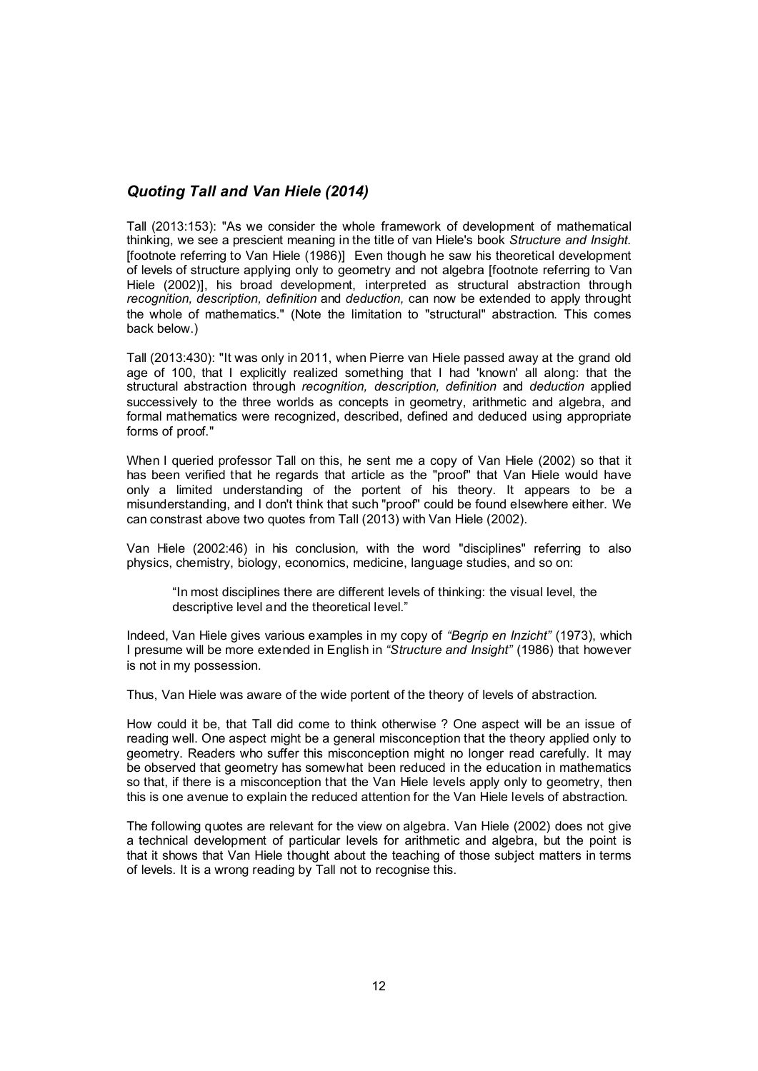# *Quoting Tall and Van Hiele (2014)*

Tall (2013:153): "As we consider the whole framework of development of mathematical thinking, we see a prescient meaning in the title of van Hiele's book *Structure and Insight.* [footnote referring to Van Hiele (1986)] Even though he saw his theoretical development of levels of structure applying only to geometry and not algebra [footnote referring to Van Hiele (2002)], his broad development, interpreted as structural abstraction through *recognition, description, definition* and *deduction,* can now be extended to apply throught the whole of mathematics." (Note the limitation to "structural" abstraction. This comes back below.)

Tall (2013:430): "It was only in 2011, when Pierre van Hiele passed away at the grand old age of 100, that I explicitly realized something that I had 'known' all along: that the structural abstraction through *recognition, description, definition* and *deduction* applied successively to the three worlds as concepts in geometry, arithmetic and algebra, and formal mathematics were recognized, described, defined and deduced using appropriate forms of proof."

When I queried professor Tall on this, he sent me a copy of Van Hiele (2002) so that it has been verified that he regards that article as the "proof" that Van Hiele would have only a limited understanding of the portent of his theory. It appears to be a misunderstanding, and I don't think that such "proof" could be found elsewhere either. We can constrast above two quotes from Tall (2013) with Van Hiele (2002).

Van Hiele (2002:46) in his conclusion, with the word "disciplines" referring to also physics, chemistry, biology, economics, medicine, language studies, and so on:

"In most disciplines there are different levels of thinking: the visual level, the descriptive level and the theoretical level."

Indeed, Van Hiele gives various examples in my copy of *"Begrip en Inzicht"* (1973), which I presume will be more extended in English in *"Structure and Insight"* (1986) that however is not in my possession.

Thus, Van Hiele was aware of the wide portent of the theory of levels of abstraction.

How could it be, that Tall did come to think otherwise ? One aspect will be an issue of reading well. One aspect might be a general misconception that the theory applied only to geometry. Readers who suffer this misconception might no longer read carefully. It may be observed that geometry has somewhat been reduced in the education in mathematics so that, if there is a misconception that the Van Hiele levels apply only to geometry, then this is one avenue to explain the reduced attention for the Van Hiele levels of abstraction.

The following quotes are relevant for the view on algebra. Van Hiele (2002) does not give a technical development of particular levels for arithmetic and algebra, but the point is that it shows that Van Hiele thought about the teaching of those subject matters in terms of levels. It is a wrong reading by Tall not to recognise this.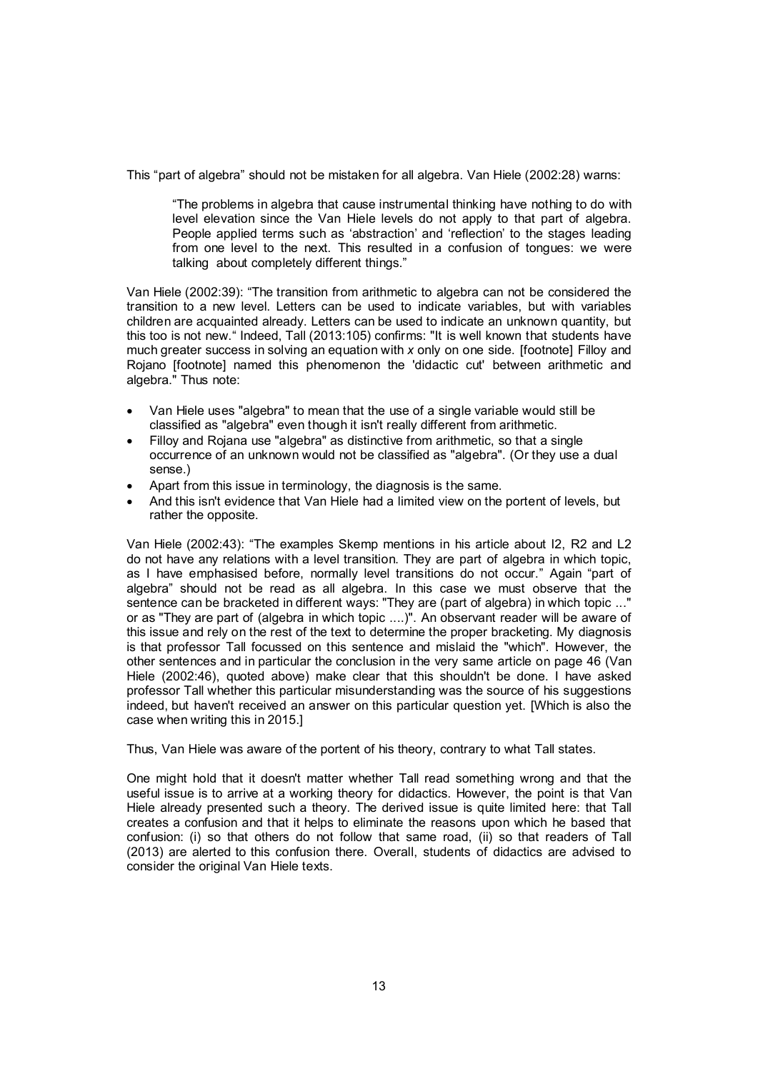This "part of algebra" should not be mistaken for all algebra. Van Hiele (2002:28) warns:

"The problems in algebra that cause instrumental thinking have nothing to do with level elevation since the Van Hiele levels do not apply to that part of algebra. People applied terms such as 'abstraction' and 'reflection' to the stages leading from one level to the next. This resulted in a confusion of tongues: we were talking about completely different things."

Van Hiele (2002:39): "The transition from arithmetic to algebra can not be considered the transition to a new level. Letters can be used to indicate variables, but with variables children are acquainted already. Letters can be used to indicate an unknown quantity, but this too is not new." Indeed, Tall (2013:105) confirms: "It is well known that students have much greater success in solving an equation with *x* only on one side. [footnote] Filloy and Rojano [footnote] named this phenomenon the 'didactic cut' between arithmetic and algebra." Thus note:

- Van Hiele uses "algebra" to mean that the use of a single variable would still be classified as "algebra" even though it isn't really different from arithmetic.
- Filloy and Rojana use "algebra" as distinctive from arithmetic, so that a single occurrence of an unknown would not be classified as "algebra". (Or they use a dual sense.)
- Apart from this issue in terminology, the diagnosis is the same.
- And this isn't evidence that Van Hiele had a limited view on the portent of levels, but rather the opposite.

Van Hiele (2002:43): "The examples Skemp mentions in his article about I2, R2 and L2 do not have any relations with a level transition. They are part of algebra in which topic, as I have emphasised before, normally level transitions do not occur." Again "part of algebra" should not be read as all algebra. In this case we must observe that the sentence can be bracketed in different ways: "They are (part of algebra) in which topic ..." or as "They are part of (algebra in which topic ....)". An observant reader will be aware of this issue and rely on the rest of the text to determine the proper bracketing. My diagnosis is that professor Tall focussed on this sentence and mislaid the "which". However, the other sentences and in particular the conclusion in the very same article on page 46 (Van Hiele (2002:46), quoted above) make clear that this shouldn't be done. I have asked professor Tall whether this particular misunderstanding was the source of his suggestions indeed, but haven't received an answer on this particular question yet. [Which is also the case when writing this in 2015.]

Thus, Van Hiele was aware of the portent of his theory, contrary to what Tall states.

One might hold that it doesn't matter whether Tall read something wrong and that the useful issue is to arrive at a working theory for didactics. However, the point is that Van Hiele already presented such a theory. The derived issue is quite limited here: that Tall creates a confusion and that it helps to eliminate the reasons upon which he based that confusion: (i) so that others do not follow that same road, (ii) so that readers of Tall (2013) are alerted to this confusion there. Overall, students of didactics are advised to consider the original Van Hiele texts.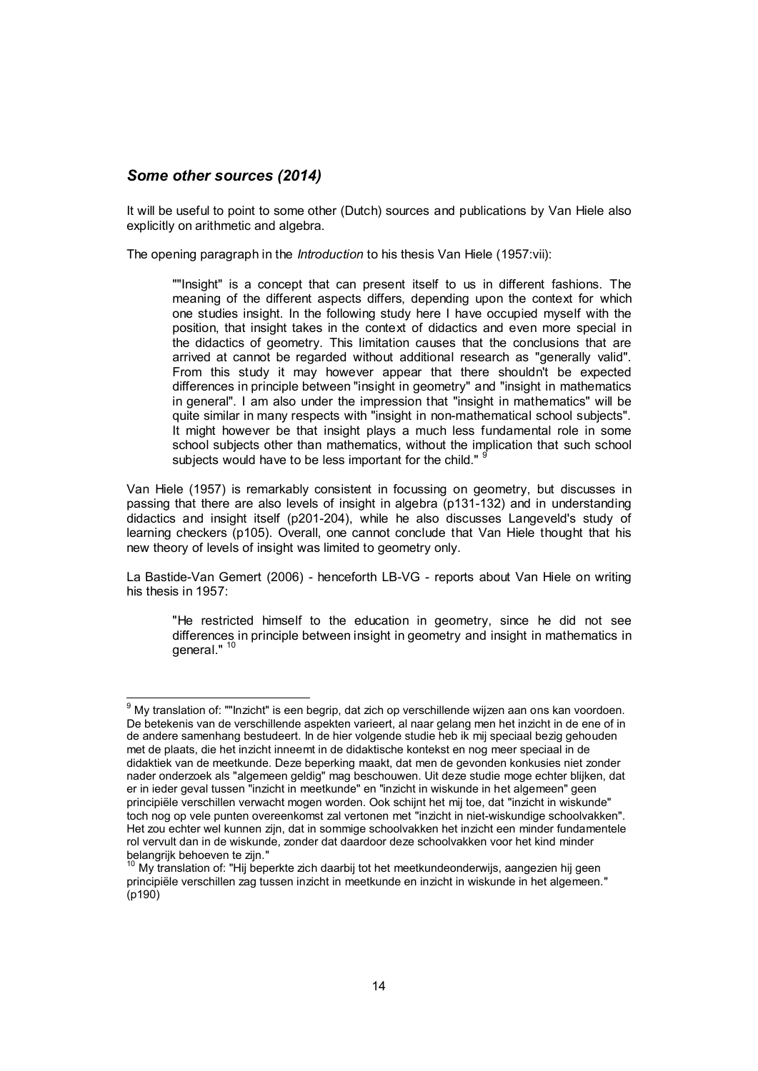### *Some other sources (2014)*

It will be useful to point to some other (Dutch) sources and publications by Van Hiele also explicitly on arithmetic and algebra.

The opening paragraph in the *Introduction* to his thesis Van Hiele (1957:vii):

""Insight" is a concept that can present itself to us in different fashions. The meaning of the different aspects differs, depending upon the context for which one studies insight. In the following study here I have occupied myself with the position, that insight takes in the context of didactics and even more special in the didactics of geometry. This limitation causes that the conclusions that are arrived at cannot be regarded without additional research as "generally valid". From this study it may however appear that there shouldn't be expected differences in principle between "insight in geometry" and "insight in mathematics in general". I am also under the impression that "insight in mathematics" will be quite similar in many respects with "insight in non-mathematical school subjects". It might however be that insight plays a much less fundamental role in some school subjects other than mathematics, without the implication that such school subjects would have to be less important for the child."

Van Hiele (1957) is remarkably consistent in focussing on geometry, but discusses in passing that there are also levels of insight in algebra (p131-132) and in understanding didactics and insight itself (p201-204), while he also discusses Langeveld's study of learning checkers (p105). Overall, one cannot conclude that Van Hiele thought that his new theory of levels of insight was limited to geometry only.

La Bastide-Van Gemert (2006) - henceforth LB-VG - reports about Van Hiele on writing his thesis in 1957:

"He restricted himself to the education in geometry, since he did not see differences in principle between insight in geometry and insight in mathematics in general."<sup>10</sup>

 <sup>9</sup> My translation of: ""Inzicht" is een begrip, dat zich op verschillende wijzen aan ons kan voordoen. De betekenis van de verschillende aspekten varieert, al naar gelang men het inzicht in de ene of in de andere samenhang bestudeert. In de hier volgende studie heb ik mij speciaal bezig gehouden met de plaats, die het inzicht inneemt in de didaktische kontekst en nog meer speciaal in de didaktiek van de meetkunde. Deze beperking maakt, dat men de gevonden konkusies niet zonder nader onderzoek als "algemeen geldig" mag beschouwen. Uit deze studie moge echter blijken, dat er in ieder geval tussen "inzicht in meetkunde" en "inzicht in wiskunde in het algemeen" geen principiële verschillen verwacht mogen worden. Ook schijnt het mij toe, dat "inzicht in wiskunde" toch nog op vele punten overeenkomst zal vertonen met "inzicht in niet-wiskundige schoolvakken". Het zou echter wel kunnen zijn, dat in sommige schoolvakken het inzicht een minder fundamentele rol vervult dan in de wiskunde, zonder dat daardoor deze schoolvakken voor het kind minder

belangrijk behoeven te zijn."<br><sup>10</sup> My translation of: "Hij beperkte zich daarbij tot het meetkundeonderwijs, aangezien hij geen principiële verschillen zag tussen inzicht in meetkunde en inzicht in wiskunde in het algemeen."  $(n190)$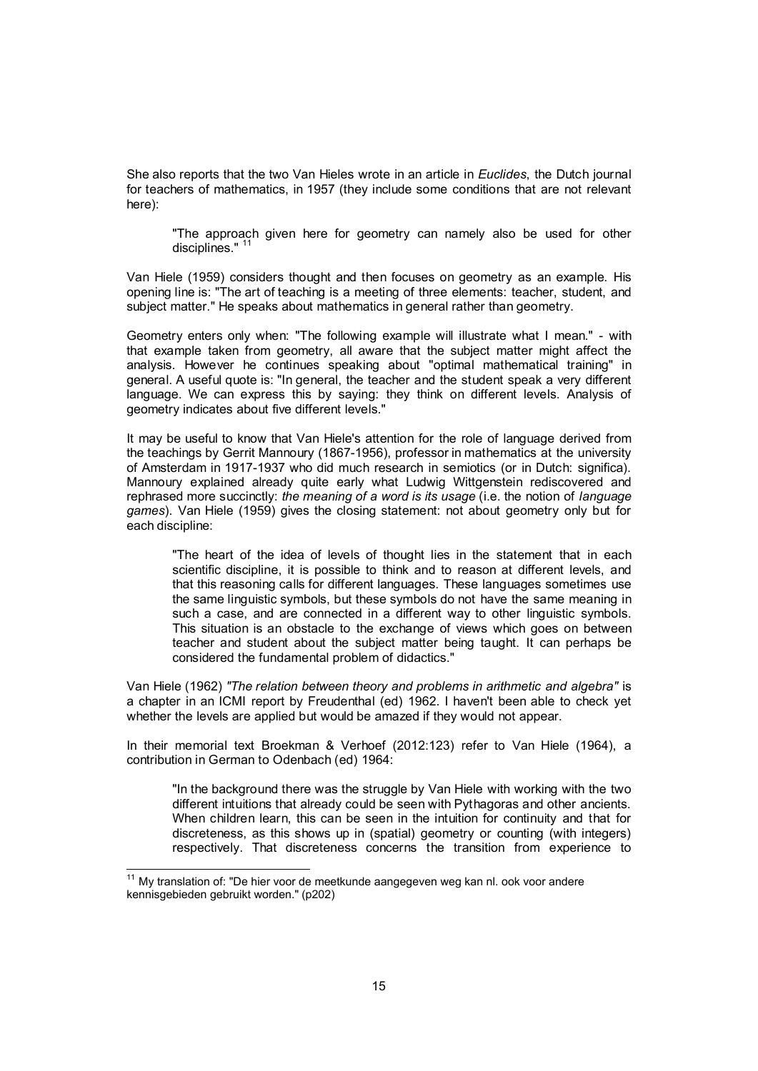She also reports that the two Van Hieles wrote in an article in *Euclides*, the Dutch journal for teachers of mathematics, in 1957 (they include some conditions that are not relevant here):

"The approach given here for geometry can namely also be used for other disciplines." <sup>11</sup>

Van Hiele (1959) considers thought and then focuses on geometry as an example. His opening line is: "The art of teaching is a meeting of three elements: teacher, student, and subject matter." He speaks about mathematics in general rather than geometry.

Geometry enters only when: "The following example will illustrate what I mean." - with that example taken from geometry, all aware that the subject matter might affect the analysis. However he continues speaking about "optimal mathematical training" in general. A useful quote is: "In general, the teacher and the student speak a very different language. We can express this by saying: they think on different levels. Analysis of geometry indicates about five different levels."

It may be useful to know that Van Hiele's attention for the role of language derived from the teachings by Gerrit Mannoury (1867-1956), professor in mathematics at the university of Amsterdam in 1917-1937 who did much research in semiotics (or in Dutch: significa). Mannoury explained already quite early what Ludwig Wittgenstein rediscovered and rephrased more succinctly: *the meaning of a word is its usage* (i.e. the notion of *language games*). Van Hiele (1959) gives the closing statement: not about geometry only but for each discipline:

"The heart of the idea of levels of thought lies in the statement that in each scientific discipline, it is possible to think and to reason at different levels, and that this reasoning calls for different languages. These languages sometimes use the same linguistic symbols, but these symbols do not have the same meaning in such a case, and are connected in a different way to other linguistic symbols. This situation is an obstacle to the exchange of views which goes on between teacher and student about the subject matter being taught. It can perhaps be considered the fundamental problem of didactics."

Van Hiele (1962) *"The relation between theory and problems in arithmetic and algebra"* is a chapter in an ICMI report by Freudenthal (ed) 1962. I haven't been able to check yet whether the levels are applied but would be amazed if they would not appear.

In their memorial text Broekman & Verhoef (2012:123) refer to Van Hiele (1964), a contribution in German to Odenbach (ed) 1964:

"In the background there was the struggle by Van Hiele with working with the two different intuitions that already could be seen with Pythagoras and other ancients. When children learn, this can be seen in the intuition for continuity and that for discreteness, as this shows up in (spatial) geometry or counting (with integers) respectively. That discreteness concerns the transition from experience to

 $11$  My translation of: "De hier voor de meetkunde aangegeven weg kan nl. ook voor andere kennisgebieden gebruikt worden." (p202)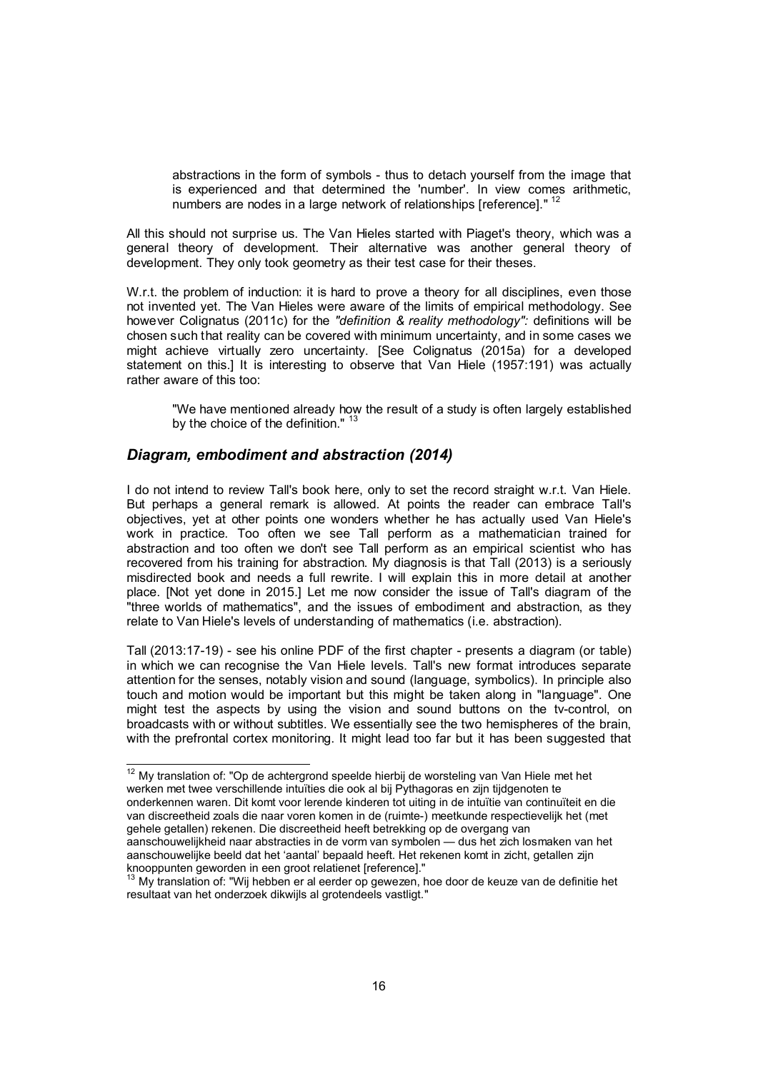abstractions in the form of symbols - thus to detach yourself from the image that is experienced and that determined the 'number'. In view comes arithmetic, numbers are nodes in a large network of relationships [reference]."<sup>12</sup>

All this should not surprise us. The Van Hieles started with Piaget's theory, which was a general theory of development. Their alternative was another general theory of development. They only took geometry as their test case for their theses.

W.r.t. the problem of induction: it is hard to prove a theory for all disciplines, even those not invented yet. The Van Hieles were aware of the limits of empirical methodology. See however Colignatus (2011c) for the *"definition & reality methodology":* definitions will be chosen such that reality can be covered with minimum uncertainty, and in some cases we might achieve virtually zero uncertainty. [See Colignatus (2015a) for a developed statement on this.] It is interesting to observe that Van Hiele (1957:191) was actually rather aware of this too:

"We have mentioned already how the result of a study is often largely established by the choice of the definition."<sup>13</sup>

### *Diagram, embodiment and abstraction (2014)*

I do not intend to review Tall's book here, only to set the record straight w.r.t. Van Hiele. But perhaps a general remark is allowed. At points the reader can embrace Tall's objectives, yet at other points one wonders whether he has actually used Van Hiele's work in practice. Too often we see Tall perform as a mathematician trained for abstraction and too often we don't see Tall perform as an empirical scientist who has recovered from his training for abstraction. My diagnosis is that Tall (2013) is a seriously misdirected book and needs a full rewrite. I will explain this in more detail at another place. [Not yet done in 2015.] Let me now consider the issue of Tall's diagram of the "three worlds of mathematics", and the issues of embodiment and abstraction, as they relate to Van Hiele's levels of understanding of mathematics (i.e. abstraction).

Tall (2013:17-19) - see his online PDF of the first chapter - presents a diagram (or table) in which we can recognise the Van Hiele levels. Tall's new format introduces separate attention for the senses, notably vision and sound (language, symbolics). In principle also touch and motion would be important but this might be taken along in "language". One might test the aspects by using the vision and sound buttons on the tv-control, on broadcasts with or without subtitles. We essentially see the two hemispheres of the brain, with the prefrontal cortex monitoring. It might lead too far but it has been suggested that

 $12$  My translation of: "Op de achtergrond speelde hierbij de worsteling van Van Hiele met het werken met twee verschillende intuïties die ook al bij Pythagoras en zijn tijdgenoten te onderkennen waren. Dit komt voor lerende kinderen tot uiting in de intuïtie van continuïteit en die van discreetheid zoals die naar voren komen in de (ruimte-) meetkunde respectievelijk het (met gehele getallen) rekenen. Die discreetheid heeft betrekking op de overgang van aanschouwelijkheid naar abstracties in de vorm van symbolen — dus het zich losmaken van het aanschouwelijke beeld dat het 'aantal' bepaald heeft. Het rekenen komt in zicht, getallen zijn knooppunten geworden in een groot relatienet [reference]."

<sup>&</sup>lt;sup>13</sup> My translation of: "Wij hebben er al eerder op gewezen, hoe door de keuze van de definitie het resultaat van het onderzoek dikwijls al grotendeels vastligt."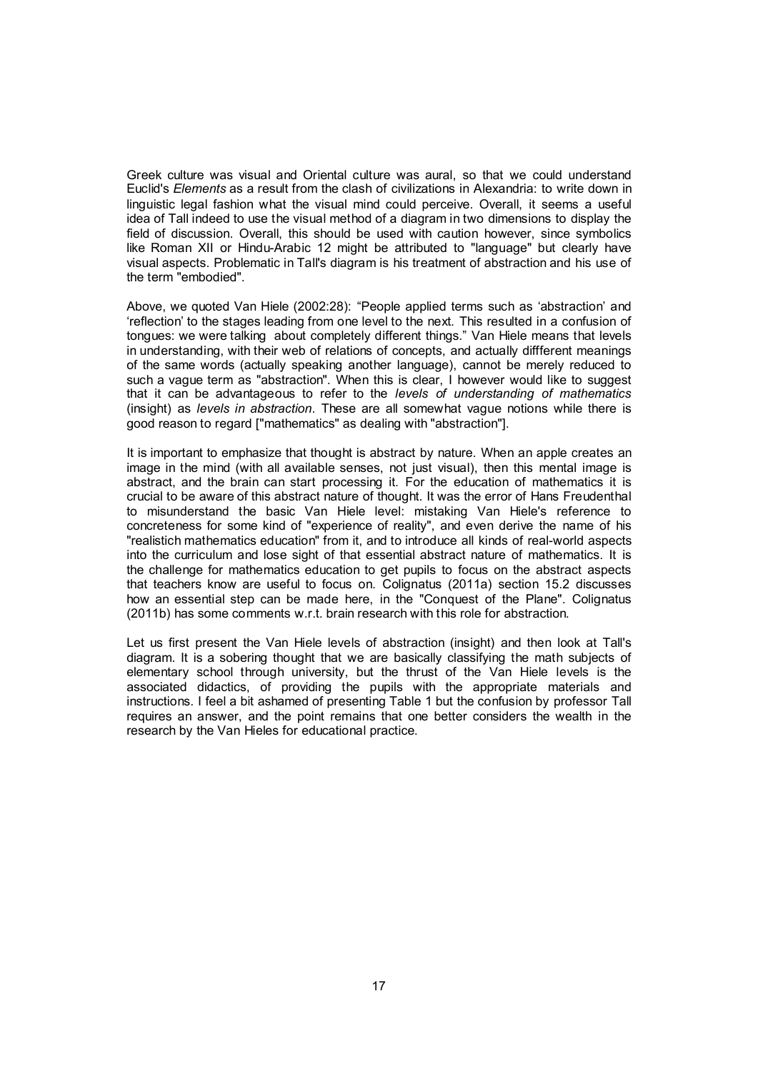Greek culture was visual and Oriental culture was aural, so that we could understand Euclid's *Elements* as a result from the clash of civilizations in Alexandria: to write down in linguistic legal fashion what the visual mind could perceive. Overall, it seems a useful idea of Tall indeed to use the visual method of a diagram in two dimensions to display the field of discussion. Overall, this should be used with caution however, since symbolics like Roman XII or Hindu-Arabic 12 might be attributed to "language" but clearly have visual aspects. Problematic in Tall's diagram is his treatment of abstraction and his use of the term "embodied".

Above, we quoted Van Hiele (2002:28): "People applied terms such as 'abstraction' and 'reflection' to the stages leading from one level to the next. This resulted in a confusion of tongues: we were talking about completely different things." Van Hiele means that levels in understanding, with their web of relations of concepts, and actually diffferent meanings of the same words (actually speaking another language), cannot be merely reduced to such a vague term as "abstraction". When this is clear, I however would like to suggest that it can be advantageous to refer to the *levels of understanding of mathematics* (insight) as *levels in abstraction*. These are all somewhat vague notions while there is good reason to regard ["mathematics" as dealing with "abstraction"].

It is important to emphasize that thought is abstract by nature. When an apple creates an image in the mind (with all available senses, not just visual), then this mental image is abstract, and the brain can start processing it. For the education of mathematics it is crucial to be aware of this abstract nature of thought. It was the error of Hans Freudenthal to misunderstand the basic Van Hiele level: mistaking Van Hiele's reference to concreteness for some kind of "experience of reality", and even derive the name of his "realistich mathematics education" from it, and to introduce all kinds of real-world aspects into the curriculum and lose sight of that essential abstract nature of mathematics. It is the challenge for mathematics education to get pupils to focus on the abstract aspects that teachers know are useful to focus on. Colignatus (2011a) section 15.2 discusses how an essential step can be made here, in the "Conquest of the Plane". Colignatus (2011b) has some comments w.r.t. brain research with this role for abstraction.

Let us first present the Van Hiele levels of abstraction (insight) and then look at Tall's diagram. It is a sobering thought that we are basically classifying the math subjects of elementary school through university, but the thrust of the Van Hiele levels is the associated didactics, of providing the pupils with the appropriate materials and instructions. I feel a bit ashamed of presenting Table 1 but the confusion by professor Tall requires an answer, and the point remains that one better considers the wealth in the research by the Van Hieles for educational practice.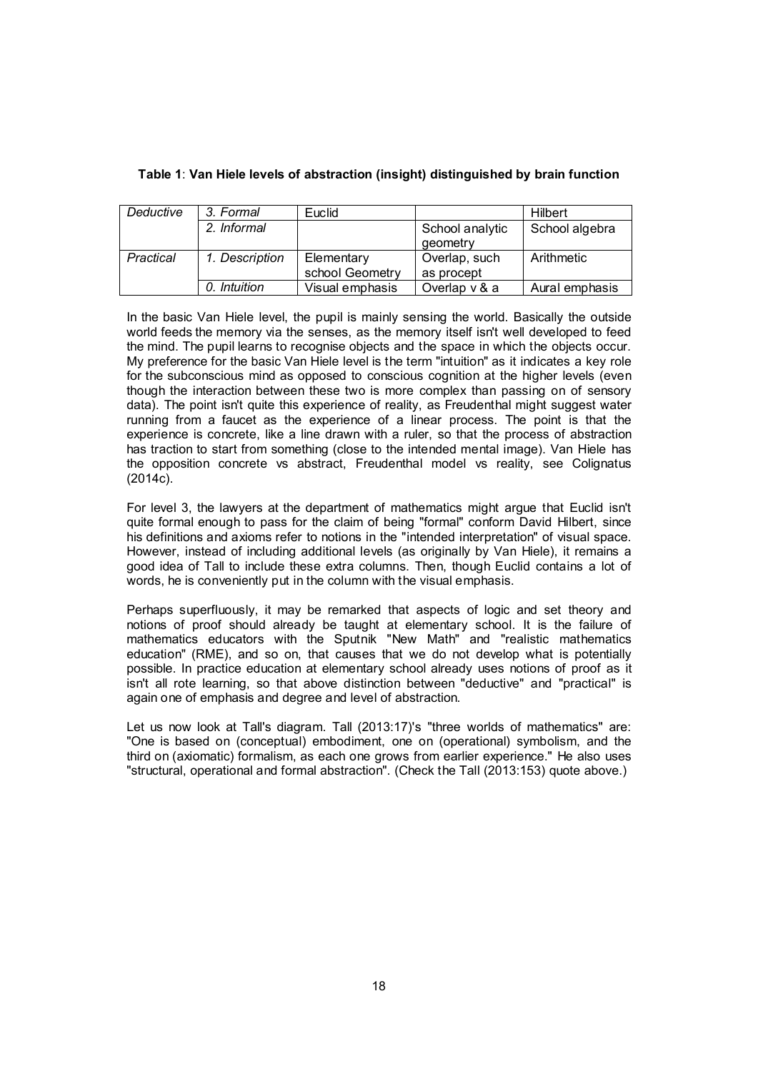| Deductive | 3. Formal      | Euclid          |                 | Hilbert        |
|-----------|----------------|-----------------|-----------------|----------------|
|           | 2. Informal    |                 | School analytic | School algebra |
|           |                |                 | geometry        |                |
| Practical | 1. Description | Elementary      | Overlap, such   | Arithmetic     |
|           |                | school Geometry | as procept      |                |
|           | 0. Intuition   | Visual emphasis | Overlap v & a   | Aural emphasis |

### Table 1: Van Hiele levels of abstraction (insight) distinguished by brain function

In the basic Van Hiele level, the pupil is mainly sensing the world. Basically the outside world feeds the memory via the senses, as the memory itself isn't well developed to feed the mind. The pupil learns to recognise objects and the space in which the objects occur. My preference for the basic Van Hiele level is the term "intuition" as it indicates a key role for the subconscious mind as opposed to conscious cognition at the higher levels (even though the interaction between these two is more complex than passing on of sensory data). The point isn't quite this experience of reality, as Freudenthal might suggest water running from a faucet as the experience of a linear process. The point is that the experience is concrete, like a line drawn with a ruler, so that the process of abstraction has traction to start from something (close to the intended mental image). Van Hiele has the opposition concrete vs abstract, Freudenthal model vs reality, see Colignatus (2014c).

For level 3, the lawyers at the department of mathematics might argue that Euclid isn't quite formal enough to pass for the claim of being "formal" conform David Hilbert, since his definitions and axioms refer to notions in the "intended interpretation" of visual space. However, instead of including additional levels (as originally by Van Hiele), it remains a good idea of Tall to include these extra columns. Then, though Euclid contains a lot of words, he is conveniently put in the column with the visual emphasis.

Perhaps superfluously, it may be remarked that aspects of logic and set theory and notions of proof should already be taught at elementary school. It is the failure of mathematics educators with the Sputnik "New Math" and "realistic mathematics education" (RME), and so on, that causes that we do not develop what is potentially possible. In practice education at elementary school already uses notions of proof as it isn't all rote learning, so that above distinction between "deductive" and "practical" is again one of emphasis and degree and level of abstraction.

Let us now look at Tall's diagram. Tall (2013:17)'s "three worlds of mathematics" are: "One is based on (conceptual) embodiment, one on (operational) symbolism, and the third on (axiomatic) formalism, as each one grows from earlier experience." He also uses "structural, operational and formal abstraction". (Check the Tall (2013:153) quote above.)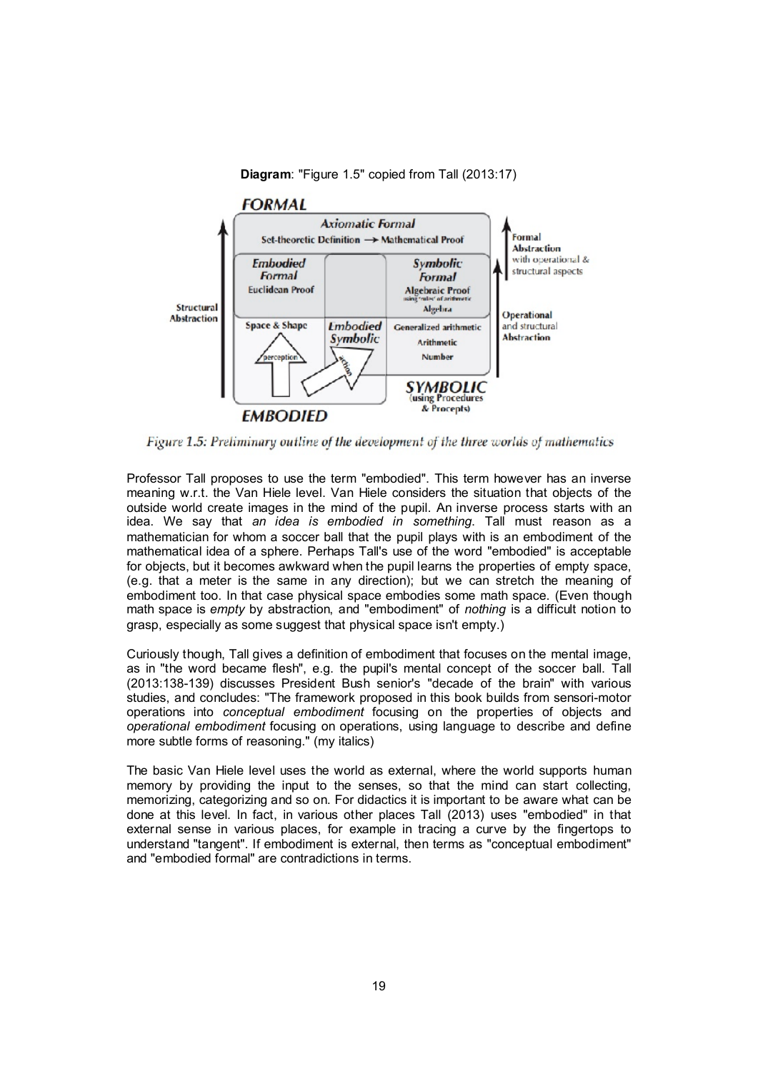#### Diagram: "Figure 1.5" copied from Tall (2013:17)



Figure 1.5: Preliminary outline of the development of the three worlds of mathematics

Professor Tall proposes to use the term "embodied". This term however has an inverse meaning w.r.t. the Van Hiele level. Van Hiele considers the situation that objects of the outside world create images in the mind of the pupil. An inverse process starts with an idea. We say that *an idea is embodied in something*. Tall must reason as a mathematician for whom a soccer ball that the pupil plays with is an embodiment of the mathematical idea of a sphere. Perhaps Tall's use of the word "embodied" is acceptable for objects, but it becomes awkward when the pupil learns the properties of empty space, (e.g. that a meter is the same in any direction); but we can stretch the meaning of embodiment too. In that case physical space embodies some math space. (Even though math space is *empty* by abstraction, and "embodiment" of *nothing* is a difficult notion to grasp, especially as some suggest that physical space isn't empty.)

Curiously though, Tall gives a definition of embodiment that focuses on the mental image, as in "the word became flesh", e.g. the pupil's mental concept of the soccer ball. Tall (2013:138-139) discusses President Bush senior's "decade of the brain" with various studies, and concludes: "The framework proposed in this book builds from sensori-motor operations into *conceptual embodiment* focusing on the properties of objects and *operational embodiment* focusing on operations, using language to describe and define more subtle forms of reasoning." (my italics)

The basic Van Hiele level uses the world as external, where the world supports human memory by providing the input to the senses, so that the mind can start collecting, memorizing, categorizing and so on. For didactics it is important to be aware what can be done at this level. In fact, in various other places Tall (2013) uses "embodied" in that external sense in various places, for example in tracing a curve by the fingertops to understand "tangent". If embodiment is external, then terms as "conceptual embodiment" and "embodied formal" are contradictions in terms.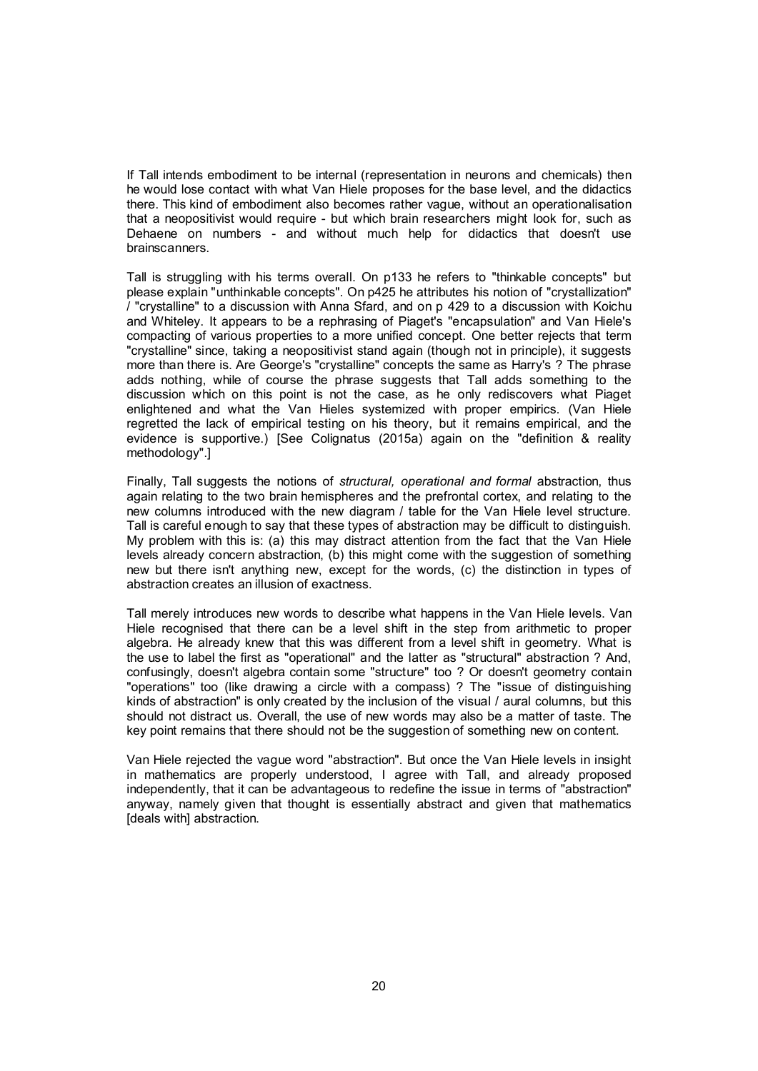If Tall intends embodiment to be internal (representation in neurons and chemicals) then he would lose contact with what Van Hiele proposes for the base level, and the didactics there. This kind of embodiment also becomes rather vague, without an operationalisation that a neopositivist would require - but which brain researchers might look for, such as Dehaene on numbers - and without much help for didactics that doesn't use brainscanners.

Tall is struggling with his terms overall. On p133 he refers to "thinkable concepts" but please explain "unthinkable concepts". On p425 he attributes his notion of "crystallization" / "crystalline" to a discussion with Anna Sfard, and on p 429 to a discussion with Koichu and Whiteley. It appears to be a rephrasing of Piaget's "encapsulation" and Van Hiele's compacting of various properties to a more unified concept. One better rejects that term "crystalline" since, taking a neopositivist stand again (though not in principle), it suggests more than there is. Are George's "crystalline" concepts the same as Harry's ? The phrase adds nothing, while of course the phrase suggests that Tall adds something to the discussion which on this point is not the case, as he only rediscovers what Piaget enlightened and what the Van Hieles systemized with proper empirics. (Van Hiele regretted the lack of empirical testing on his theory, but it remains empirical, and the evidence is supportive.) [See Colignatus (2015a) again on the "definition & reality methodology".]

Finally, Tall suggests the notions of *structural, operational and formal* abstraction, thus again relating to the two brain hemispheres and the prefrontal cortex, and relating to the new columns introduced with the new diagram / table for the Van Hiele level structure. Tall is careful enough to say that these types of abstraction may be difficult to distinguish. My problem with this is: (a) this may distract attention from the fact that the Van Hiele levels already concern abstraction, (b) this might come with the suggestion of something new but there isn't anything new, except for the words, (c) the distinction in types of abstraction creates an illusion of exactness.

Tall merely introduces new words to describe what happens in the Van Hiele levels. Van Hiele recognised that there can be a level shift in the step from arithmetic to proper algebra. He already knew that this was different from a level shift in geometry. What is the use to label the first as "operational" and the latter as "structural" abstraction ? And, confusingly, doesn't algebra contain some "structure" too ? Or doesn't geometry contain "operations" too (like drawing a circle with a compass) ? The "issue of distinguishing kinds of abstraction" is only created by the inclusion of the visual / aural columns, but this should not distract us. Overall, the use of new words may also be a matter of taste. The key point remains that there should not be the suggestion of something new on content.

Van Hiele rejected the vague word "abstraction". But once the Van Hiele levels in insight in mathematics are properly understood, I agree with Tall, and already proposed independently, that it can be advantageous to redefine the issue in terms of "abstraction" anyway, namely given that thought is essentially abstract and given that mathematics [deals with] abstraction.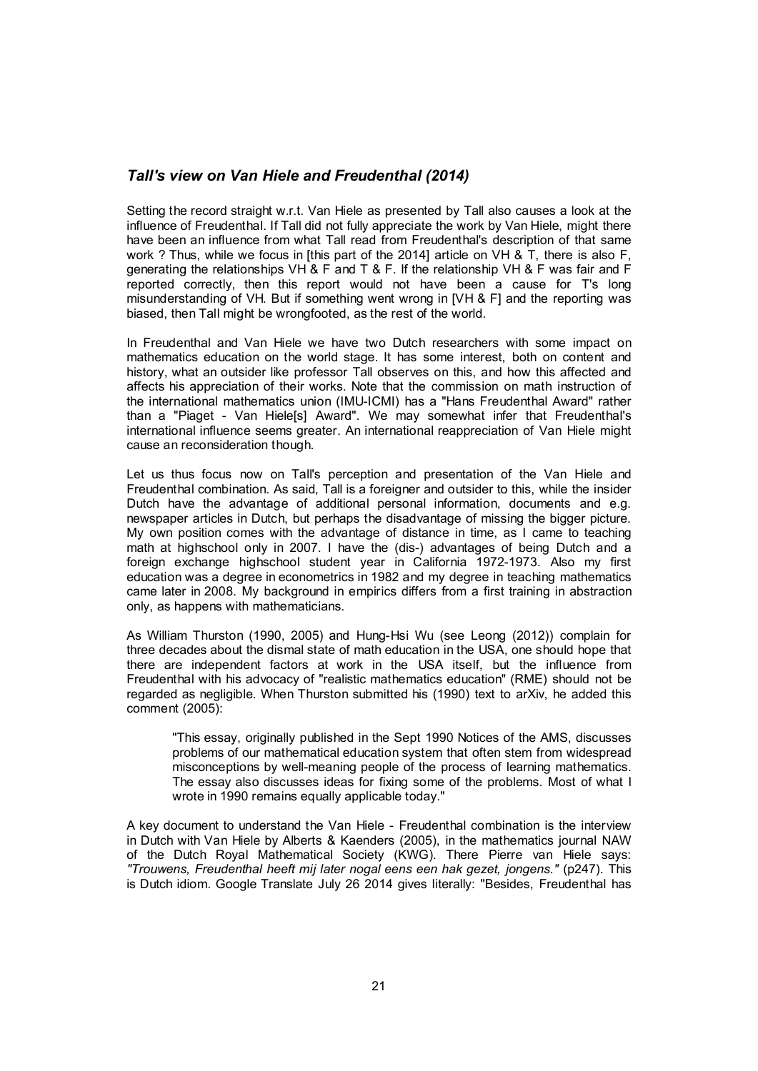# *Tall's view on Van Hiele and Freudenthal (2014)*

Setting the record straight w.r.t. Van Hiele as presented by Tall also causes a look at the influence of Freudenthal. If Tall did not fully appreciate the work by Van Hiele, might there have been an influence from what Tall read from Freudenthal's description of that same work ? Thus, while we focus in [this part of the 2014] article on VH & T, there is also F, generating the relationships VH & F and T & F. If the relationship VH & F was fair and F reported correctly, then this report would not have been a cause for T's long misunderstanding of VH. But if something went wrong in [VH & F] and the reporting was biased, then Tall might be wrongfooted, as the rest of the world.

In Freudenthal and Van Hiele we have two Dutch researchers with some impact on mathematics education on the world stage. It has some interest, both on content and history, what an outsider like professor Tall observes on this, and how this affected and affects his appreciation of their works. Note that the commission on math instruction of the international mathematics union (IMU-ICMI) has a "Hans Freudenthal Award" rather than a "Piaget - Van Hiele[s] Award". We may somewhat infer that Freudenthal's international influence seems greater. An international reappreciation of Van Hiele might cause an reconsideration though.

Let us thus focus now on Tall's perception and presentation of the Van Hiele and Freudenthal combination. As said, Tall is a foreigner and outsider to this, while the insider Dutch have the advantage of additional personal information, documents and e.g. newspaper articles in Dutch, but perhaps the disadvantage of missing the bigger picture. My own position comes with the advantage of distance in time, as I came to teaching math at highschool only in 2007. I have the (dis-) advantages of being Dutch and a foreign exchange highschool student year in California 1972-1973. Also my first education was a degree in econometrics in 1982 and my degree in teaching mathematics came later in 2008. My background in empirics differs from a first training in abstraction only, as happens with mathematicians.

As William Thurston (1990, 2005) and Hung-Hsi Wu (see Leong (2012)) complain for three decades about the dismal state of math education in the USA, one should hope that there are independent factors at work in the USA itself, but the influence from Freudenthal with his advocacy of "realistic mathematics education" (RME) should not be regarded as negligible. When Thurston submitted his (1990) text to arXiv, he added this comment (2005):

"This essay, originally published in the Sept 1990 Notices of the AMS, discusses problems of our mathematical education system that often stem from widespread misconceptions by well-meaning people of the process of learning mathematics. The essay also discusses ideas for fixing some of the problems. Most of what I wrote in 1990 remains equally applicable today."

A key document to understand the Van Hiele - Freudenthal combination is the interview in Dutch with Van Hiele by Alberts & Kaenders (2005), in the mathematics journal NAW of the Dutch Royal Mathematical Society (KWG). There Pierre van Hiele says: *"Trouwens, Freudenthal heeft mij later nogal eens een hak gezet, jongens."* (p247). This is Dutch idiom. Google Translate July 26 2014 gives literally: "Besides, Freudenthal has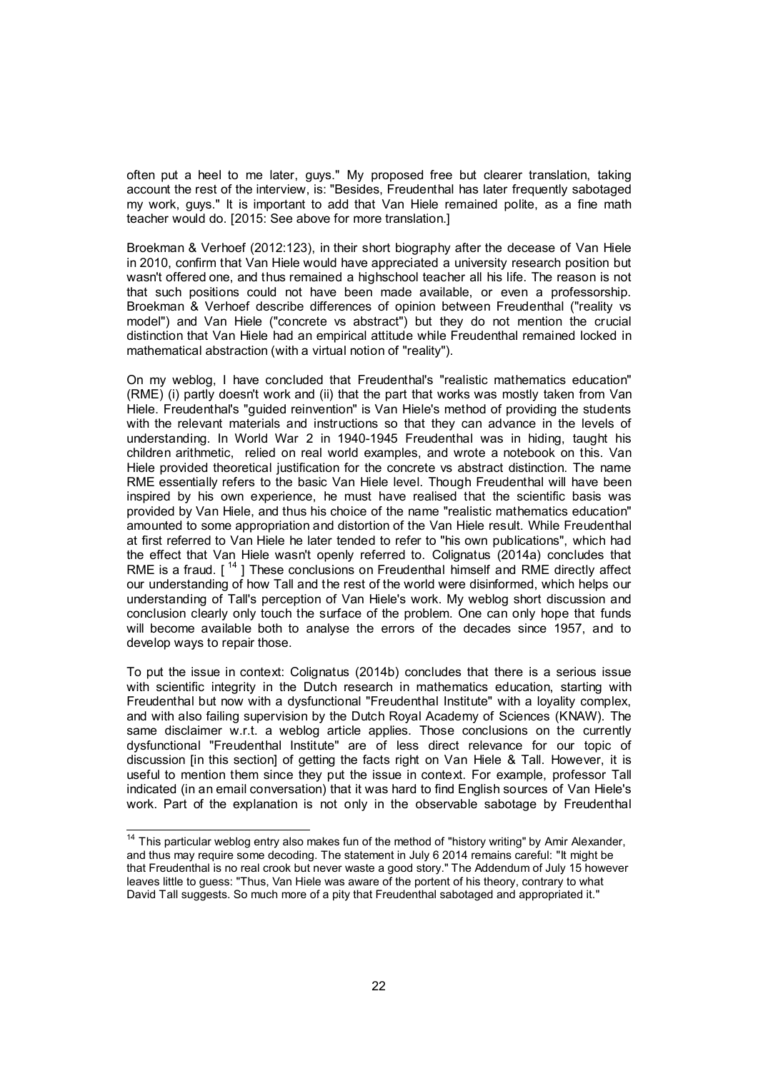often put a heel to me later, guys." My proposed free but clearer translation, taking account the rest of the interview, is: "Besides, Freudenthal has later frequently sabotaged my work, guys." It is important to add that Van Hiele remained polite, as a fine math teacher would do. [2015: See above for more translation.]

Broekman & Verhoef (2012:123), in their short biography after the decease of Van Hiele in 2010, confirm that Van Hiele would have appreciated a university research position but wasn't offered one, and thus remained a highschool teacher all his life. The reason is not that such positions could not have been made available, or even a professorship. Broekman & Verhoef describe differences of opinion between Freudenthal ("reality vs model") and Van Hiele ("concrete vs abstract") but they do not mention the crucial distinction that Van Hiele had an empirical attitude while Freudenthal remained locked in mathematical abstraction (with a virtual notion of "reality").

On my weblog, I have concluded that Freudenthal's "realistic mathematics education" (RME) (i) partly doesn't work and (ii) that the part that works was mostly taken from Van Hiele. Freudenthal's "guided reinvention" is Van Hiele's method of providing the students with the relevant materials and instructions so that they can advance in the levels of understanding. In World War 2 in 1940-1945 Freudenthal was in hiding, taught his children arithmetic, relied on real world examples, and wrote a notebook on this. Van Hiele provided theoretical justification for the concrete vs abstract distinction. The name RME essentially refers to the basic Van Hiele level. Though Freudenthal will have been inspired by his own experience, he must have realised that the scientific basis was provided by Van Hiele, and thus his choice of the name "realistic mathematics education" amounted to some appropriation and distortion of the Van Hiele result. While Freudenthal at first referred to Van Hiele he later tended to refer to "his own publications", which had the effect that Van Hiele wasn't openly referred to. Colignatus (2014a) concludes that RME is a fraud.  $I^{14}$  ] These conclusions on Freudenthal himself and RME directly affect our understanding of how Tall and the rest of the world were disinformed, which helps our understanding of Tall's perception of Van Hiele's work. My weblog short discussion and conclusion clearly only touch the surface of the problem. One can only hope that funds will become available both to analyse the errors of the decades since 1957, and to develop ways to repair those.

To put the issue in context: Colignatus (2014b) concludes that there is a serious issue with scientific integrity in the Dutch research in mathematics education, starting with Freudenthal but now with a dysfunctional "Freudenthal Institute" with a loyality complex, and with also failing supervision by the Dutch Royal Academy of Sciences (KNAW). The same disclaimer w.r.t. a weblog article applies. Those conclusions on the currently dysfunctional "Freudenthal Institute" are of less direct relevance for our topic of discussion [in this section] of getting the facts right on Van Hiele & Tall. However, it is useful to mention them since they put the issue in context. For example, professor Tall indicated (in an email conversation) that it was hard to find English sources of Van Hiele's work. Part of the explanation is not only in the observable sabotage by Freudenthal

<sup>&</sup>lt;sup>14</sup> This particular weblog entry also makes fun of the method of "history writing" by Amir Alexander, and thus may require some decoding. The statement in July 6 2014 remains careful: "It might be that Freudenthal is no real crook but never waste a good story." The Addendum of July 15 however leaves little to guess: "Thus, Van Hiele was aware of the portent of his theory, contrary to what David Tall suggests. So much more of a pity that Freudenthal sabotaged and appropriated it."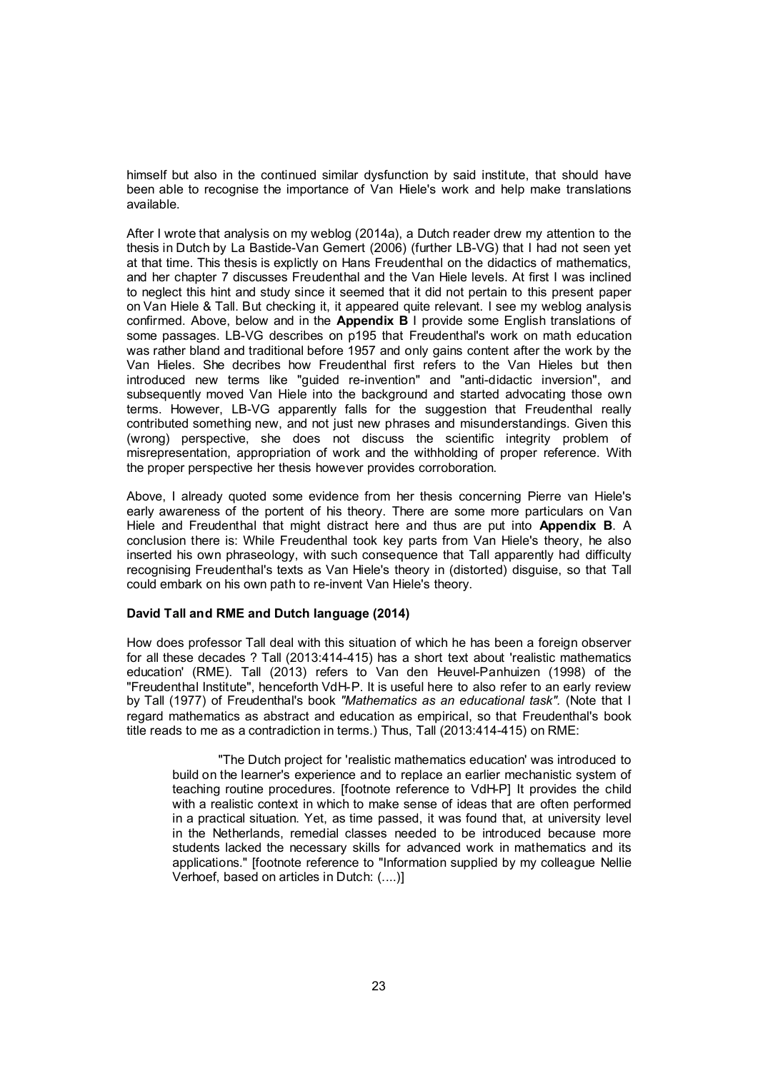himself but also in the continued similar dysfunction by said institute, that should have been able to recognise the importance of Van Hiele's work and help make translations available.

After I wrote that analysis on my weblog (2014a), a Dutch reader drew my attention to the thesis in Dutch by La Bastide-Van Gemert (2006) (further LB-VG) that I had not seen yet at that time. This thesis is explictly on Hans Freudenthal on the didactics of mathematics, and her chapter 7 discusses Freudenthal and the Van Hiele levels. At first I was inclined to neglect this hint and study since it seemed that it did not pertain to this present paper on Van Hiele & Tall. But checking it, it appeared quite relevant. I see my weblog analysis confirmed. Above, below and in the Appendix B I provide some English translations of some passages. LB-VG describes on p195 that Freudenthal's work on math education was rather bland and traditional before 1957 and only gains content after the work by the Van Hieles. She decribes how Freudenthal first refers to the Van Hieles but then introduced new terms like "guided re-invention" and "anti-didactic inversion", and subsequently moved Van Hiele into the background and started advocating those own terms. However, LB-VG apparently falls for the suggestion that Freudenthal really contributed something new, and not just new phrases and misunderstandings. Given this (wrong) perspective, she does not discuss the scientific integrity problem of misrepresentation, appropriation of work and the withholding of proper reference. With the proper perspective her thesis however provides corroboration.

Above, I already quoted some evidence from her thesis concerning Pierre van Hiele's early awareness of the portent of his theory. There are some more particulars on Van Hiele and Freudenthal that might distract here and thus are put into Appendix B. A conclusion there is: While Freudenthal took key parts from Van Hiele's theory, he also inserted his own phraseology, with such consequence that Tall apparently had difficulty recognising Freudenthal's texts as Van Hiele's theory in (distorted) disguise, so that Tall could embark on his own path to re-invent Van Hiele's theory.

#### David Tall and RME and Dutch language (2014)

How does professor Tall deal with this situation of which he has been a foreign observer for all these decades ? Tall (2013:414-415) has a short text about 'realistic mathematics education' (RME). Tall (2013) refers to Van den Heuvel-Panhuizen (1998) of the "Freudenthal Institute", henceforth VdH-P. It is useful here to also refer to an early review by Tall (1977) of Freudenthal's book *"Mathematics as an educational task".* (Note that I regard mathematics as abstract and education as empirical, so that Freudenthal's book title reads to me as a contradiction in terms.) Thus, Tall (2013:414-415) on RME:

"The Dutch project for 'realistic mathematics education' was introduced to build on the learner's experience and to replace an earlier mechanistic system of teaching routine procedures. [footnote reference to VdH-P] It provides the child with a realistic context in which to make sense of ideas that are often performed in a practical situation. Yet, as time passed, it was found that, at university level in the Netherlands, remedial classes needed to be introduced because more students lacked the necessary skills for advanced work in mathematics and its applications." [footnote reference to "Information supplied by my colleague Nellie Verhoef, based on articles in Dutch: (....)]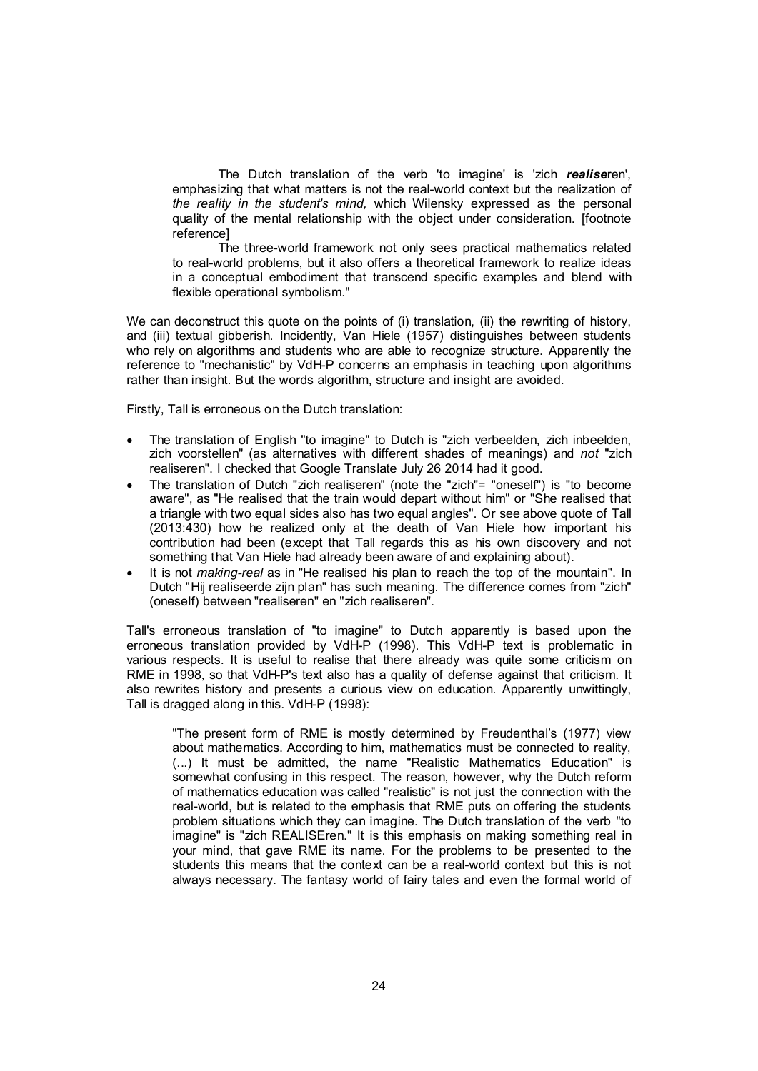The Dutch translation of the verb 'to imagine' is 'zich *realise*ren', emphasizing that what matters is not the real-world context but the realization of *the reality in the student's mind,* which Wilensky expressed as the personal quality of the mental relationship with the object under consideration. [footnote reference]

The three-world framework not only sees practical mathematics related to real-world problems, but it also offers a theoretical framework to realize ideas in a conceptual embodiment that transcend specific examples and blend with flexible operational symbolism."

We can deconstruct this quote on the points of (i) translation, (ii) the rewriting of history, and (iii) textual gibberish. Incidently, Van Hiele (1957) distinguishes between students who rely on algorithms and students who are able to recognize structure. Apparently the reference to "mechanistic" by VdH-P concerns an emphasis in teaching upon algorithms rather than insight. But the words algorithm, structure and insight are avoided.

Firstly, Tall is erroneous on the Dutch translation:

- The translation of English "to imagine" to Dutch is "zich verbeelden, zich inbeelden, zich voorstellen" (as alternatives with different shades of meanings) and *not* "zich realiseren". I checked that Google Translate July 26 2014 had it good.
- The translation of Dutch "zich realiseren" (note the "zich"= "oneself") is "to become aware", as "He realised that the train would depart without him" or "She realised that a triangle with two equal sides also has two equal angles". Or see above quote of Tall (2013:430) how he realized only at the death of Van Hiele how important his contribution had been (except that Tall regards this as his own discovery and not something that Van Hiele had already been aware of and explaining about).
- It is not *making-real* as in "He realised his plan to reach the top of the mountain". In Dutch "Hij realiseerde zijn plan" has such meaning. The difference comes from "zich" (oneself) between "realiseren" en "zich realiseren".

Tall's erroneous translation of "to imagine" to Dutch apparently is based upon the erroneous translation provided by VdH-P (1998). This VdH-P text is problematic in various respects. It is useful to realise that there already was quite some criticism on RME in 1998, so that VdH-P's text also has a quality of defense against that criticism. It also rewrites history and presents a curious view on education. Apparently unwittingly, Tall is dragged along in this. VdH-P (1998):

"The present form of RME is mostly determined by Freudenthal's (1977) view about mathematics. According to him, mathematics must be connected to reality, (...) It must be admitted, the name "Realistic Mathematics Education" is somewhat confusing in this respect. The reason, however, why the Dutch reform of mathematics education was called "realistic" is not just the connection with the real-world, but is related to the emphasis that RME puts on offering the students problem situations which they can imagine. The Dutch translation of the verb "to imagine" is "zich REALISEren." It is this emphasis on making something real in your mind, that gave RME its name. For the problems to be presented to the students this means that the context can be a real-world context but this is not always necessary. The fantasy world of fairy tales and even the formal world of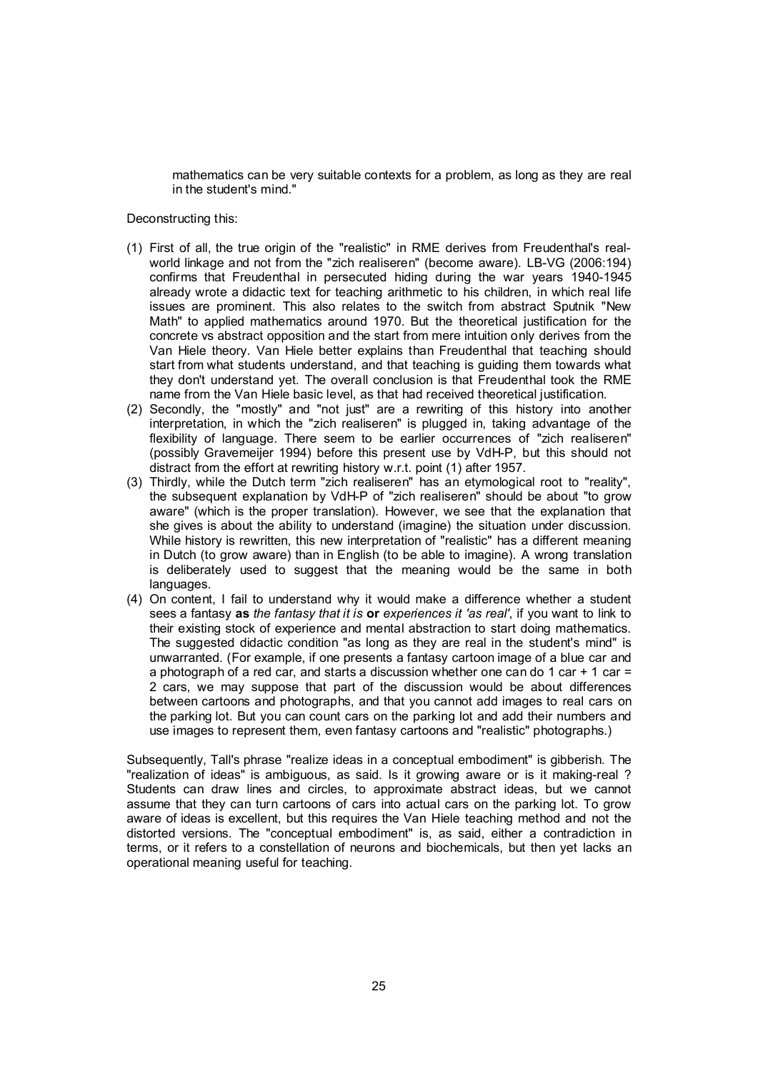mathematics can be very suitable contexts for a problem, as long as they are real in the student's mind."

Deconstructing this:

- (1) First of all, the true origin of the "realistic" in RME derives from Freudenthal's realworld linkage and not from the "zich realiseren" (become aware). LB-VG (2006:194) confirms that Freudenthal in persecuted hiding during the war years 1940-1945 already wrote a didactic text for teaching arithmetic to his children, in which real life issues are prominent. This also relates to the switch from abstract Sputnik "New Math" to applied mathematics around 1970. But the theoretical justification for the concrete vs abstract opposition and the start from mere intuition only derives from the Van Hiele theory. Van Hiele better explains than Freudenthal that teaching should start from what students understand, and that teaching is guiding them towards what they don't understand yet. The overall conclusion is that Freudenthal took the RME name from the Van Hiele basic level, as that had received theoretical justification.
- (2) Secondly, the "mostly" and "not just" are a rewriting of this history into another interpretation, in which the "zich realiseren" is plugged in, taking advantage of the flexibility of language. There seem to be earlier occurrences of "zich realiseren" (possibly Gravemeijer 1994) before this present use by VdH-P, but this should not distract from the effort at rewriting history w.r.t. point (1) after 1957.
- (3) Thirdly, while the Dutch term "zich realiseren" has an etymological root to "reality", the subsequent explanation by VdH-P of "zich realiseren" should be about "to grow aware" (which is the proper translation). However, we see that the explanation that she gives is about the ability to understand (imagine) the situation under discussion. While history is rewritten, this new interpretation of "realistic" has a different meaning in Dutch (to grow aware) than in English (to be able to imagine). A wrong translation is deliberately used to suggest that the meaning would be the same in both languages.
- (4) On content, I fail to understand why it would make a difference whether a student sees a fantasy as *the fantasy that it is* or *experiences it 'as real'*, if you want to link to their existing stock of experience and mental abstraction to start doing mathematics. The suggested didactic condition "as long as they are real in the student's mind" is unwarranted. (For example, if one presents a fantasy cartoon image of a blue car and a photograph of a red car, and starts a discussion whether one can do 1 car  $+$  1 car = 2 cars, we may suppose that part of the discussion would be about differences between cartoons and photographs, and that you cannot add images to real cars on the parking lot. But you can count cars on the parking lot and add their numbers and use images to represent them, even fantasy cartoons and "realistic" photographs.)

Subsequently, Tall's phrase "realize ideas in a conceptual embodiment" is gibberish. The "realization of ideas" is ambiguous, as said. Is it growing aware or is it making-real ? Students can draw lines and circles, to approximate abstract ideas, but we cannot assume that they can turn cartoons of cars into actual cars on the parking lot. To grow aware of ideas is excellent, but this requires the Van Hiele teaching method and not the distorted versions. The "conceptual embodiment" is, as said, either a contradiction in terms, or it refers to a constellation of neurons and biochemicals, but then yet lacks an operational meaning useful for teaching.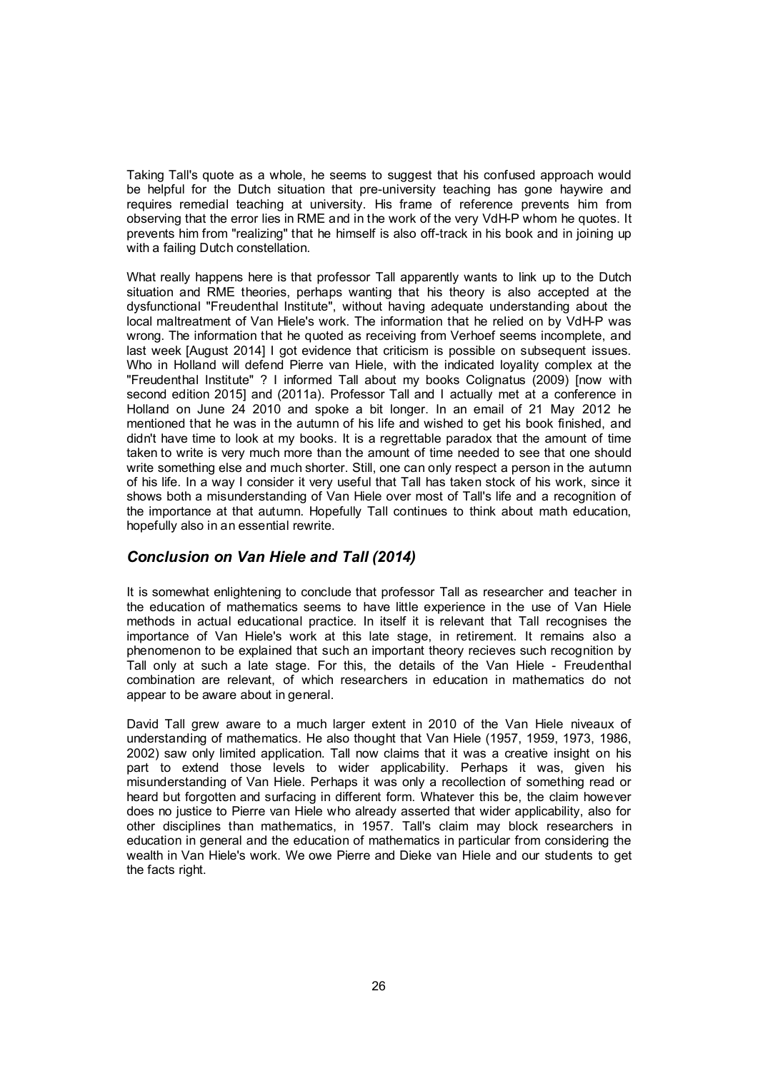Taking Tall's quote as a whole, he seems to suggest that his confused approach would be helpful for the Dutch situation that pre-university teaching has gone haywire and requires remedial teaching at university. His frame of reference prevents him from observing that the error lies in RME and in the work of the very VdH-P whom he quotes. It prevents him from "realizing" that he himself is also off-track in his book and in joining up with a failing Dutch constellation.

What really happens here is that professor Tall apparently wants to link up to the Dutch situation and RME theories, perhaps wanting that his theory is also accepted at the dysfunctional "Freudenthal Institute", without having adequate understanding about the local maltreatment of Van Hiele's work. The information that he relied on by VdH-P was wrong. The information that he quoted as receiving from Verhoef seems incomplete, and last week [August 2014] I got evidence that criticism is possible on subsequent issues. Who in Holland will defend Pierre van Hiele, with the indicated loyality complex at the "Freudenthal Institute" ? I informed Tall about my books Colignatus (2009) [now with second edition 2015] and (2011a). Professor Tall and I actually met at a conference in Holland on June 24 2010 and spoke a bit longer. In an email of 21 May 2012 he mentioned that he was in the autumn of his life and wished to get his book finished, and didn't have time to look at my books. It is a regrettable paradox that the amount of time taken to write is very much more than the amount of time needed to see that one should write something else and much shorter. Still, one can only respect a person in the autumn of his life. In a way I consider it very useful that Tall has taken stock of his work, since it shows both a misunderstanding of Van Hiele over most of Tall's life and a recognition of the importance at that autumn. Hopefully Tall continues to think about math education, hopefully also in an essential rewrite.

# *Conclusion on Van Hiele and Tall (2014)*

It is somewhat enlightening to conclude that professor Tall as researcher and teacher in the education of mathematics seems to have little experience in the use of Van Hiele methods in actual educational practice. In itself it is relevant that Tall recognises the importance of Van Hiele's work at this late stage, in retirement. It remains also a phenomenon to be explained that such an important theory recieves such recognition by Tall only at such a late stage. For this, the details of the Van Hiele - Freudenthal combination are relevant, of which researchers in education in mathematics do not appear to be aware about in general.

David Tall grew aware to a much larger extent in 2010 of the Van Hiele niveaux of understanding of mathematics. He also thought that Van Hiele (1957, 1959, 1973, 1986, 2002) saw only limited application. Tall now claims that it was a creative insight on his part to extend those levels to wider applicability. Perhaps it was, given his misunderstanding of Van Hiele. Perhaps it was only a recollection of something read or heard but forgotten and surfacing in different form. Whatever this be, the claim however does no justice to Pierre van Hiele who already asserted that wider applicability, also for other disciplines than mathematics, in 1957. Tall's claim may block researchers in education in general and the education of mathematics in particular from considering the wealth in Van Hiele's work. We owe Pierre and Dieke van Hiele and our students to get the facts right.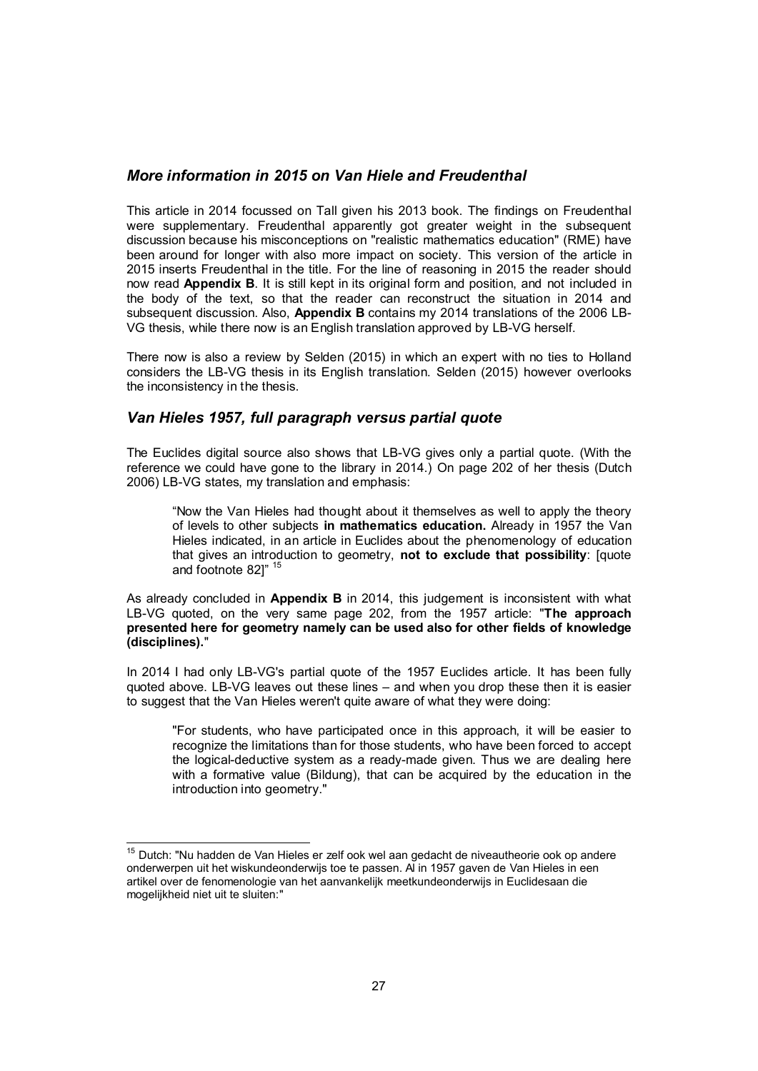### *More information in 2015 on Van Hiele and Freudenthal*

This article in 2014 focussed on Tall given his 2013 book. The findings on Freudenthal were supplementary. Freudenthal apparently got greater weight in the subsequent discussion because his misconceptions on "realistic mathematics education" (RME) have been around for longer with also more impact on society. This version of the article in 2015 inserts Freudenthal in the title. For the line of reasoning in 2015 the reader should now read Appendix B. It is still kept in its original form and position, and not included in the body of the text, so that the reader can reconstruct the situation in 2014 and subsequent discussion. Also, Appendix B contains my 2014 translations of the 2006 LB-VG thesis, while there now is an English translation approved by LB-VG herself.

There now is also a review by Selden (2015) in which an expert with no ties to Holland considers the LB-VG thesis in its English translation. Selden (2015) however overlooks the inconsistency in the thesis.

### *Van Hieles 1957, full paragraph versus partial quote*

The Euclides digital source also shows that LB-VG gives only a partial quote. (With the reference we could have gone to the library in 2014.) On page 202 of her thesis (Dutch 2006) LB-VG states, my translation and emphasis:

"Now the Van Hieles had thought about it themselves as well to apply the theory of levels to other subjects in mathematics education. Already in 1957 the Van Hieles indicated, in an article in Euclides about the phenomenology of education that gives an introduction to geometry, not to exclude that possibility: [quote and footnote 82]" 15

As already concluded in Appendix B in 2014, this judgement is inconsistent with what LB-VG quoted, on the very same page 202, from the 1957 article: "The approach presented here for geometry namely can be used also for other fields of knowledge (disciplines)."

In 2014 I had only LB-VG's partial quote of the 1957 Euclides article. It has been fully quoted above. LB-VG leaves out these lines – and when you drop these then it is easier to suggest that the Van Hieles weren't quite aware of what they were doing:

"For students, who have participated once in this approach, it will be easier to recognize the limitations than for those students, who have been forced to accept the logical-deductive system as a ready-made given. Thus we are dealing here with a formative value (Bildung), that can be acquired by the education in the introduction into geometry."

<sup>&</sup>lt;sup>15</sup> Dutch: "Nu hadden de Van Hieles er zelf ook wel aan gedacht de niveautheorie ook op andere onderwerpen uit het wiskundeonderwijs toe te passen. Al in 1957 gaven de Van Hieles in een artikel over de fenomenologie van het aanvankelijk meetkundeonderwijs in Euclidesaan die mogelijkheid niet uit te sluiten:"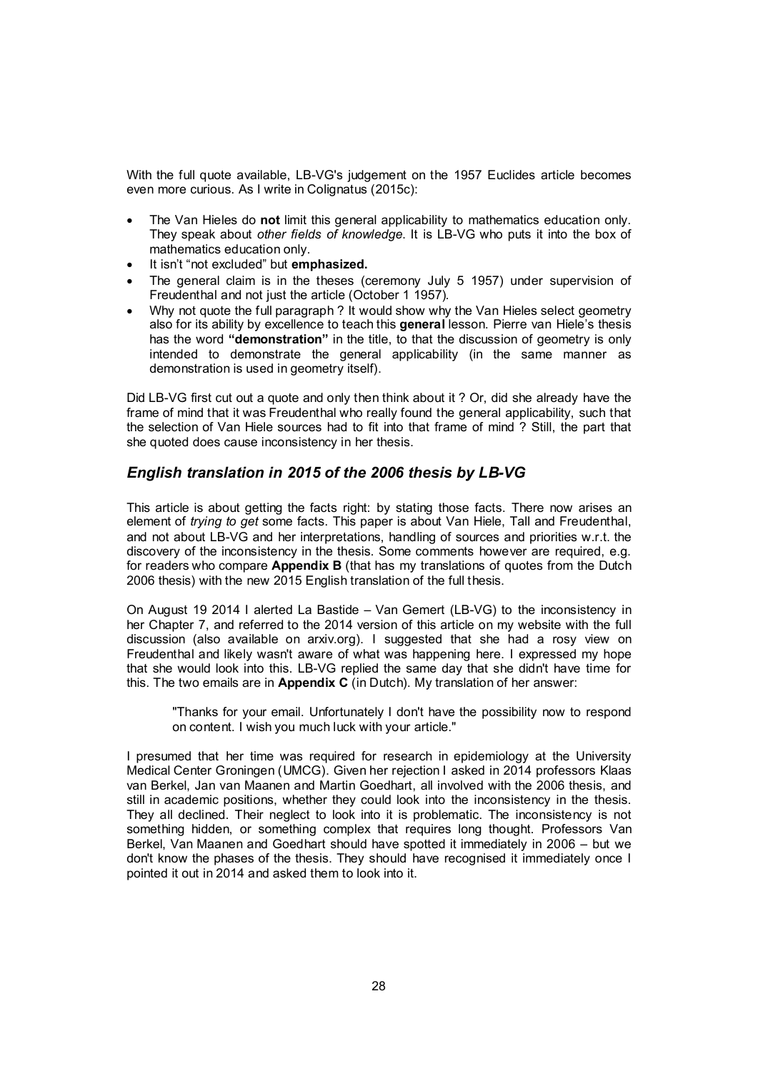With the full quote available, LB-VG's judgement on the 1957 Euclides article becomes even more curious. As I write in Colignatus (2015c):

- The Van Hieles do not limit this general applicability to mathematics education only. They speak about *other fields of knowledge*. It is LB-VG who puts it into the box of mathematics education only.
- It isn't "not excluded" but emphasized.
- The general claim is in the theses (ceremony July 5 1957) under supervision of Freudenthal and not just the article (October 1 1957).
- Why not quote the full paragraph ? It would show why the Van Hieles select geometry also for its ability by excellence to teach this general lesson. Pierre van Hiele's thesis has the word "demonstration" in the title, to that the discussion of geometry is only intended to demonstrate the general applicability (in the same manner as demonstration is used in geometry itself).

Did LB-VG first cut out a quote and only then think about it ? Or, did she already have the frame of mind that it was Freudenthal who really found the general applicability, such that the selection of Van Hiele sources had to fit into that frame of mind ? Still, the part that she quoted does cause inconsistency in her thesis.

# *English translation in 2015 of the 2006 thesis by LB-VG*

This article is about getting the facts right: by stating those facts. There now arises an element of *trying to get* some facts. This paper is about Van Hiele, Tall and Freudenthal, and not about LB-VG and her interpretations, handling of sources and priorities w.r.t. the discovery of the inconsistency in the thesis. Some comments however are required, e.g. for readers who compare Appendix B (that has my translations of quotes from the Dutch 2006 thesis) with the new 2015 English translation of the full thesis.

On August 19 2014 I alerted La Bastide – Van Gemert (LB-VG) to the inconsistency in her Chapter 7, and referred to the 2014 version of this article on my website with the full discussion (also available on arxiv.org). I suggested that she had a rosy view on Freudenthal and likely wasn't aware of what was happening here. I expressed my hope that she would look into this. LB-VG replied the same day that she didn't have time for this. The two emails are in Appendix  $C$  (in Dutch). My translation of her answer:

"Thanks for your email. Unfortunately I don't have the possibility now to respond on content. I wish you much luck with your article."

I presumed that her time was required for research in epidemiology at the University Medical Center Groningen (UMCG). Given her rejection I asked in 2014 professors Klaas van Berkel, Jan van Maanen and Martin Goedhart, all involved with the 2006 thesis, and still in academic positions, whether they could look into the inconsistency in the thesis. They all declined. Their neglect to look into it is problematic. The inconsistency is not something hidden, or something complex that requires long thought. Professors Van Berkel, Van Maanen and Goedhart should have spotted it immediately in 2006 – but we don't know the phases of the thesis. They should have recognised it immediately once I pointed it out in 2014 and asked them to look into it.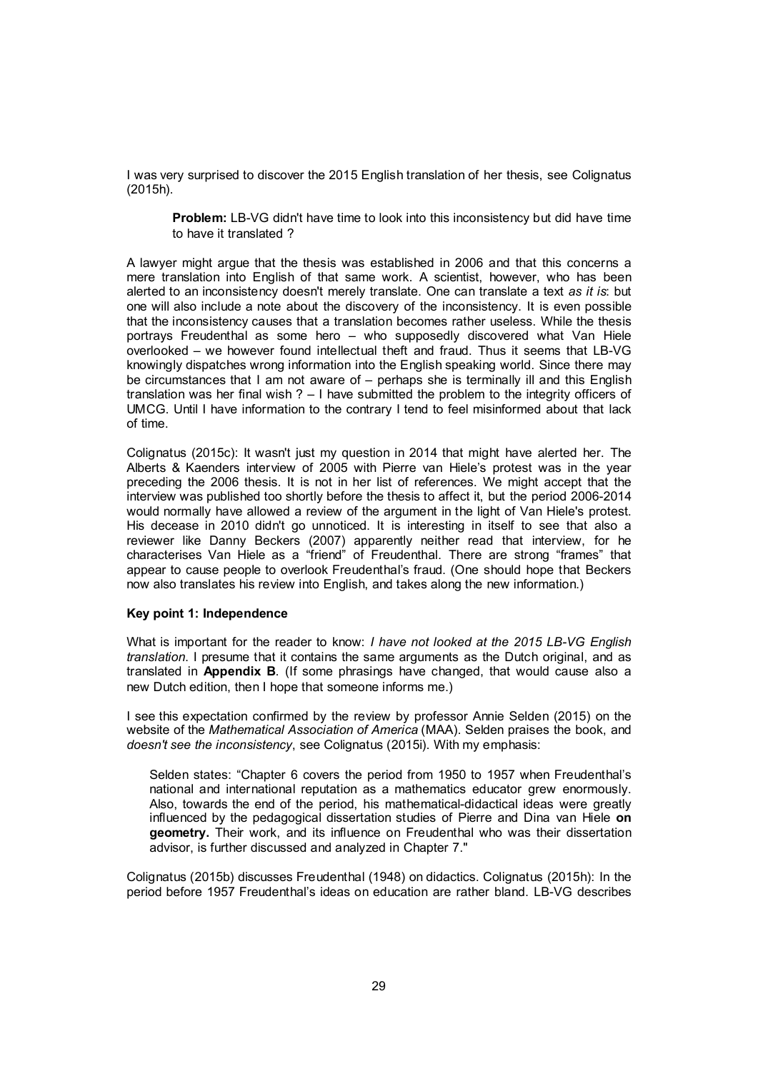I was very surprised to discover the 2015 English translation of her thesis, see Colignatus (2015h).

Problem: LB-VG didn't have time to look into this inconsistency but did have time to have it translated ?

A lawyer might argue that the thesis was established in 2006 and that this concerns a mere translation into English of that same work. A scientist, however, who has been alerted to an inconsistency doesn't merely translate. One can translate a text *as it is*: but one will also include a note about the discovery of the inconsistency. It is even possible that the inconsistency causes that a translation becomes rather useless. While the thesis portrays Freudenthal as some hero – who supposedly discovered what Van Hiele overlooked – we however found intellectual theft and fraud. Thus it seems that LB-VG knowingly dispatches wrong information into the English speaking world. Since there may be circumstances that I am not aware of – perhaps she is terminally ill and this English translation was her final wish ? – I have submitted the problem to the integrity officers of UMCG. Until I have information to the contrary I tend to feel misinformed about that lack of time.

Colignatus (2015c): It wasn't just my question in 2014 that might have alerted her. The Alberts & Kaenders interview of 2005 with Pierre van Hiele's protest was in the year preceding the 2006 thesis. It is not in her list of references. We might accept that the interview was published too shortly before the thesis to affect it, but the period 2006-2014 would normally have allowed a review of the argument in the light of Van Hiele's protest. His decease in 2010 didn't go unnoticed. It is interesting in itself to see that also a reviewer like Danny Beckers (2007) apparently neither read that interview, for he characterises Van Hiele as a "friend" of Freudenthal. There are strong "frames" that appear to cause people to overlook Freudenthal's fraud. (One should hope that Beckers now also translates his review into English, and takes along the new information.)

#### Key point 1: Independence

What is important for the reader to know: *I have not looked at the 2015 LB-VG English translation*. I presume that it contains the same arguments as the Dutch original, and as translated in Appendix B. (If some phrasings have changed, that would cause also a new Dutch edition, then I hope that someone informs me.)

I see this expectation confirmed by the review by professor Annie Selden (2015) on the website of the *Mathematical Association of America* (MAA). Selden praises the book, and *doesn't see the inconsistency*, see Colignatus (2015i). With my emphasis:

Selden states: "Chapter 6 covers the period from 1950 to 1957 when Freudenthal's national and international reputation as a mathematics educator grew enormously. Also, towards the end of the period, his mathematical-didactical ideas were greatly influenced by the pedagogical dissertation studies of Pierre and Dina van Hiele on geometry. Their work, and its influence on Freudenthal who was their dissertation advisor, is further discussed and analyzed in Chapter 7."

Colignatus (2015b) discusses Freudenthal (1948) on didactics. Colignatus (2015h): In the period before 1957 Freudenthal's ideas on education are rather bland. LB-VG describes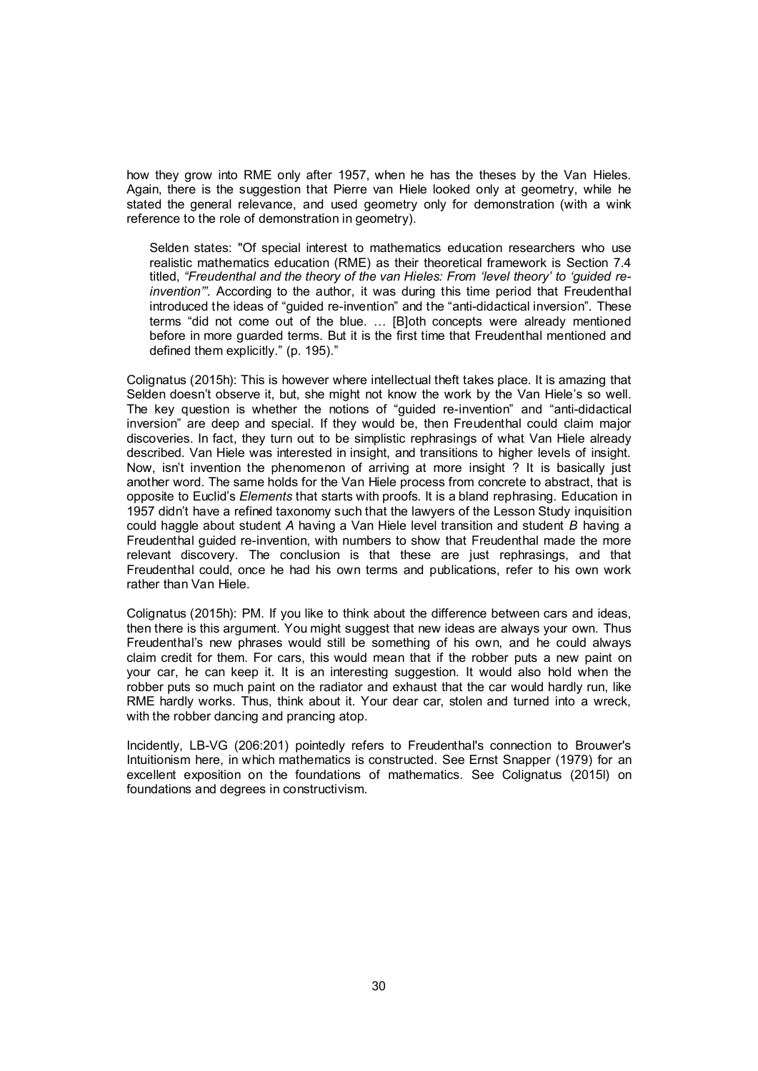how they grow into RME only after 1957, when he has the theses by the Van Hieles. Again, there is the suggestion that Pierre van Hiele looked only at geometry, while he stated the general relevance, and used geometry only for demonstration (with a wink reference to the role of demonstration in geometry).

Selden states: "Of special interest to mathematics education researchers who use realistic mathematics education (RME) as their theoretical framework is Section 7.4 titled, *"Freudenthal and the theory of the van Hieles: From 'level theory' to 'guided reinvention'".* According to the author, it was during this time period that Freudenthal introduced the ideas of "guided re-invention" and the "anti-didactical inversion". These terms "did not come out of the blue. … [B]oth concepts were already mentioned before in more guarded terms. But it is the first time that Freudenthal mentioned and defined them explicitly." (p. 195)."

Colignatus (2015h): This is however where intellectual theft takes place. It is amazing that Selden doesn't observe it, but, she might not know the work by the Van Hiele's so well. The key question is whether the notions of "guided re-invention" and "anti-didactical inversion" are deep and special. If they would be, then Freudenthal could claim major discoveries. In fact, they turn out to be simplistic rephrasings of what Van Hiele already described. Van Hiele was interested in insight, and transitions to higher levels of insight. Now, isn't invention the phenomenon of arriving at more insight ? It is basically just another word. The same holds for the Van Hiele process from concrete to abstract, that is opposite to Euclid's *Elements* that starts with proofs. It is a bland rephrasing. Education in 1957 didn't have a refined taxonomy such that the lawyers of the Lesson Study inquisition could haggle about student *A* having a Van Hiele level transition and student *B* having a Freudenthal guided re-invention, with numbers to show that Freudenthal made the more relevant discovery. The conclusion is that these are just rephrasings, and that Freudenthal could, once he had his own terms and publications, refer to his own work rather than Van Hiele.

Colignatus (2015h): PM. If you like to think about the difference between cars and ideas, then there is this argument. You might suggest that new ideas are always your own. Thus Freudenthal's new phrases would still be something of his own, and he could always claim credit for them. For cars, this would mean that if the robber puts a new paint on your car, he can keep it. It is an interesting suggestion. It would also hold when the robber puts so much paint on the radiator and exhaust that the car would hardly run, like RME hardly works. Thus, think about it. Your dear car, stolen and turned into a wreck, with the robber dancing and prancing atop.

Incidently, LB-VG (206:201) pointedly refers to Freudenthal's connection to Brouwer's Intuitionism here, in which mathematics is constructed. See Ernst Snapper (1979) for an excellent exposition on the foundations of mathematics. See Colignatus (2015l) on foundations and degrees in constructivism.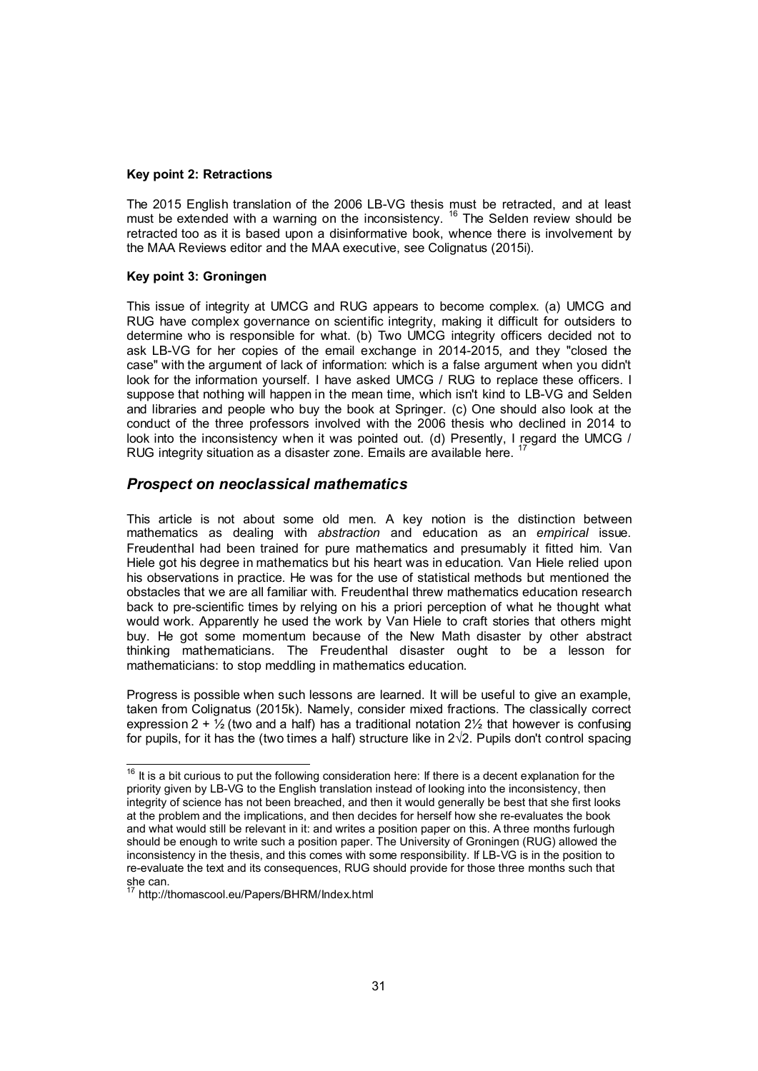#### Key point 2: Retractions

The 2015 English translation of the 2006 LB-VG thesis must be retracted, and at least must be extended with a warning on the inconsistency. <sup>16</sup> The Selden review should be retracted too as it is based upon a disinformative book, whence there is involvement by the MAA Reviews editor and the MAA executive, see Colignatus (2015i).

#### Key point 3: Groningen

This issue of integrity at UMCG and RUG appears to become complex. (a) UMCG and RUG have complex governance on scientific integrity, making it difficult for outsiders to determine who is responsible for what. (b) Two UMCG integrity officers decided not to ask LB-VG for her copies of the email exchange in 2014-2015, and they "closed the case" with the argument of lack of information: which is a false argument when you didn't look for the information yourself. I have asked UMCG / RUG to replace these officers. I suppose that nothing will happen in the mean time, which isn't kind to LB-VG and Selden and libraries and people who buy the book at Springer. (c) One should also look at the conduct of the three professors involved with the 2006 thesis who declined in 2014 to look into the inconsistency when it was pointed out. (d) Presently, I regard the UMCG / RUG integrity situation as a disaster zone. Emails are available here.<sup>1</sup>

### *Prospect on neoclassical mathematics*

This article is not about some old men. A key notion is the distinction between mathematics as dealing with *abstraction* and education as an *empirical* issue. Freudenthal had been trained for pure mathematics and presumably it fitted him. Van Hiele got his degree in mathematics but his heart was in education. Van Hiele relied upon his observations in practice. He was for the use of statistical methods but mentioned the obstacles that we are all familiar with. Freudenthal threw mathematics education research back to pre-scientific times by relying on his a priori perception of what he thought what would work. Apparently he used the work by Van Hiele to craft stories that others might buy. He got some momentum because of the New Math disaster by other abstract thinking mathematicians. The Freudenthal disaster ought to be a lesson for mathematicians: to stop meddling in mathematics education.

Progress is possible when such lessons are learned. It will be useful to give an example, taken from Colignatus (2015k). Namely, consider mixed fractions. The classically correct expression 2 +  $\frac{1}{2}$  (two and a half) has a traditional notation 2 $\frac{1}{2}$  that however is confusing for pupils, for it has the (two times a half) structure like in 2√2. Pupils don't control spacing

 $16$  It is a bit curious to put the following consideration here: If there is a decent explanation for the priority given by LB-VG to the English translation instead of looking into the inconsistency, then integrity of science has not been breached, and then it would generally be best that she first looks at the problem and the implications, and then decides for herself how she re-evaluates the book and what would still be relevant in it: and writes a position paper on this. A three months furlough should be enough to write such a position paper. The University of Groningen (RUG) allowed the inconsistency in the thesis, and this comes with some responsibility. If LB-VG is in the position to re-evaluate the text and its consequences, RUG should provide for those three months such that she can.

<sup>&</sup>lt;sup>17</sup> http://thomascool.eu/Papers/BHRM/Index.html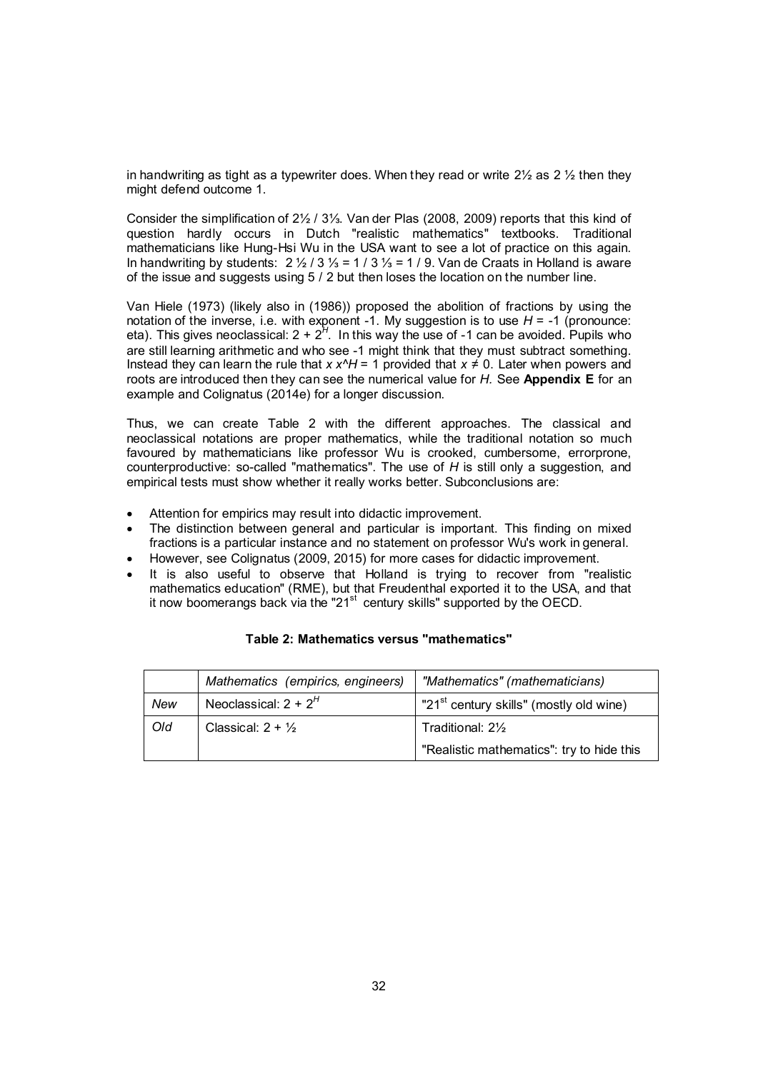in handwriting as tight as a typewriter does. When they read or write  $2\frac{1}{2}$  as 2  $\frac{1}{2}$  then they might defend outcome 1.

Consider the simplification of 2½ / 3⅓. Van der Plas (2008, 2009) reports that this kind of question hardly occurs in Dutch "realistic mathematics" textbooks. Traditional mathematicians like Hung-Hsi Wu in the USA want to see a lot of practice on this again. In handwriting by students: 2 ½ / 3 ⅓ = 1 / 3 ⅓ = 1 / 9. Van de Craats in Holland is aware of the issue and suggests using 5 / 2 but then loses the location on the number line.

Van Hiele (1973) (likely also in (1986)) proposed the abolition of fractions by using the notation of the inverse, i.e. with exponent -1. My suggestion is to use  $H = -1$  (pronounce: eta). This gives neoclassical: 2 + 2<sup>H</sup>. In this way the use of -1 can be avoided. Pupils who are still learning arithmetic and who see -1 might think that they must subtract something. Instead they can learn the rule that  $x x^2H = 1$  provided that  $x \ne 0$ . Later when powers and roots are introduced then they can see the numerical value for *H.* See Appendix E for an example and Colignatus (2014e) for a longer discussion.

Thus, we can create Table 2 with the different approaches. The classical and neoclassical notations are proper mathematics, while the traditional notation so much favoured by mathematicians like professor Wu is crooked, cumbersome, errorprone, counterproductive: so-called "mathematics". The use of *H* is still only a suggestion, and empirical tests must show whether it really works better. Subconclusions are:

- Attention for empirics may result into didactic improvement.
- The distinction between general and particular is important. This finding on mixed fractions is a particular instance and no statement on professor Wu's work in general.
- However, see Colignatus (2009, 2015) for more cases for didactic improvement.
- It is also useful to observe that Holland is trying to recover from "realistic mathematics education" (RME), but that Freudenthal exported it to the USA, and that it now boomerangs back via the "21 $st$  century skills" supported by the OECD.

|     | Mathematics (empirics, engineers) | "Mathematics" (mathematicians)                      |
|-----|-----------------------------------|-----------------------------------------------------|
| New | Neoclassical: $2 + 2^H$           | "21 <sup>st</sup> century skills" (mostly old wine) |
| Old | Classical: $2 + \frac{1}{2}$      | Traditional: $2\frac{1}{2}$                         |
|     |                                   | "Realistic mathematics": try to hide this           |

#### Table 2: Mathematics versus "mathematics"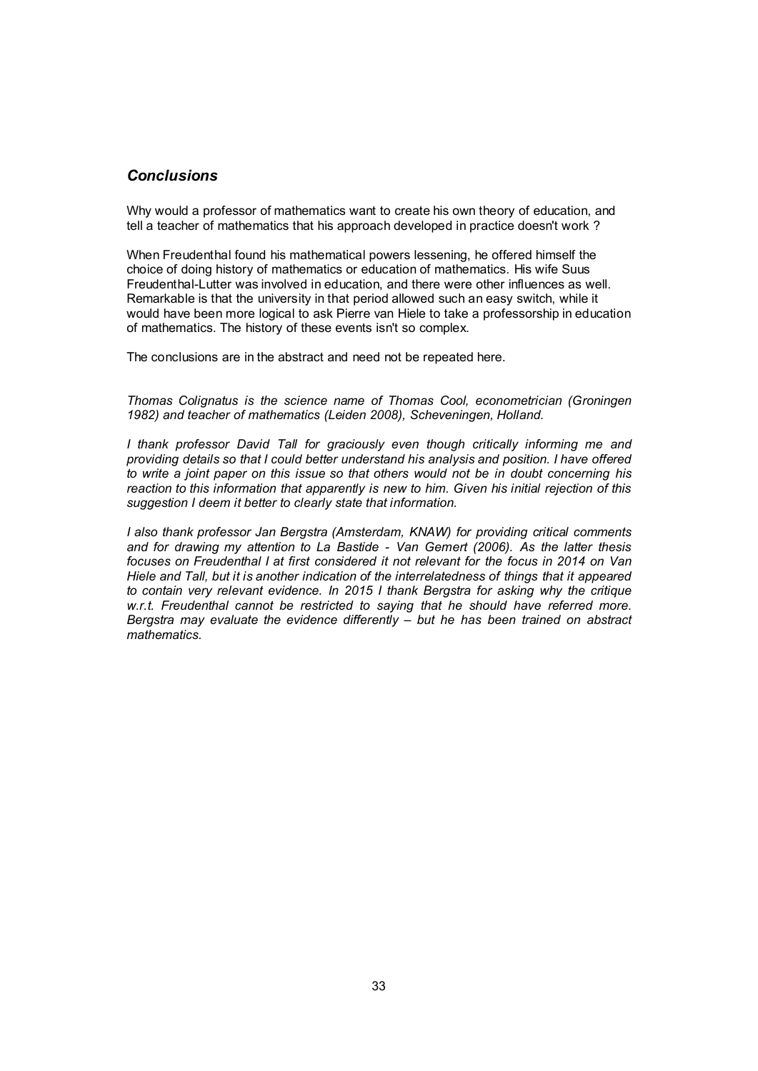### *Conclusions*

Why would a professor of mathematics want to create his own theory of education, and tell a teacher of mathematics that his approach developed in practice doesn't work ?

When Freudenthal found his mathematical powers lessening, he offered himself the choice of doing history of mathematics or education of mathematics. His wife Suus Freudenthal-Lutter was involved in education, and there were other influences as well. Remarkable is that the university in that period allowed such an easy switch, while it would have been more logical to ask Pierre van Hiele to take a professorship in education of mathematics. The history of these events isn't so complex.

The conclusions are in the abstract and need not be repeated here.

*Thomas Colignatus is the science name of Thomas Cool, econometrician (Groningen 1982) and teacher of mathematics (Leiden 2008), Scheveningen, Holland.*

*I thank professor David Tall for graciously even though critically informing me and providing details so that I could better understand his analysis and position. I have offered to write a joint paper on this issue so that others would not be in doubt concerning his reaction to this information that apparently is new to him. Given his initial rejection of this suggestion I deem it better to clearly state that information.*

*I also thank professor Jan Bergstra (Amsterdam, KNAW) for providing critical comments and for drawing my attention to La Bastide - Van Gemert (2006). As the latter thesis focuses on Freudenthal I at first considered it not relevant for the focus in 2014 on Van Hiele and Tall, but it is another indication of the interrelatedness of things that it appeared to contain very relevant evidence. In 2015 I thank Bergstra for asking why the critique w.r.t. Freudenthal cannot be restricted to saying that he should have referred more. Bergstra may evaluate the evidence differently – but he has been trained on abstract mathematics.*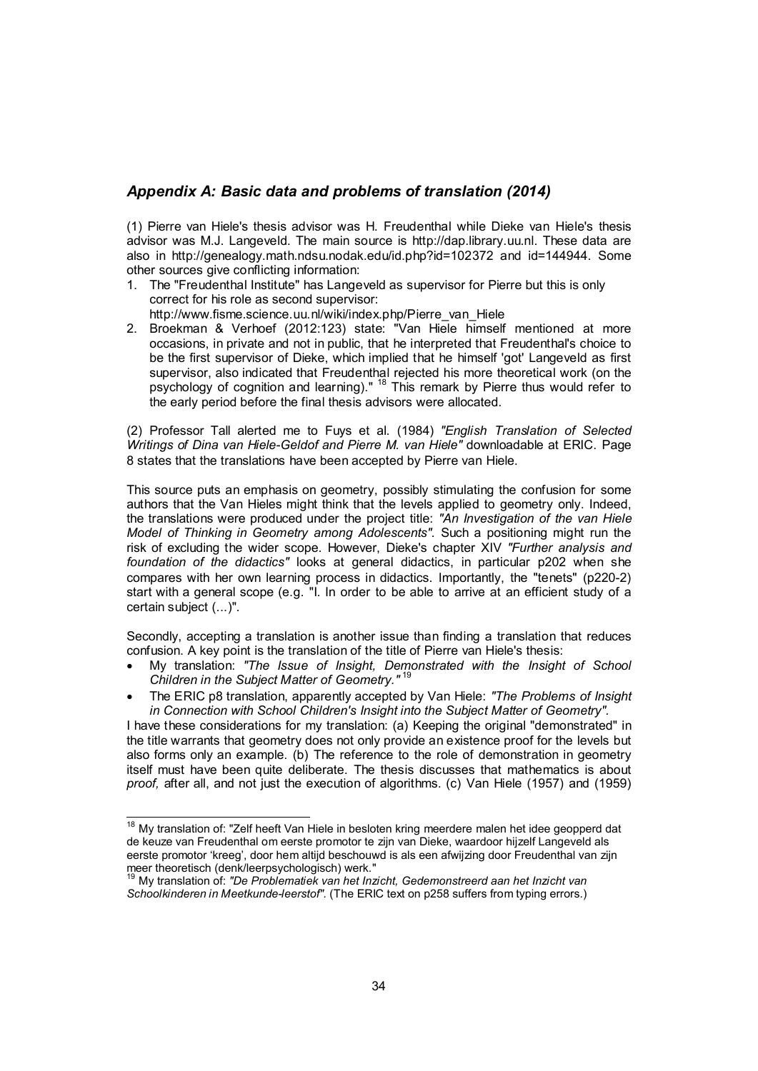# *Appendix A: Basic data and problems of translation (2014)*

(1) Pierre van Hiele's thesis advisor was H. Freudenthal while Dieke van Hiele's thesis advisor was M.J. Langeveld. The main source is http://dap.library.uu.nl. These data are also in http://genealogy.math.ndsu.nodak.edu/id.php?id=102372 and id=144944. Some other sources give conflicting information:

1. The "Freudenthal Institute" has Langeveld as supervisor for Pierre but this is only correct for his role as second supervisor:

http://www.fisme.science.uu.nl/wiki/index.php/Pierre\_van\_Hiele

2. Broekman & Verhoef (2012:123) state: "Van Hiele himself mentioned at more occasions, in private and not in public, that he interpreted that Freudenthal's choice to be the first supervisor of Dieke, which implied that he himself 'got' Langeveld as first supervisor, also indicated that Freudenthal rejected his more theoretical work (on the psychology of cognition and learning)." <sup>18</sup> This remark by Pierre thus would refer to the early period before the final thesis advisors were allocated.

(2) Professor Tall alerted me to Fuys et al. (1984) *"English Translation of Selected Writings of Dina van Hiele-Geldof and Pierre M. van Hiele"* downloadable at ERIC. Page 8 states that the translations have been accepted by Pierre van Hiele.

This source puts an emphasis on geometry, possibly stimulating the confusion for some authors that the Van Hieles might think that the levels applied to geometry only. Indeed, the translations were produced under the project title: *"An Investigation of the van Hiele Model of Thinking in Geometry among Adolescents".* Such a positioning might run the risk of excluding the wider scope. However, Dieke's chapter XIV *"Further analysis and foundation of the didactics"* looks at general didactics, in particular p202 when she compares with her own learning process in didactics. Importantly, the "tenets" (p220-2) start with a general scope (e.g. "I. In order to be able to arrive at an efficient study of a certain subject (...)".

Secondly, accepting a translation is another issue than finding a translation that reduces confusion. A key point is the translation of the title of Pierre van Hiele's thesis:

- My translation: *"The Issue of Insight, Demonstrated with the Insight of School Children in the Subject Matter of Geometry."* <sup>19</sup>
- The ERIC p8 translation, apparently accepted by Van Hiele: *"The Problems of Insight in Connection with School Children's Insight into the Subject Matter of Geometry".*

I have these considerations for my translation: (a) Keeping the original "demonstrated" in the title warrants that geometry does not only provide an existence proof for the levels but also forms only an example. (b) The reference to the role of demonstration in geometry itself must have been quite deliberate. The thesis discusses that mathematics is about *proof,* after all, and not just the execution of algorithms. (c) Van Hiele (1957) and (1959)

<sup>&</sup>lt;sup>18</sup> Mv translation of: "Zelf heeft Van Hiele in besloten kring meerdere malen het idee geopperd dat de keuze van Freudenthal om eerste promotor te zijn van Dieke, waardoor hijzelf Langeveld als eerste promotor 'kreeg', door hem altijd beschouwd is als een afwijzing door Freudenthal van zijn meer theoretisch (denk/leerpsychologisch) werk."

<sup>19</sup> My translation of: *"De Problematiek van het Inzicht, Gedemonstreerd aan het Inzicht van Schoolkinderen in Meetkunde-leerstof".* (The ERIC text on p258 suffers from typing errors.)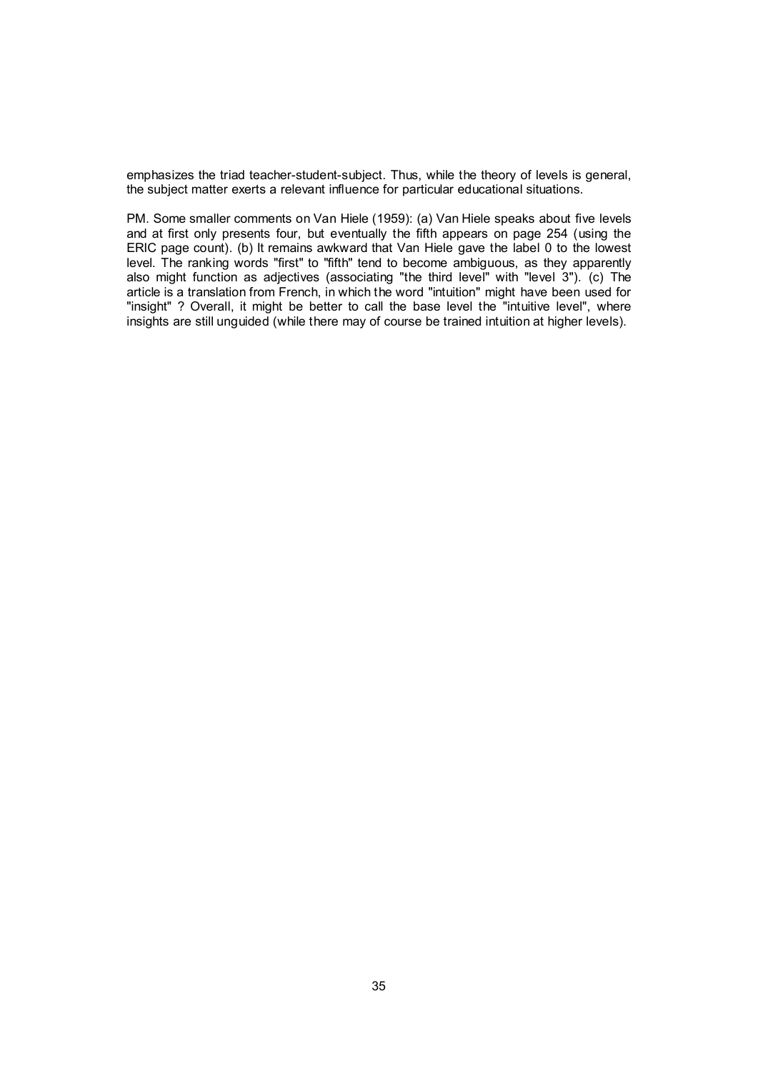emphasizes the triad teacher-student-subject. Thus, while the theory of levels is general, the subject matter exerts a relevant influence for particular educational situations.

PM. Some smaller comments on Van Hiele (1959): (a) Van Hiele speaks about five levels and at first only presents four, but eventually the fifth appears on page 254 (using the ERIC page count). (b) It remains awkward that Van Hiele gave the label 0 to the lowest level. The ranking words "first" to "fifth" tend to become ambiguous, as they apparently also might function as adjectives (associating "the third level" with "level 3"). (c) The article is a translation from French, in which the word "intuition" might have been used for "insight" ? Overall, it might be better to call the base level the "intuitive level", where insights are still unguided (while there may of course be trained intuition at higher levels).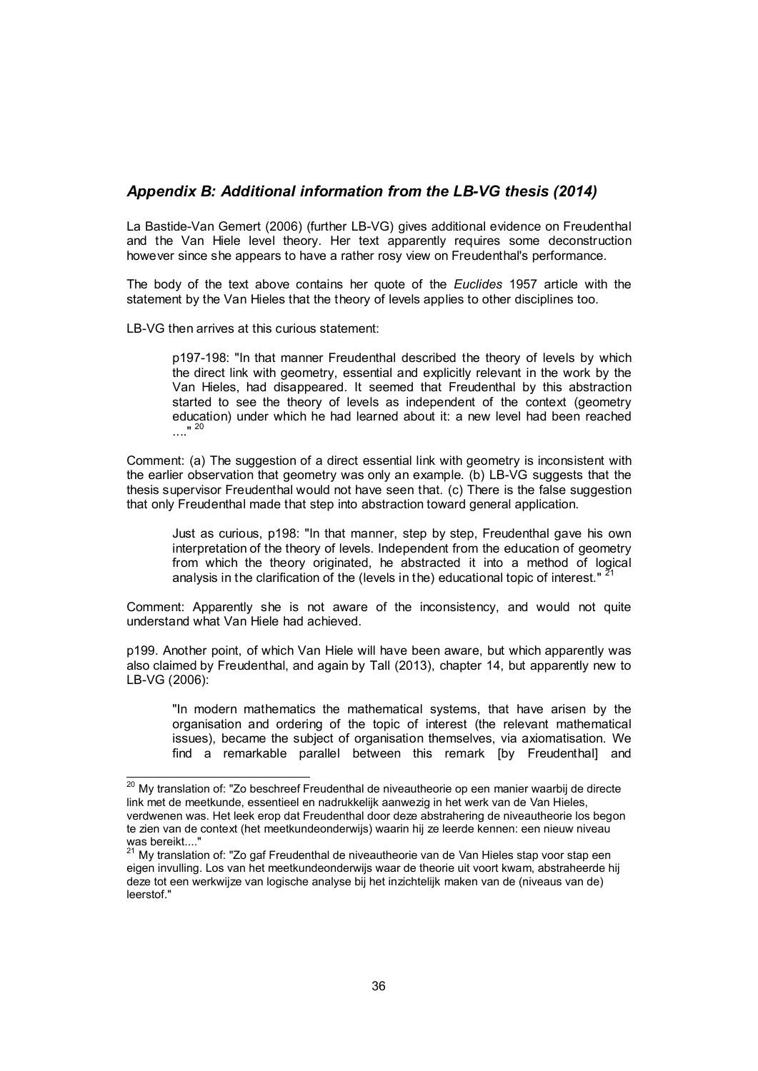# *Appendix B: Additional information from the LB-VG thesis (2014)*

La Bastide-Van Gemert (2006) (further LB-VG) gives additional evidence on Freudenthal and the Van Hiele level theory. Her text apparently requires some deconstruction however since she appears to have a rather rosy view on Freudenthal's performance.

The body of the text above contains her quote of the *Euclides* 1957 article with the statement by the Van Hieles that the theory of levels applies to other disciplines too.

LB-VG then arrives at this curious statement:

p197-198: "In that manner Freudenthal described the theory of levels by which the direct link with geometry, essential and explicitly relevant in the work by the Van Hieles, had disappeared. It seemed that Freudenthal by this abstraction started to see the theory of levels as independent of the context (geometry education) under which he had learned about it: a new level had been reached ....<sup>"</sup>

Comment: (a) The suggestion of a direct essential link with geometry is inconsistent with the earlier observation that geometry was only an example. (b) LB-VG suggests that the thesis supervisor Freudenthal would not have seen that. (c) There is the false suggestion that only Freudenthal made that step into abstraction toward general application.

Just as curious, p198: "In that manner, step by step, Freudenthal gave his own interpretation of the theory of levels. Independent from the education of geometry from which the theory originated, he abstracted it into a method of logical analysis in the clarification of the (levels in the) educational topic of interest." <sup>21</sup>

Comment: Apparently she is not aware of the inconsistency, and would not quite understand what Van Hiele had achieved.

p199. Another point, of which Van Hiele will have been aware, but which apparently was also claimed by Freudenthal, and again by Tall (2013), chapter 14, but apparently new to LB-VG (2006):

"In modern mathematics the mathematical systems, that have arisen by the organisation and ordering of the topic of interest (the relevant mathematical issues), became the subject of organisation themselves, via axiomatisation. We find a remarkable parallel between this remark [by Freudenthal] and

<sup>&</sup>lt;sup>20</sup> My translation of: "Zo beschreef Freudenthal de niveautheorie op een manier waarbij de directe link met de meetkunde, essentieel en nadrukkelijk aanwezig in het werk van de Van Hieles, verdwenen was. Het leek erop dat Freudenthal door deze abstrahering de niveautheorie los begon te zien van de context (het meetkundeonderwijs) waarin hij ze leerde kennen: een nieuw niveau was bereikt....'

<sup>&</sup>lt;sup>21</sup> My translation of: "Zo gaf Freudenthal de niveautheorie van de Van Hieles stap voor stap een eigen invulling. Los van het meetkundeonderwijs waar de theorie uit voort kwam, abstraheerde hij deze tot een werkwijze van logische analyse bij het inzichtelijk maken van de (niveaus van de) leerstof."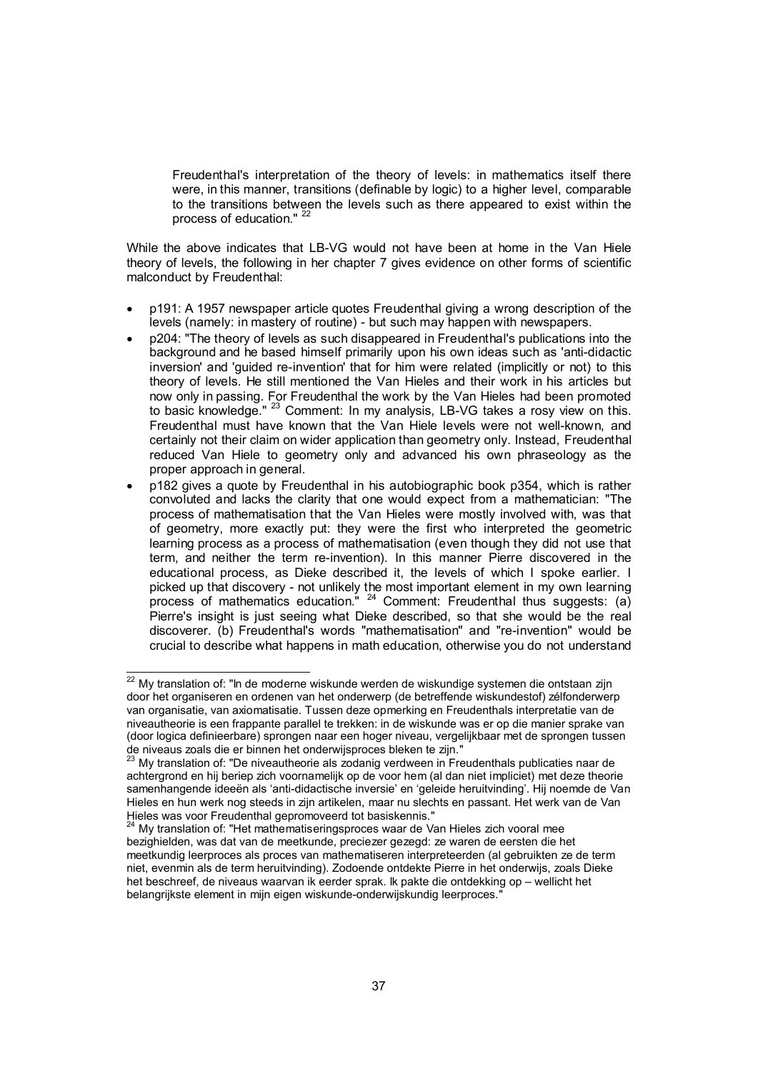Freudenthal's interpretation of the theory of levels: in mathematics itself there were, in this manner, transitions (definable by logic) to a higher level, comparable to the transitions between the levels such as there appeared to exist within the process of education."<sup>2</sup>

While the above indicates that LB-VG would not have been at home in the Van Hiele theory of levels, the following in her chapter 7 gives evidence on other forms of scientific malconduct by Freudenthal:

- p191: A 1957 newspaper article quotes Freudenthal giving a wrong description of the levels (namely: in mastery of routine) - but such may happen with newspapers.
- p204: "The theory of levels as such disappeared in Freudenthal's publications into the background and he based himself primarily upon his own ideas such as 'anti-didactic inversion' and 'guided re-invention' that for him were related (implicitly or not) to this theory of levels. He still mentioned the Van Hieles and their work in his articles but now only in passing. For Freudenthal the work by the Van Hieles had been promoted to basic knowledge." 23 Comment: In my analysis, LB-VG takes a rosy view on this. Freudenthal must have known that the Van Hiele levels were not well-known, and certainly not their claim on wider application than geometry only. Instead, Freudenthal reduced Van Hiele to geometry only and advanced his own phraseology as the proper approach in general.
- p182 gives a quote by Freudenthal in his autobiographic book p354, which is rather convoluted and lacks the clarity that one would expect from a mathematician: "The process of mathematisation that the Van Hieles were mostly involved with, was that of geometry, more exactly put: they were the first who interpreted the geometric learning process as a process of mathematisation (even though they did not use that term, and neither the term re-invention). In this manner Pierre discovered in the educational process, as Dieke described it, the levels of which I spoke earlier. I picked up that discovery - not unlikely the most important element in my own learning process of mathematics education."  $24$  Comment: Freudenthal thus suggests: (a) Pierre's insight is just seeing what Dieke described, so that she would be the real discoverer. (b) Freudenthal's words "mathematisation" and "re-invention" would be crucial to describe what happens in math education, otherwise you do not understand

 $22$  My translation of: "In de moderne wiskunde werden de wiskundige systemen die ontstaan zijn door het organiseren en ordenen van het onderwerp (de betreffende wiskundestof) zélfonderwerp van organisatie, van axiomatisatie. Tussen deze opmerking en Freudenthals interpretatie van de niveautheorie is een frappante parallel te trekken: in de wiskunde was er op die manier sprake van (door logica definieerbare) sprongen naar een hoger niveau, vergelijkbaar met de sprongen tussen de niveaus zoals die er binnen het onderwijsproces bleken te zijn."<br><sup>23</sup> My translation of: "De niveauthearis als

<sup>23</sup> My translation of: "De niveautheorie als zodanig verdween in Freudenthals publicaties naar de achtergrond en hij beriep zich voornamelijk op de voor hem (al dan niet impliciet) met deze theorie samenhangende ideeën als 'anti-didactische inversie' en 'geleide heruitvinding'. Hij noemde de Van Hieles en hun werk nog steeds in zijn artikelen, maar nu slechts en passant. Het werk van de Van Hieles was voor Freudenthal gepromoveerd tot basiskennis."

My translation of: "Het mathematiseringsproces waar de Van Hieles zich vooral mee bezighielden, was dat van de meetkunde, preciezer gezegd: ze waren de eersten die het meetkundig leerproces als proces van mathematiseren interpreteerden (al gebruikten ze de term niet, evenmin als de term heruitvinding). Zodoende ontdekte Pierre in het onderwijs, zoals Dieke het beschreef, de niveaus waarvan ik eerder sprak. Ik pakte die ontdekking op – wellicht het belangrijkste element in mijn eigen wiskunde-onderwijskundig leerproces."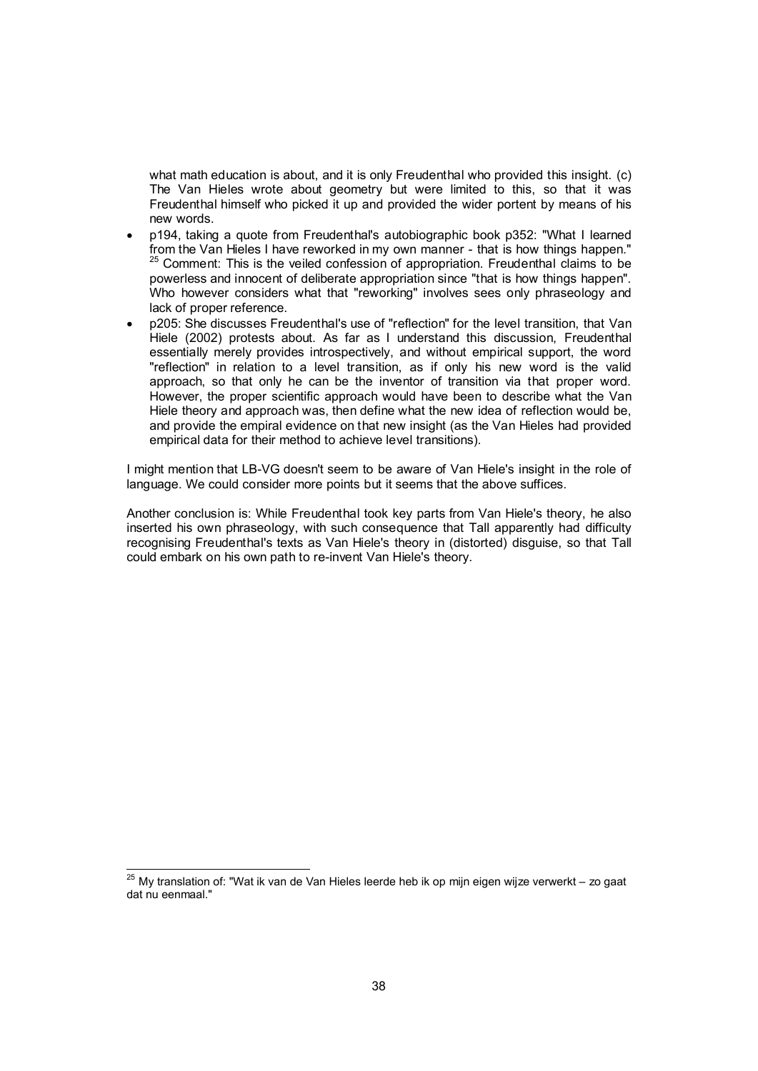what math education is about, and it is only Freudenthal who provided this insight. (c) The Van Hieles wrote about geometry but were limited to this, so that it was Freudenthal himself who picked it up and provided the wider portent by means of his new words.

- p194, taking a quote from Freudenthal's autobiographic book p352: "What I learned from the Van Hieles I have reworked in my own manner - that is how things happen."  $25$  Comment: This is the veiled confession of appropriation. Freudenthal claims to be powerless and innocent of deliberate appropriation since "that is how things happen". Who however considers what that "reworking" involves sees only phraseology and lack of proper reference.
- p205: She discusses Freudenthal's use of "reflection" for the level transition, that Van Hiele (2002) protests about. As far as I understand this discussion, Freudenthal essentially merely provides introspectively, and without empirical support, the word "reflection" in relation to a level transition, as if only his new word is the valid approach, so that only he can be the inventor of transition via that proper word. However, the proper scientific approach would have been to describe what the Van Hiele theory and approach was, then define what the new idea of reflection would be, and provide the empiral evidence on that new insight (as the Van Hieles had provided empirical data for their method to achieve level transitions).

I might mention that LB-VG doesn't seem to be aware of Van Hiele's insight in the role of language. We could consider more points but it seems that the above suffices.

Another conclusion is: While Freudenthal took key parts from Van Hiele's theory, he also inserted his own phraseology, with such consequence that Tall apparently had difficulty recognising Freudenthal's texts as Van Hiele's theory in (distorted) disguise, so that Tall could embark on his own path to re-invent Van Hiele's theory.

 $25$  My translation of: "Wat ik van de Van Hieles leerde heb ik op mijn eigen wijze verwerkt – zo gaat dat nu eenmaal."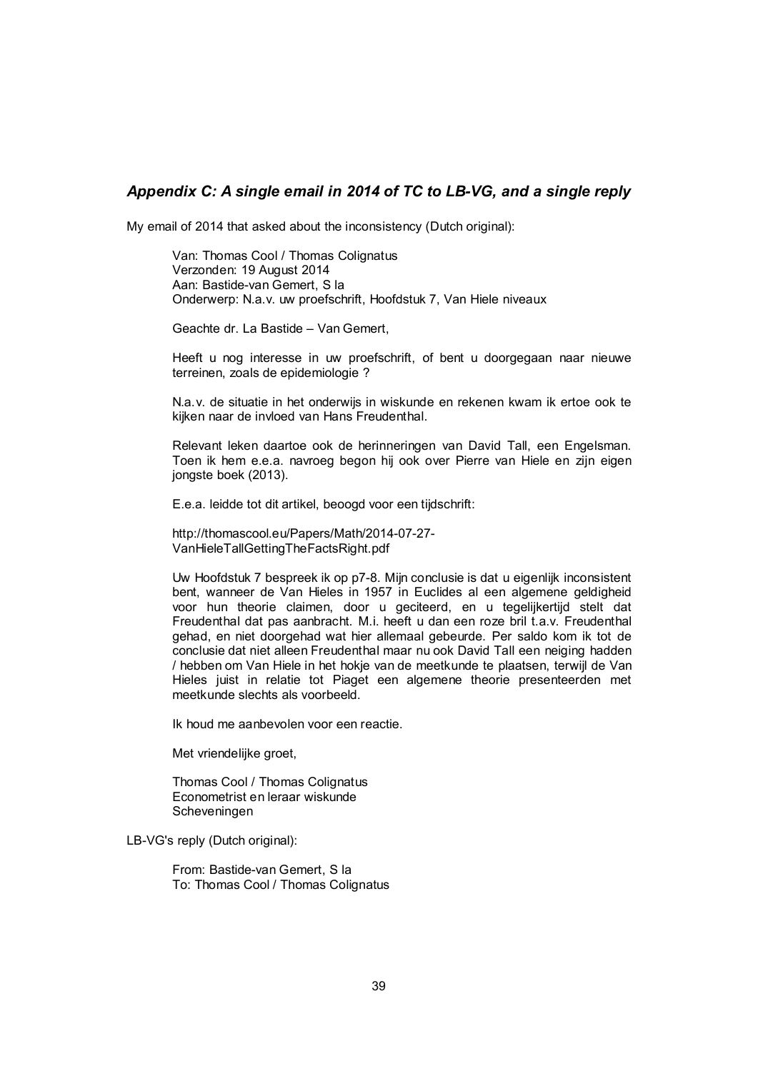# *Appendix C: A single email in 2014 of TC to LB-VG, and a single reply*

My email of 2014 that asked about the inconsistency (Dutch original):

Van: Thomas Cool / Thomas Colignatus Verzonden: 19 August 2014 Aan: Bastide-van Gemert, S la Onderwerp: N.a.v. uw proefschrift, Hoofdstuk 7, Van Hiele niveaux

Geachte dr. La Bastide – Van Gemert,

Heeft u nog interesse in uw proefschrift, of bent u doorgegaan naar nieuwe terreinen, zoals de epidemiologie ?

N.a.v. de situatie in het onderwijs in wiskunde en rekenen kwam ik ertoe ook te kijken naar de invloed van Hans Freudenthal.

Relevant leken daartoe ook de herinneringen van David Tall, een Engelsman. Toen ik hem e.e.a. navroeg begon hij ook over Pierre van Hiele en zijn eigen jongste boek (2013).

E.e.a. leidde tot dit artikel, beoogd voor een tijdschrift:

http://thomascool.eu/Papers/Math/2014-07-27- VanHieleTallGettingTheFactsRight.pdf

Uw Hoofdstuk 7 bespreek ik op p7-8. Mijn conclusie is dat u eigenlijk inconsistent bent, wanneer de Van Hieles in 1957 in Euclides al een algemene geldigheid voor hun theorie claimen, door u geciteerd, en u tegelijkertijd stelt dat Freudenthal dat pas aanbracht. M.i. heeft u dan een roze bril t.a.v. Freudenthal gehad, en niet doorgehad wat hier allemaal gebeurde. Per saldo kom ik tot de conclusie dat niet alleen Freudenthal maar nu ook David Tall een neiging hadden / hebben om Van Hiele in het hokje van de meetkunde te plaatsen, terwijl de Van Hieles juist in relatie tot Piaget een algemene theorie presenteerden met meetkunde slechts als voorbeeld.

Ik houd me aanbevolen voor een reactie.

Met vriendelijke groet,

Thomas Cool / Thomas Colignatus Econometrist en leraar wiskunde Scheveningen

LB-VG's reply (Dutch original):

From: Bastide-van Gemert, S la To: Thomas Cool / Thomas Colignatus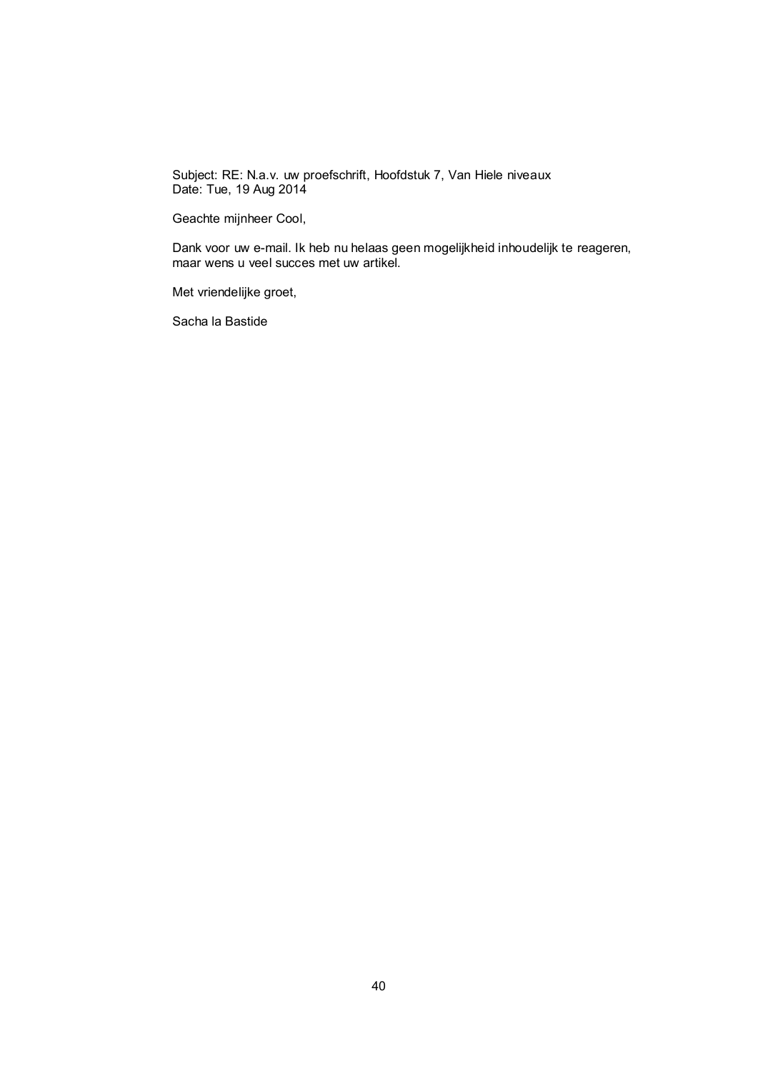Subject: RE: N.a.v. uw proefschrift, Hoofdstuk 7, Van Hiele niveaux Date: Tue, 19 Aug 2014

Geachte mijnheer Cool,

Dank voor uw e-mail. Ik heb nu helaas geen mogelijkheid inhoudelijk te reageren, maar wens u veel succes met uw artikel.

Met vriendelijke groet,

Sacha la Bastide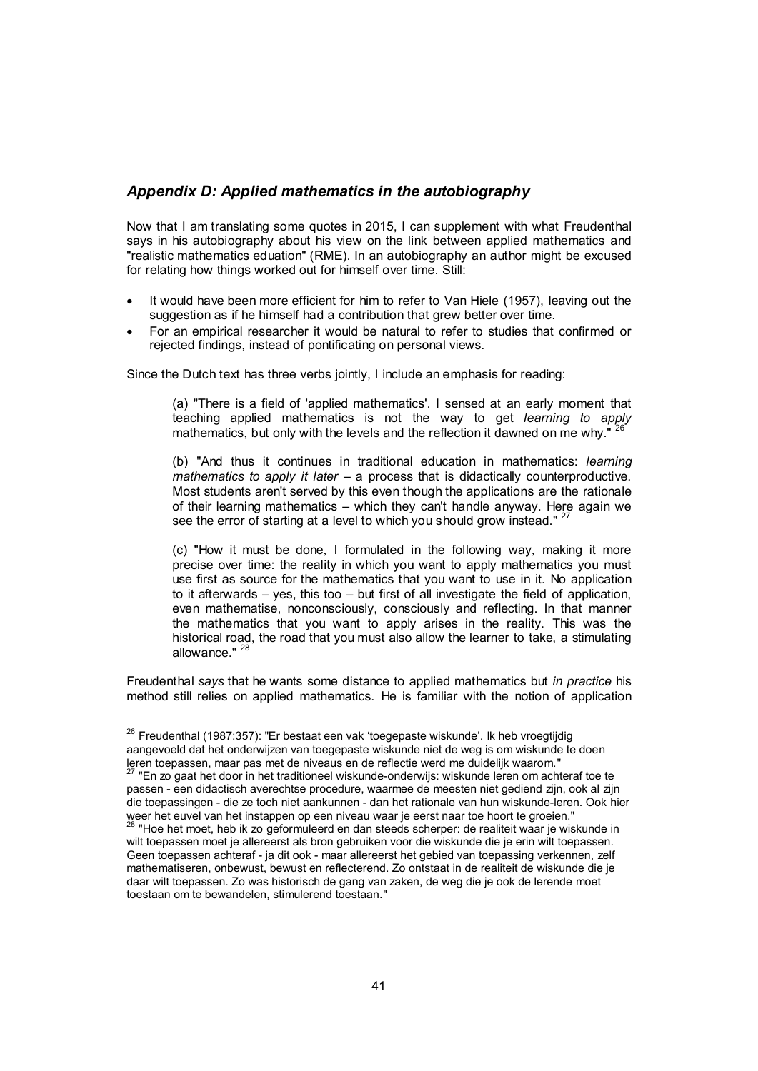# *Appendix D: Applied mathematics in the autobiography*

Now that I am translating some quotes in 2015, I can supplement with what Freudenthal says in his autobiography about his view on the link between applied mathematics and "realistic mathematics eduation" (RME). In an autobiography an author might be excused for relating how things worked out for himself over time. Still:

- It would have been more efficient for him to refer to Van Hiele (1957), leaving out the suggestion as if he himself had a contribution that grew better over time.
- For an empirical researcher it would be natural to refer to studies that confirmed or rejected findings, instead of pontificating on personal views.

Since the Dutch text has three verbs jointly, I include an emphasis for reading:

(a) "There is a field of 'applied mathematics'. I sensed at an early moment that teaching applied mathematics is not the way to get *learning to apply* mathematics, but only with the levels and the reflection it dawned on me why."

(b) "And thus it continues in traditional education in mathematics: *learning mathematics to apply it later – a process that is didactically counterproductive.* Most students aren't served by this even though the applications are the rationale of their learning mathematics – which they can't handle anyway. Here again we see the error of starting at a level to which you should grow instead."<sup>2</sup>

(c) "How it must be done, I formulated in the following way, making it more precise over time: the reality in which you want to apply mathematics you must use first as source for the mathematics that you want to use in it. No application to it afterwards – yes, this too – but first of all investigate the field of application, even mathematise, nonconsciously, consciously and reflecting. In that manner the mathematics that you want to apply arises in the reality. This was the historical road, the road that you must also allow the learner to take, a stimulating allowance."

Freudenthal *says* that he wants some distance to applied mathematics but *in practice* his method still relies on applied mathematics. He is familiar with the notion of application

<sup>&</sup>lt;sup>26</sup> Freudenthal (1987:357): "Er bestaat een vak 'toegepaste wiskunde'. Ik heb vroegtijdig aangevoeld dat het onderwijzen van toegepaste wiskunde niet de weg is om wiskunde te doen leren toepassen, maar pas met de niveaus en de reflectie werd me duidelijk waarom."<br><sup>27</sup> "En zo gaat het door in het traditioneel wiskunde-onderwijs: wiskunde leren om achteraf toe te

passen - een didactisch averechtse procedure, waarmee de meesten niet gediend zijn, ook al zijn die toepassingen - die ze toch niet aankunnen - dan het rationale van hun wiskunde-leren. Ook hier weer het euvel van het instappen op een niveau waar je eerst naar toe hoort te groeien."

<sup>28 &</sup>quot;Hoe het moet, heb ik zo geformuleerd en dan steeds scherper: de realiteit waar je wiskunde in wilt toepassen moet je allereerst als bron gebruiken voor die wiskunde die je erin wilt toepassen. Geen toepassen achteraf - ja dit ook - maar allereerst het gebied van toepassing verkennen, zelf mathematiseren, onbewust, bewust en reflecterend. Zo ontstaat in de realiteit de wiskunde die je daar wilt toepassen. Zo was historisch de gang van zaken, de weg die je ook de lerende moet toestaan om te bewandelen, stimulerend toestaan."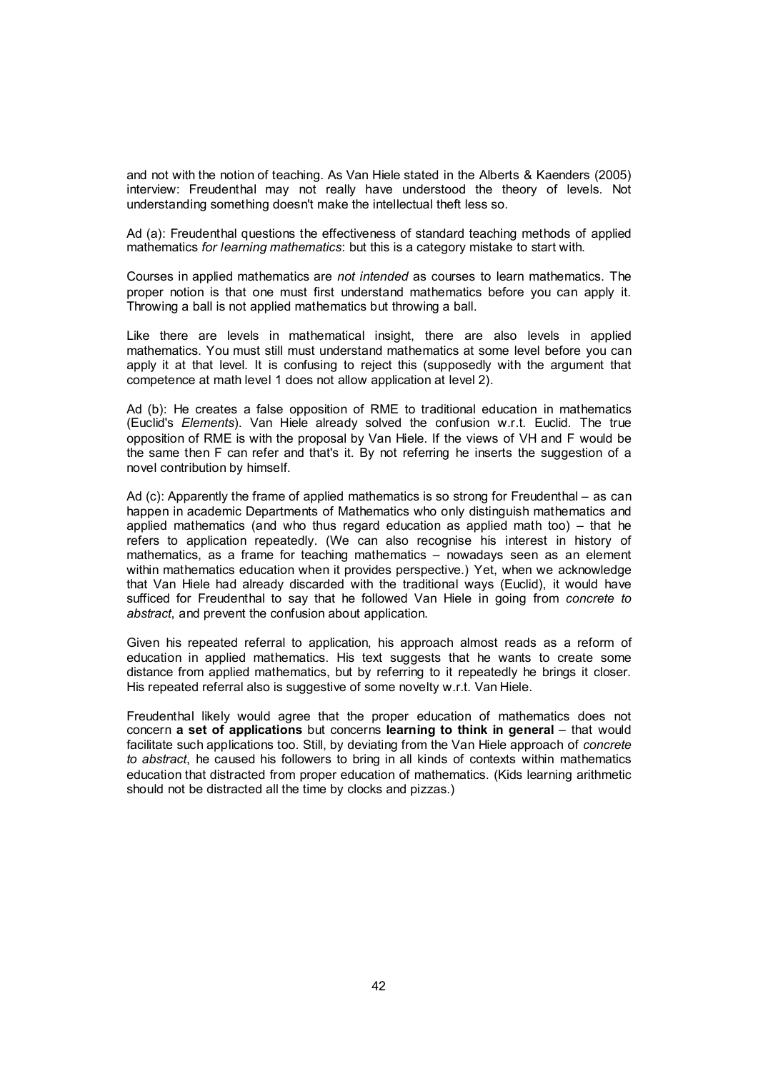and not with the notion of teaching. As Van Hiele stated in the Alberts & Kaenders (2005) interview: Freudenthal may not really have understood the theory of levels. Not understanding something doesn't make the intellectual theft less so.

Ad (a): Freudenthal questions the effectiveness of standard teaching methods of applied mathematics *for learning mathematics*: but this is a category mistake to start with.

Courses in applied mathematics are *not intended* as courses to learn mathematics. The proper notion is that one must first understand mathematics before you can apply it. Throwing a ball is not applied mathematics but throwing a ball.

Like there are levels in mathematical insight, there are also levels in applied mathematics. You must still must understand mathematics at some level before you can apply it at that level. It is confusing to reject this (supposedly with the argument that competence at math level 1 does not allow application at level 2).

Ad (b): He creates a false opposition of RME to traditional education in mathematics (Euclid's *Elements*). Van Hiele already solved the confusion w.r.t. Euclid. The true opposition of RME is with the proposal by Van Hiele. If the views of VH and F would be the same then F can refer and that's it. By not referring he inserts the suggestion of a novel contribution by himself.

Ad (c): Apparently the frame of applied mathematics is so strong for Freudenthal – as can happen in academic Departments of Mathematics who only distinguish mathematics and applied mathematics (and who thus regard education as applied math too) – that he refers to application repeatedly. (We can also recognise his interest in history of mathematics, as a frame for teaching mathematics – nowadays seen as an element within mathematics education when it provides perspective.) Yet, when we acknowledge that Van Hiele had already discarded with the traditional ways (Euclid), it would have sufficed for Freudenthal to say that he followed Van Hiele in going from *concrete to abstract*, and prevent the confusion about application.

Given his repeated referral to application, his approach almost reads as a reform of education in applied mathematics. His text suggests that he wants to create some distance from applied mathematics, but by referring to it repeatedly he brings it closer. His repeated referral also is suggestive of some novelty w.r.t. Van Hiele.

Freudenthal likely would agree that the proper education of mathematics does not concern a set of applications but concerns learning to think in general – that would facilitate such applications too. Still, by deviating from the Van Hiele approach of *concrete to abstract*, he caused his followers to bring in all kinds of contexts within mathematics education that distracted from proper education of mathematics. (Kids learning arithmetic should not be distracted all the time by clocks and pizzas.)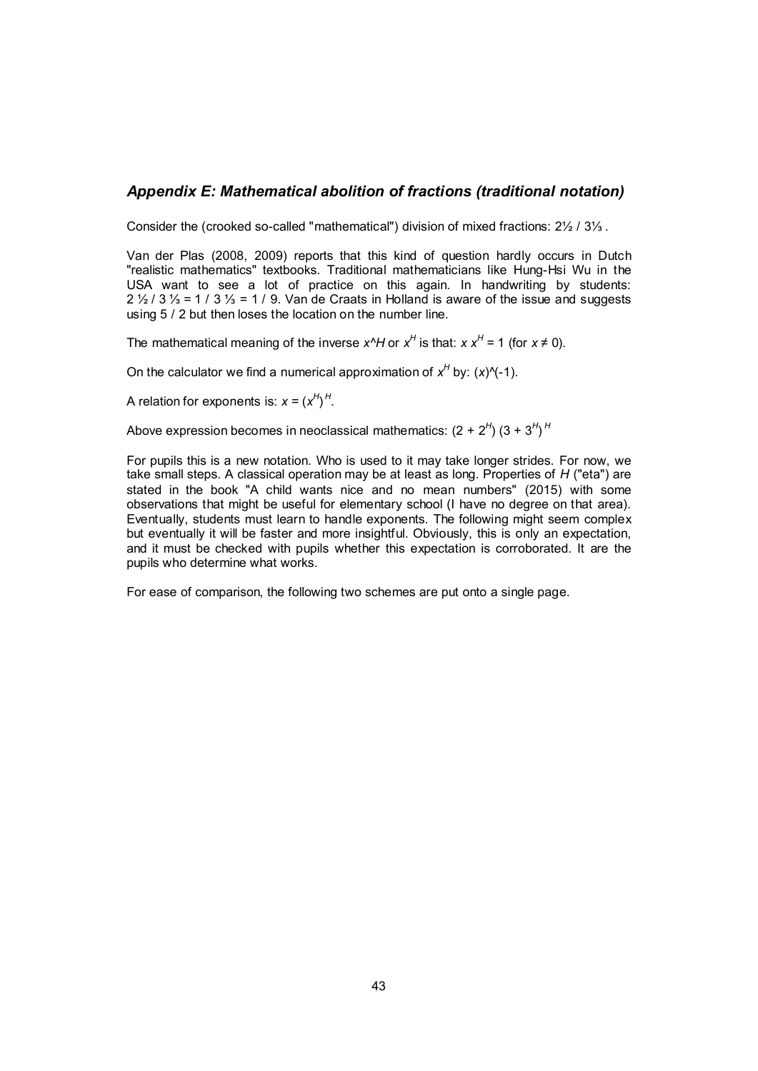### *Appendix E: Mathematical abolition of fractions (traditional notation)*

Consider the (crooked so-called "mathematical") division of mixed fractions: 2½ / 3⅓ .

Van der Plas (2008, 2009) reports that this kind of question hardly occurs in Dutch "realistic mathematics" textbooks. Traditional mathematicians like Hung-Hsi Wu in the USA want to see a lot of practice on this again. In handwriting by students:  $2\frac{1}{2}$  /  $3\frac{1}{3}$  = 1 /  $3\frac{1}{3}$  = 1 / 9. Van de Craats in Holland is aware of the issue and suggests using 5 / 2 but then loses the location on the number line.

The mathematical meaning of the inverse  $x^A$ H or  $x^H$  is that:  $x x^H = 1$  (for  $x \neq 0$ ).

On the calculator we find a numerical approximation of  $x^H$  by:  $(x)$ <sup> $\wedge$ </sup>(-1).

A relation for exponents is:  $x = (x^H)^H$ .

Above expression becomes in neoclassical mathematics:  $(2 + 2^{\mathcal{H}})$   $(3 + 3^{\mathcal{H}})^{\mathcal{H}}$ 

For pupils this is a new notation. Who is used to it may take longer strides. For now, we take small steps. A classical operation may be at least as long. Properties of *H* ("eta") are stated in the book "A child wants nice and no mean numbers" (2015) with some observations that might be useful for elementary school (I have no degree on that area). Eventually, students must learn to handle exponents. The following might seem complex but eventually it will be faster and more insightful. Obviously, this is only an expectation, and it must be checked with pupils whether this expectation is corroborated. It are the pupils who determine what works.

For ease of comparison, the following two schemes are put onto a single page.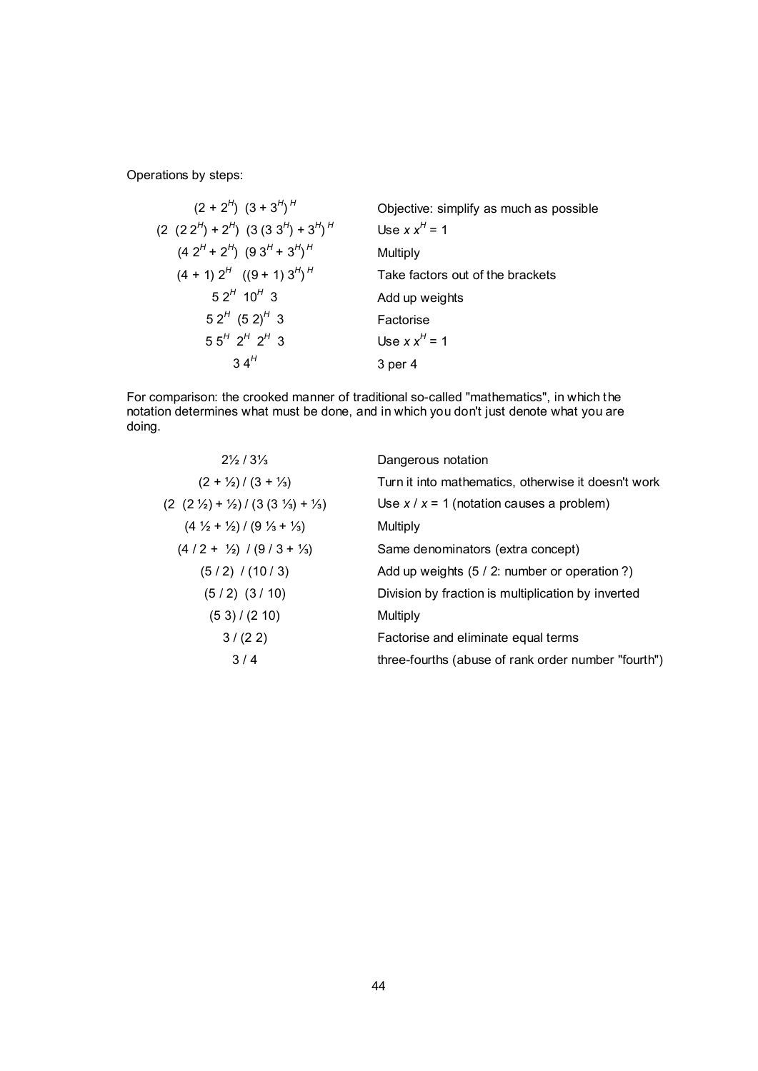Operations by steps:

$$
(2 + 2H) (3 + 3H)H
$$
 Objective: simplify as much as possible  
\n
$$
(2 (2 2H) + 2H) (3 (3 3H) + 3H)H
$$
 Use x x<sup>H</sup> = 1  
\n
$$
(4 2H + 2H) (9 3H + 3H)H
$$
 Multiply  
\n
$$
(4 + 1) 2H ((9 + 1) 3H)H
$$
 Take factors out of the brackets  
\n5 2<sup>H</sup> 10<sup>H</sup> 3 Add up weights  
\n5 2<sup>H</sup> (5 2)<sup>H</sup> 3  
\n5 5<sup>H</sup> 2<sup>H</sup> 2<sup>H</sup> 3  
\n3 4<sup>H</sup> 3 per 4  
\n3 per 4

For comparison: the crooked manner of traditional so-called "mathematics", in which the notation determines what must be done, and in which you don't just denote what you are doing.

| $2\frac{1}{2}$ / $3\frac{1}{3}$                                         | Dangerous notation                                  |
|-------------------------------------------------------------------------|-----------------------------------------------------|
| $(2 + \frac{1}{2}) / (3 + \frac{1}{3})$                                 | Turn it into mathematics, otherwise it doesn't work |
| $(2 (2 \frac{1}{2}) + \frac{1}{2}) / (3 (3 \frac{1}{3}) + \frac{1}{3})$ | Use $x / x = 1$ (notation causes a problem)         |
| $(4\frac{1}{2} + \frac{1}{2}) / (9\frac{1}{3} + \frac{1}{3})$           | Multiply                                            |
| $(4/2 + \frac{1}{2}) / (9/3 + \frac{1}{3})$                             | Same denominators (extra concept)                   |
| $(5/2)$ / (10/3)                                                        | Add up weights (5 / 2: number or operation ?)       |
| $(5/2)$ $(3/10)$                                                        | Division by fraction is multiplication by inverted  |
| (53)/(210)                                                              | Multiply                                            |
| 3/(22)                                                                  | Factorise and eliminate equal terms                 |
| 3/4                                                                     | three-fourths (abuse of rank order number "fourth") |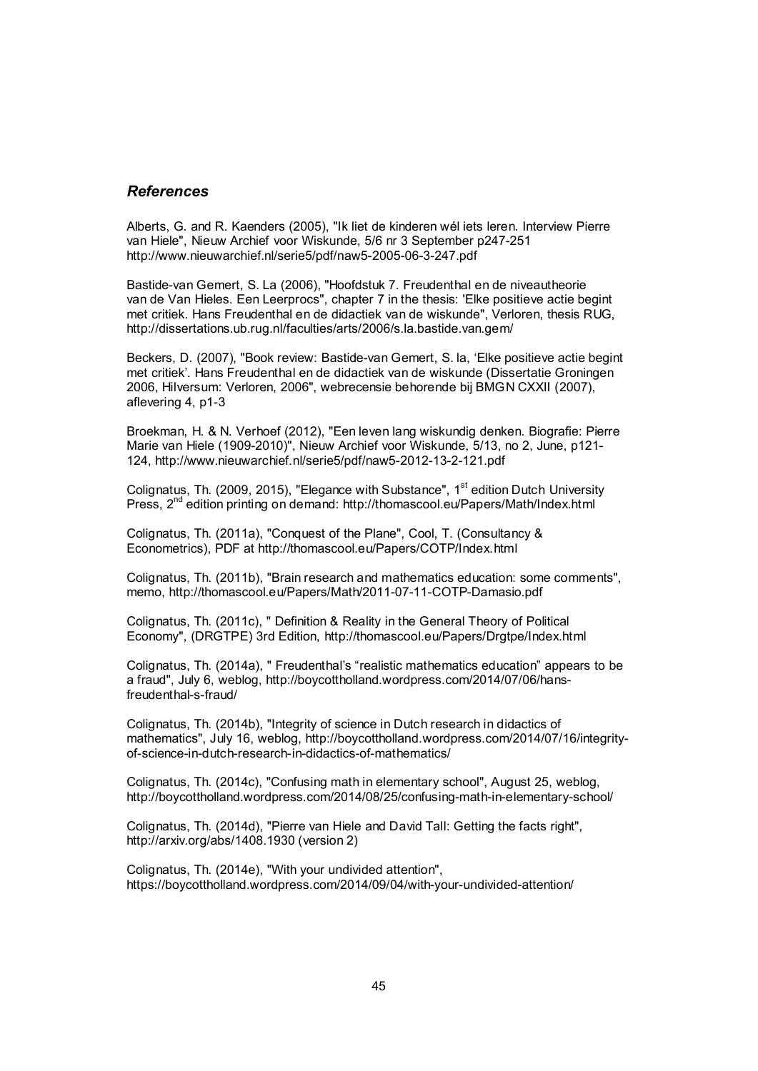### *References*

Alberts, G. and R. Kaenders (2005), "Ik liet de kinderen wél iets leren. Interview Pierre van Hiele", Nieuw Archief voor Wiskunde, 5/6 nr 3 September p247-251 http://www.nieuwarchief.nl/serie5/pdf/naw5-2005-06-3-247.pdf

Bastide-van Gemert, S. La (2006), "Hoofdstuk 7. Freudenthal en de niveautheorie van de Van Hieles. Een Leerprocs", chapter 7 in the thesis: 'Elke positieve actie begint met critiek. Hans Freudenthal en de didactiek van de wiskunde", Verloren, thesis RUG, http://dissertations.ub.rug.nl/faculties/arts/2006/s.la.bastide.van.gem/

Beckers, D. (2007), "Book review: Bastide-van Gemert, S. la, 'Elke positieve actie begint met critiek'. Hans Freudenthal en de didactiek van de wiskunde (Dissertatie Groningen 2006, Hilversum: Verloren, 2006", webrecensie behorende bij BMGN CXXII (2007), aflevering 4, p1-3

Broekman, H. & N. Verhoef (2012), "Een leven lang wiskundig denken. Biografie: Pierre Marie van Hiele (1909-2010)", Nieuw Archief voor Wiskunde, 5/13, no 2, June, p121- 124, http://www.nieuwarchief.nl/serie5/pdf/naw5-2012-13-2-121.pdf

Colignatus, Th. (2009, 2015), "Elegance with Substance", 1<sup>st</sup> edition Dutch University Press, 2<sup>nd</sup> edition printing on demand: http://thomascool.eu/Papers/Math/Index.html

Colignatus, Th. (2011a), "Conquest of the Plane", Cool, T. (Consultancy & Econometrics), PDF at http://thomascool.eu/Papers/COTP/Index.html

Colignatus, Th. (2011b), "Brain research and mathematics education: some comments", memo, http://thomascool.eu/Papers/Math/2011-07-11-COTP-Damasio.pdf

Colignatus, Th. (2011c), " Definition & Reality in the General Theory of Political Economy", (DRGTPE) 3rd Edition, http://thomascool.eu/Papers/Drgtpe/Index.html

Colignatus, Th. (2014a), " Freudenthal's "realistic mathematics education" appears to be a fraud", July 6, weblog, http://boycottholland.wordpress.com/2014/07/06/hansfreudenthal-s-fraud/

Colignatus, Th. (2014b), "Integrity of science in Dutch research in didactics of mathematics", July 16, weblog, http://boycottholland.wordpress.com/2014/07/16/integrityof-science-in-dutch-research-in-didactics-of-mathematics/

Colignatus, Th. (2014c), "Confusing math in elementary school", August 25, weblog, http://boycottholland.wordpress.com/2014/08/25/confusing-math-in-elementary-school/

Colignatus, Th. (2014d), "Pierre van Hiele and David Tall: Getting the facts right", http://arxiv.org/abs/1408.1930 (version 2)

Colignatus, Th. (2014e), "With your undivided attention", https://boycottholland.wordpress.com/2014/09/04/with-your-undivided-attention/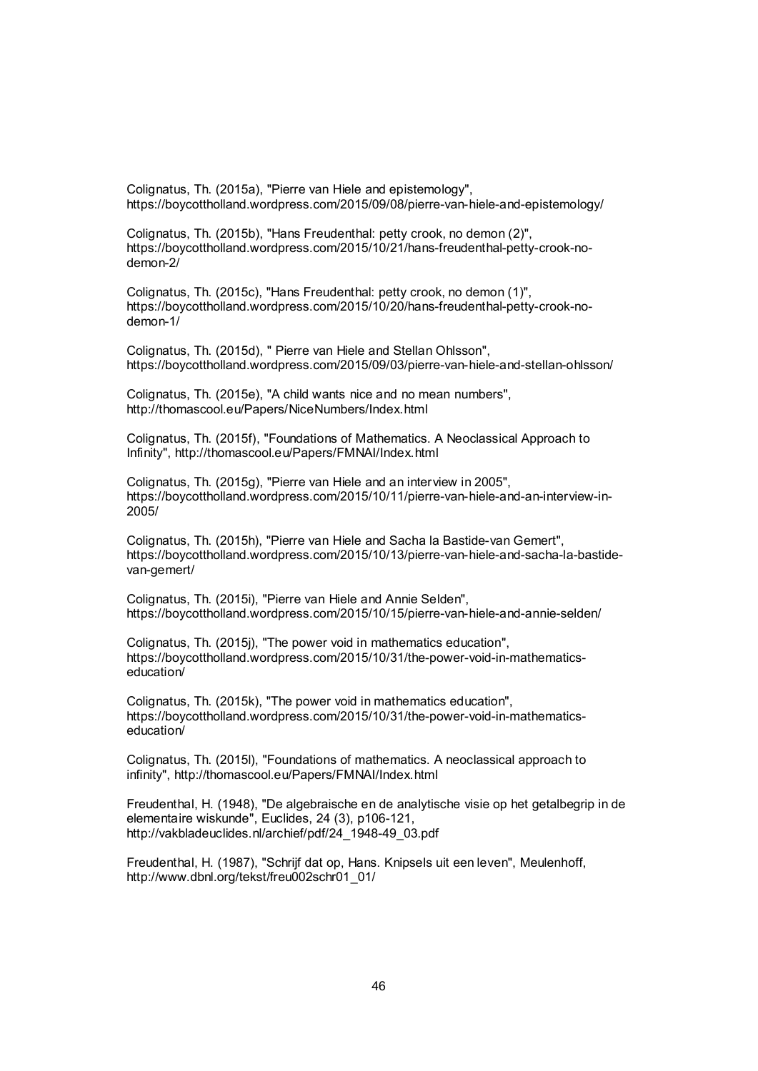Colignatus, Th. (2015a), "Pierre van Hiele and epistemology", https://boycottholland.wordpress.com/2015/09/08/pierre-van-hiele-and-epistemology/

Colignatus, Th. (2015b), "Hans Freudenthal: petty crook, no demon (2)", https://boycottholland.wordpress.com/2015/10/21/hans-freudenthal-petty-crook-nodemon-2/

Colignatus, Th. (2015c), "Hans Freudenthal: petty crook, no demon (1)", https://boycottholland.wordpress.com/2015/10/20/hans-freudenthal-petty-crook-nodemon-1/

Colignatus, Th. (2015d), " Pierre van Hiele and Stellan Ohlsson", https://boycottholland.wordpress.com/2015/09/03/pierre-van-hiele-and-stellan-ohlsson/

Colignatus, Th. (2015e), "A child wants nice and no mean numbers", http://thomascool.eu/Papers/NiceNumbers/Index.html

Colignatus, Th. (2015f), "Foundations of Mathematics. A Neoclassical Approach to Infinity", http://thomascool.eu/Papers/FMNAI/Index.html

Colignatus, Th. (2015g), "Pierre van Hiele and an interview in 2005", https://boycottholland.wordpress.com/2015/10/11/pierre-van-hiele-and-an-interview-in-2005/

Colignatus, Th. (2015h), "Pierre van Hiele and Sacha la Bastide-van Gemert", https://boycottholland.wordpress.com/2015/10/13/pierre-van-hiele-and-sacha-la-bastidevan-gemert/

Colignatus, Th. (2015i), "Pierre van Hiele and Annie Selden", https://boycottholland.wordpress.com/2015/10/15/pierre-van-hiele-and-annie-selden/

Colignatus, Th. (2015j), "The power void in mathematics education", https://boycottholland.wordpress.com/2015/10/31/the-power-void-in-mathematicseducation/

Colignatus, Th. (2015k), "The power void in mathematics education", https://boycottholland.wordpress.com/2015/10/31/the-power-void-in-mathematicseducation/

Colignatus, Th. (2015l), "Foundations of mathematics. A neoclassical approach to infinity", http://thomascool.eu/Papers/FMNAI/Index.html

Freudenthal, H. (1948), "De algebraische en de analytische visie op het getalbegrip in de elementaire wiskunde", Euclides, 24 (3), p106-121, http://vakbladeuclides.nl/archief/pdf/24\_1948-49\_03.pdf

Freudenthal, H. (1987), "Schrijf dat op, Hans. Knipsels uit een leven", Meulenhoff, http://www.dbnl.org/tekst/freu002schr01\_01/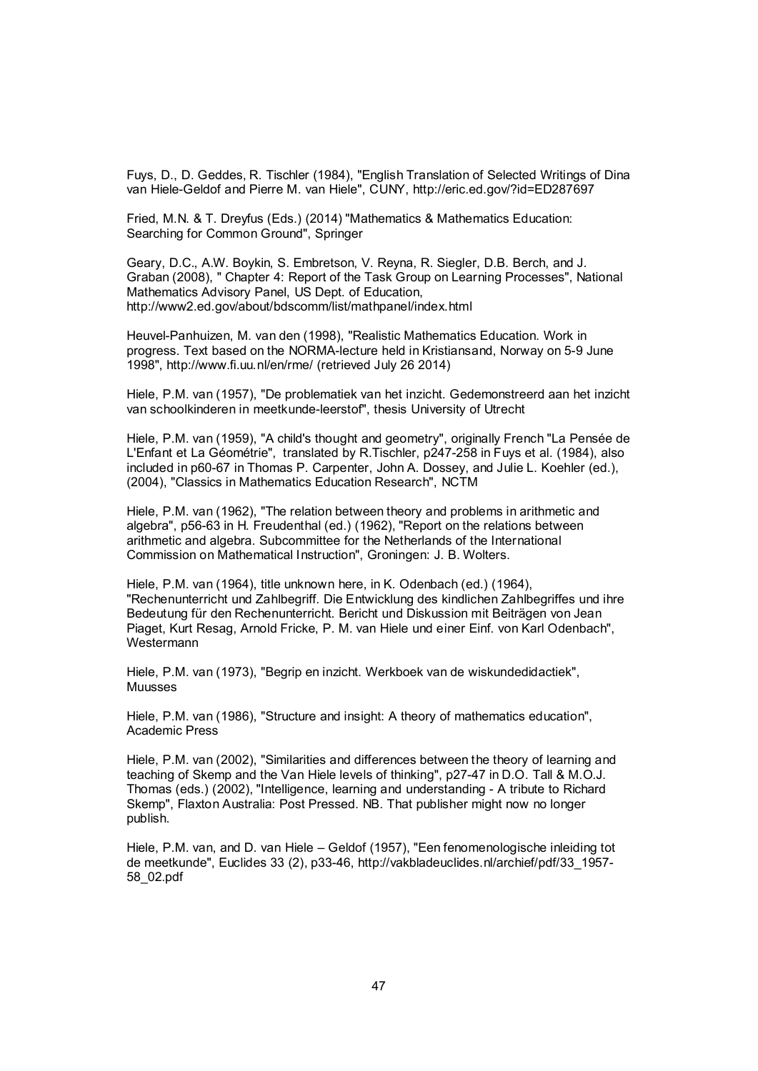Fuys, D., D. Geddes, R. Tischler (1984), "English Translation of Selected Writings of Dina van Hiele-Geldof and Pierre M. van Hiele", CUNY, http://eric.ed.gov/?id=ED287697

Fried, M.N. & T. Dreyfus (Eds.) (2014) "Mathematics & Mathematics Education: Searching for Common Ground", Springer

Geary, D.C., A.W. Boykin, S. Embretson, V. Reyna, R. Siegler, D.B. Berch, and J. Graban (2008), " Chapter 4: Report of the Task Group on Learning Processes", National Mathematics Advisory Panel, US Dept. of Education, http://www2.ed.gov/about/bdscomm/list/mathpanel/index.html

Heuvel-Panhuizen, M. van den (1998), "Realistic Mathematics Education. Work in progress. Text based on the NORMA-lecture held in Kristiansand, Norway on 5-9 June 1998", http://www.fi.uu.nl/en/rme/ (retrieved July 26 2014)

Hiele, P.M. van (1957), "De problematiek van het inzicht. Gedemonstreerd aan het inzicht van schoolkinderen in meetkunde-leerstof", thesis University of Utrecht

Hiele, P.M. van (1959), "A child's thought and geometry", originally French "La Pensée de L'Enfant et La Géométrie", translated by R.Tischler, p247-258 in Fuys et al. (1984), also included in p60-67 in Thomas P. Carpenter, John A. Dossey, and Julie L. Koehler (ed.), (2004), "Classics in Mathematics Education Research", NCTM

Hiele, P.M. van (1962), "The relation between theory and problems in arithmetic and algebra", p56-63 in H. Freudenthal (ed.) (1962), "Report on the relations between arithmetic and algebra. Subcommittee for the Netherlands of the International Commission on Mathematical Instruction", Groningen: J. B. Wolters.

Hiele, P.M. van (1964), title unknown here, in K. Odenbach (ed.) (1964), "Rechenunterricht und Zahlbegriff. Die Entwicklung des kindlichen Zahlbegriffes und ihre Bedeutung für den Rechenunterricht. Bericht und Diskussion mit Beiträgen von Jean Piaget, Kurt Resag, Arnold Fricke, P. M. van Hiele und einer Einf. von Karl Odenbach", **Westermann** 

Hiele, P.M. van (1973), "Begrip en inzicht. Werkboek van de wiskundedidactiek", Muusses

Hiele, P.M. van (1986), "Structure and insight: A theory of mathematics education", Academic Press

Hiele, P.M. van (2002), "Similarities and differences between the theory of learning and teaching of Skemp and the Van Hiele levels of thinking", p27-47 in D.O. Tall & M.O.J. Thomas (eds.) (2002), "Intelligence, learning and understanding - A tribute to Richard Skemp", Flaxton Australia: Post Pressed. NB. That publisher might now no longer publish.

Hiele, P.M. van, and D. van Hiele – Geldof (1957), "Een fenomenologische inleiding tot de meetkunde", Euclides 33 (2), p33-46, http://vakbladeuclides.nl/archief/pdf/33\_1957- 58\_02.pdf